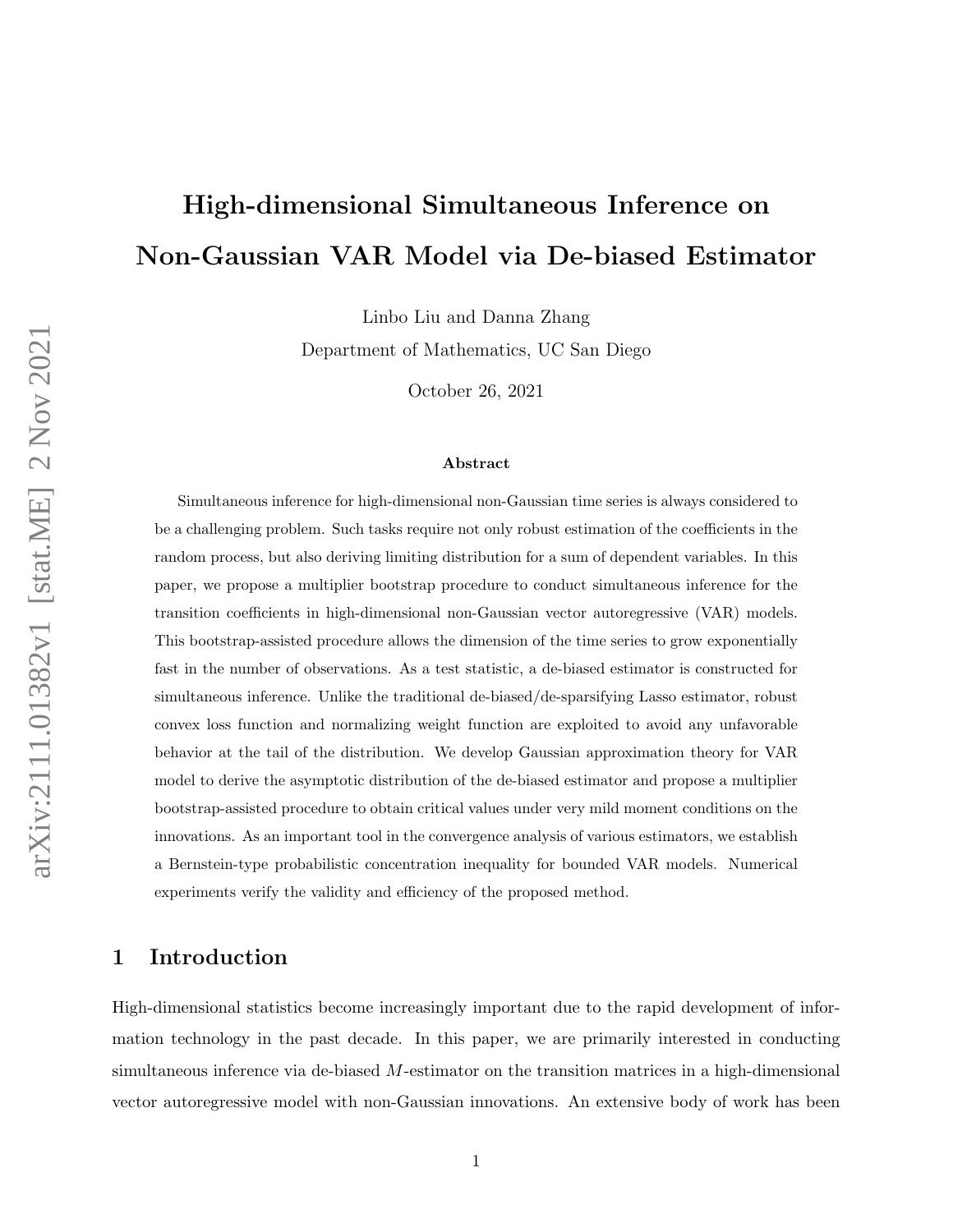# High-dimensional Simultaneous Inference on Non-Gaussian VAR Model via De-biased Estimator

Linbo Liu and Danna Zhang

Department of Mathematics, UC San Diego

October 26, 2021

#### Abstract

Simultaneous inference for high-dimensional non-Gaussian time series is always considered to be a challenging problem. Such tasks require not only robust estimation of the coefficients in the random process, but also deriving limiting distribution for a sum of dependent variables. In this paper, we propose a multiplier bootstrap procedure to conduct simultaneous inference for the transition coefficients in high-dimensional non-Gaussian vector autoregressive (VAR) models. This bootstrap-assisted procedure allows the dimension of the time series to grow exponentially fast in the number of observations. As a test statistic, a de-biased estimator is constructed for simultaneous inference. Unlike the traditional de-biased/de-sparsifying Lasso estimator, robust convex loss function and normalizing weight function are exploited to avoid any unfavorable behavior at the tail of the distribution. We develop Gaussian approximation theory for VAR model to derive the asymptotic distribution of the de-biased estimator and propose a multiplier bootstrap-assisted procedure to obtain critical values under very mild moment conditions on the innovations. As an important tool in the convergence analysis of various estimators, we establish a Bernstein-type probabilistic concentration inequality for bounded VAR models. Numerical experiments verify the validity and efficiency of the proposed method.

## 1 Introduction

High-dimensional statistics become increasingly important due to the rapid development of information technology in the past decade. In this paper, we are primarily interested in conducting simultaneous inference via de-biased  $M$ -estimator on the transition matrices in a high-dimensional vector autoregressive model with non-Gaussian innovations. An extensive body of work has been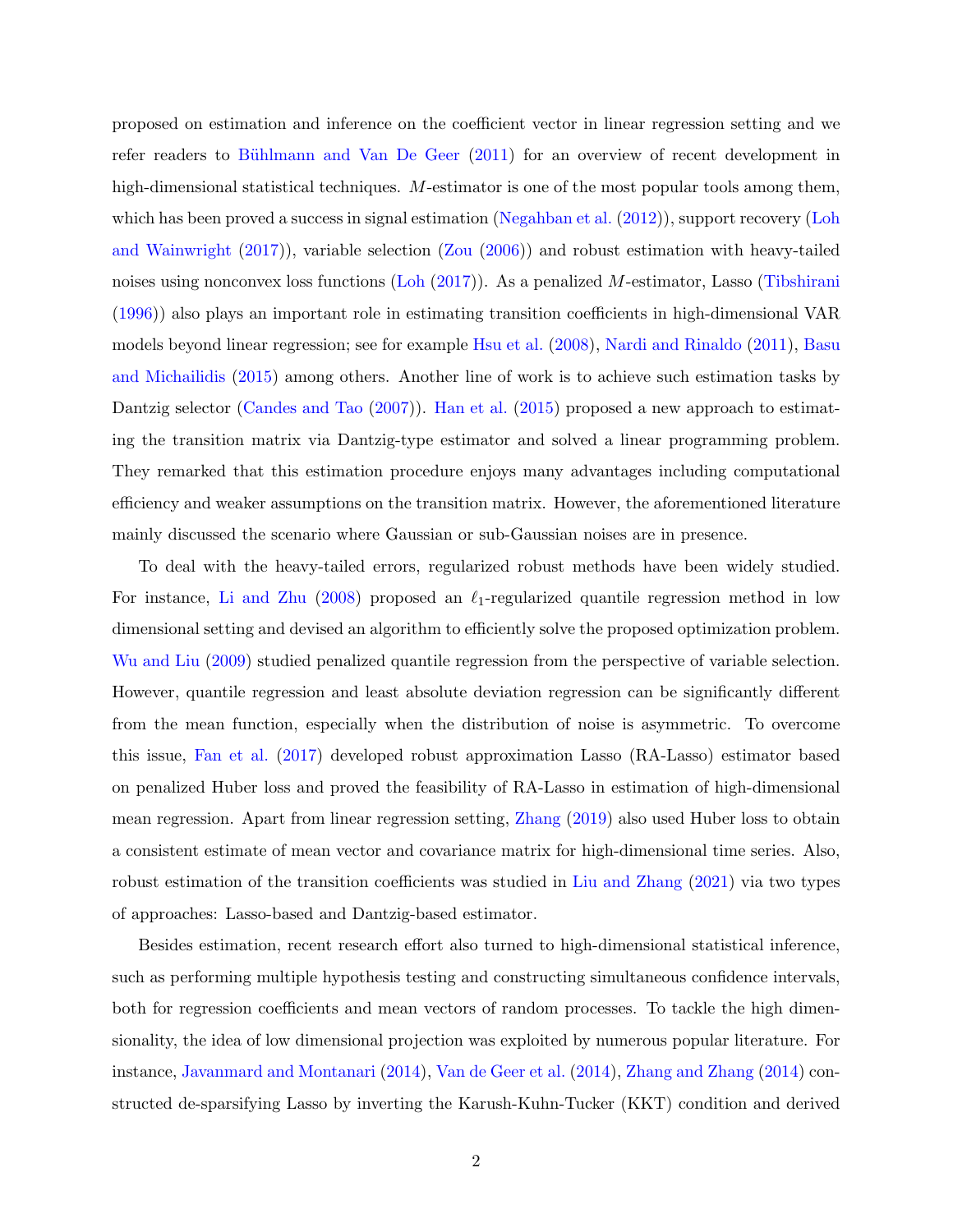proposed on estimation and inference on the coefficient vector in linear regression setting and we refer readers to Bühlmann and Van De Geer [\(2011\)](#page-33-0) for an overview of recent development in high-dimensional statistical techniques. M-estimator is one of the most popular tools among them, which has been proved a success in signal estimation [\(Negahban et al.](#page-35-0)  $(2012)$ ), support recovery [\(Loh](#page-35-1) [and Wainwright](#page-35-1) [\(2017\)](#page-35-1)), variable selection [\(Zou](#page-36-0) [\(2006\)](#page-36-0)) and robust estimation with heavy-tailed noises using nonconvex loss functions [\(Loh](#page-34-0) [\(2017\)](#page-34-0)). As a penalized M-estimator, Lasso [\(Tibshirani](#page-35-2) [\(1996\)](#page-35-2)) also plays an important role in estimating transition coefficients in high-dimensional VAR models beyond linear regression; see for example [Hsu et al.](#page-34-1) [\(2008\)](#page-34-1), [Nardi and Rinaldo](#page-35-3) [\(2011\)](#page-35-3), [Basu](#page-33-1) [and Michailidis](#page-33-1) [\(2015\)](#page-33-1) among others. Another line of work is to achieve such estimation tasks by Dantzig selector [\(Candes and Tao](#page-33-2) [\(2007\)](#page-33-2)). [Han et al.](#page-34-2) [\(2015\)](#page-34-2) proposed a new approach to estimating the transition matrix via Dantzig-type estimator and solved a linear programming problem. They remarked that this estimation procedure enjoys many advantages including computational efficiency and weaker assumptions on the transition matrix. However, the aforementioned literature mainly discussed the scenario where Gaussian or sub-Gaussian noises are in presence.

To deal with the heavy-tailed errors, regularized robust methods have been widely studied. For instance, [Li and Zhu](#page-34-3) [\(2008\)](#page-34-3) proposed an  $\ell_1$ -regularized quantile regression method in low dimensional setting and devised an algorithm to efficiently solve the proposed optimization problem. [Wu and Liu](#page-36-1) [\(2009\)](#page-36-1) studied penalized quantile regression from the perspective of variable selection. However, quantile regression and least absolute deviation regression can be significantly different from the mean function, especially when the distribution of noise is asymmetric. To overcome this issue, [Fan et al.](#page-34-4) [\(2017\)](#page-34-4) developed robust approximation Lasso (RA-Lasso) estimator based on penalized Huber loss and proved the feasibility of RA-Lasso in estimation of high-dimensional mean regression. Apart from linear regression setting, [Zhang](#page-36-2) [\(2019\)](#page-36-2) also used Huber loss to obtain a consistent estimate of mean vector and covariance matrix for high-dimensional time series. Also, robust estimation of the transition coefficients was studied in [Liu and Zhang](#page-34-5) [\(2021\)](#page-34-5) via two types of approaches: Lasso-based and Dantzig-based estimator.

Besides estimation, recent research effort also turned to high-dimensional statistical inference, such as performing multiple hypothesis testing and constructing simultaneous confidence intervals, both for regression coefficients and mean vectors of random processes. To tackle the high dimensionality, the idea of low dimensional projection was exploited by numerous popular literature. For instance, [Javanmard and Montanari](#page-34-6) [\(2014\)](#page-34-6), [Van de Geer et al.](#page-35-4) [\(2014\)](#page-35-4), [Zhang and Zhang](#page-36-3) [\(2014\)](#page-36-3) constructed de-sparsifying Lasso by inverting the Karush-Kuhn-Tucker (KKT) condition and derived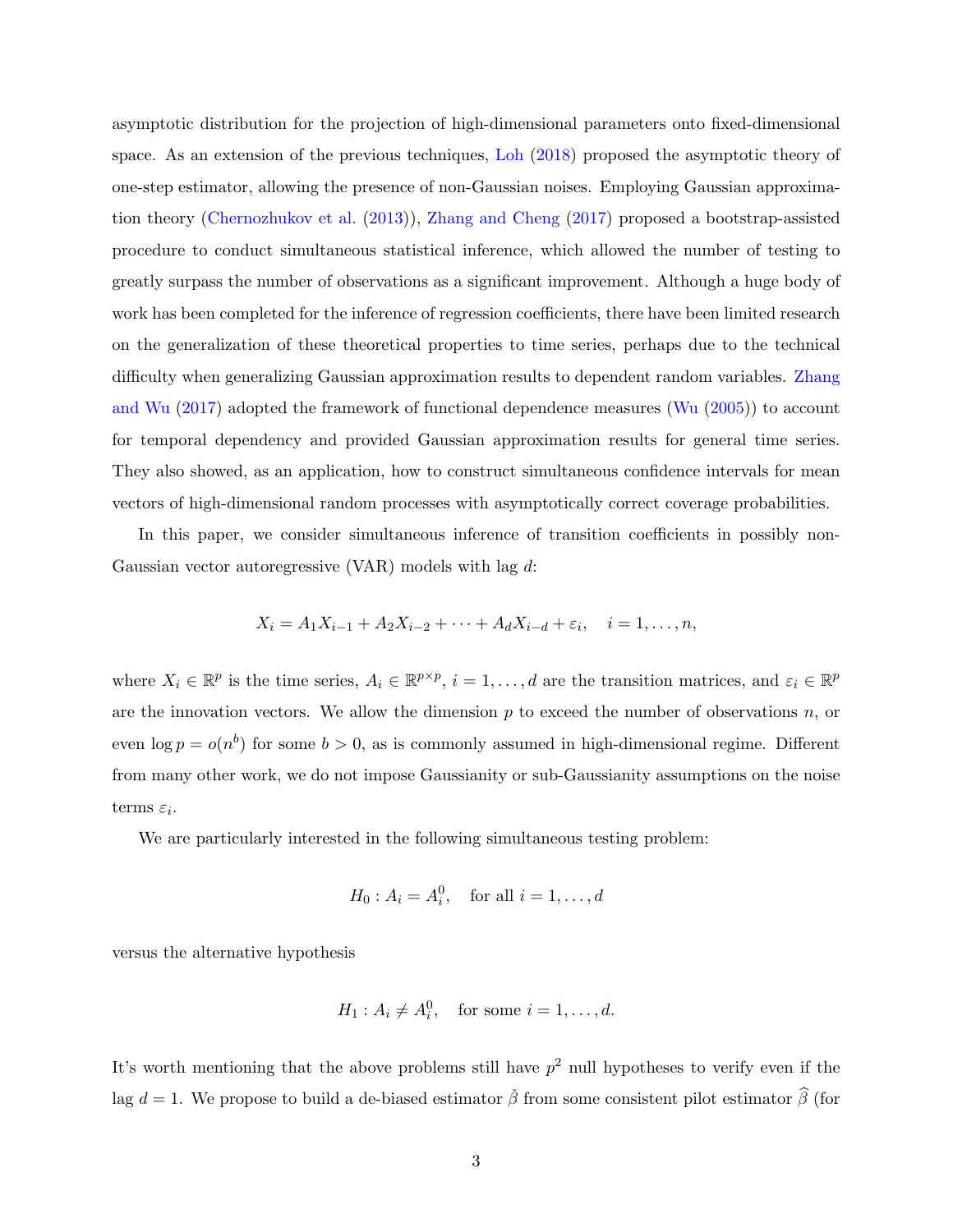asymptotic distribution for the projection of high-dimensional parameters onto fixed-dimensional space. As an extension of the previous techniques, [Loh](#page-34-7) [\(2018\)](#page-34-7) proposed the asymptotic theory of one-step estimator, allowing the presence of non-Gaussian noises. Employing Gaussian approximation theory [\(Chernozhukov et al.](#page-34-8) [\(2013\)](#page-34-8)), [Zhang and Cheng](#page-36-4) [\(2017\)](#page-36-4) proposed a bootstrap-assisted procedure to conduct simultaneous statistical inference, which allowed the number of testing to greatly surpass the number of observations as a significant improvement. Although a huge body of work has been completed for the inference of regression coefficients, there have been limited research on the generalization of these theoretical properties to time series, perhaps due to the technical difficulty when generalizing Gaussian approximation results to dependent random variables. [Zhang](#page-36-5) [and Wu](#page-36-5) [\(2017\)](#page-36-5) adopted the framework of functional dependence measures [\(Wu](#page-36-6) [\(2005\)](#page-36-6)) to account for temporal dependency and provided Gaussian approximation results for general time series. They also showed, as an application, how to construct simultaneous confidence intervals for mean vectors of high-dimensional random processes with asymptotically correct coverage probabilities.

In this paper, we consider simultaneous inference of transition coefficients in possibly non-Gaussian vector autoregressive (VAR) models with lag d:

$$
X_i = A_1 X_{i-1} + A_2 X_{i-2} + \dots + A_d X_{i-d} + \varepsilon_i, \quad i = 1, \dots, n,
$$

where  $X_i \in \mathbb{R}^p$  is the time series,  $A_i \in \mathbb{R}^{p \times p}$ ,  $i = 1, \ldots, d$  are the transition matrices, and  $\varepsilon_i \in \mathbb{R}^p$ are the innovation vectors. We allow the dimension  $p$  to exceed the number of observations  $n$ , or even  $\log p = o(n^b)$  for some  $b > 0$ , as is commonly assumed in high-dimensional regime. Different from many other work, we do not impose Gaussianity or sub-Gaussianity assumptions on the noise terms  $\varepsilon_i$ .

We are particularly interested in the following simultaneous testing problem:

$$
H_0: A_i = A_i^0
$$
, for all  $i = 1, ..., d$ 

versus the alternative hypothesis

$$
H_1: A_i \neq A_i^0, \quad \text{for some } i = 1, \dots, d.
$$

It's worth mentioning that the above problems still have  $p^2$  null hypotheses to verify even if the lag d = 1. We propose to build a de-biased estimator  $\tilde{\beta}$  from some consistent pilot estimator  $\hat{\beta}$  (for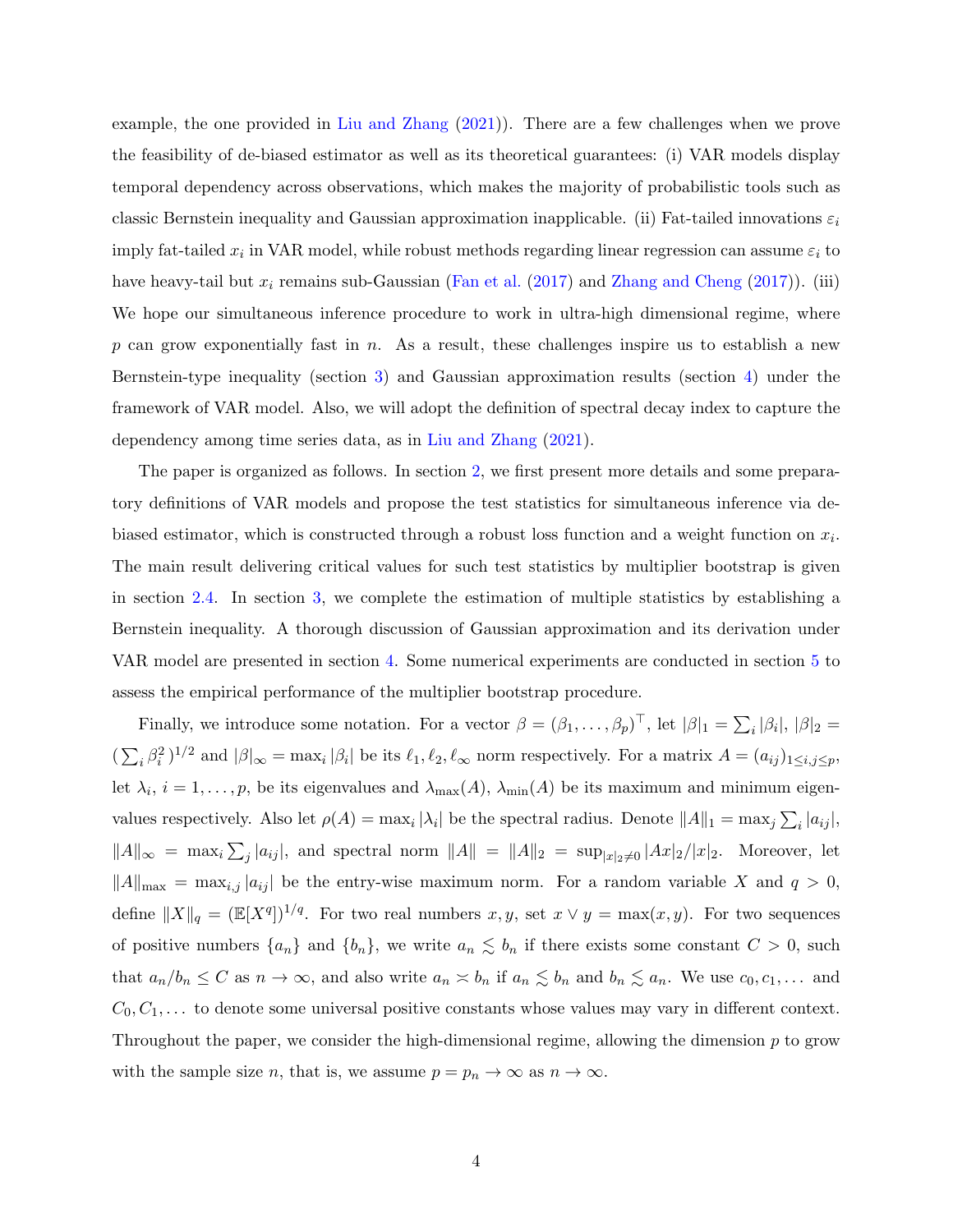example, the one provided in [Liu and Zhang](#page-34-5) [\(2021\)](#page-34-5)). There are a few challenges when we prove the feasibility of de-biased estimator as well as its theoretical guarantees: (i) VAR models display temporal dependency across observations, which makes the majority of probabilistic tools such as classic Bernstein inequality and Gaussian approximation inapplicable. (ii) Fat-tailed innovations  $\varepsilon_i$ imply fat-tailed  $x_i$  in VAR model, while robust methods regarding linear regression can assume  $\varepsilon_i$  to have heavy-tail but  $x_i$  remains sub-Gaussian [\(Fan et al.](#page-34-4) [\(2017\)](#page-36-4) and [Zhang and Cheng](#page-36-4) (2017)). (iii) We hope our simultaneous inference procedure to work in ultra-high dimensional regime, where  $p$  can grow exponentially fast in n. As a result, these challenges inspire us to establish a new Bernstein-type inequality (section [3\)](#page-12-0) and Gaussian approximation results (section [4\)](#page-15-0) under the framework of VAR model. Also, we will adopt the definition of spectral decay index to capture the dependency among time series data, as in [Liu and Zhang](#page-34-5) [\(2021\)](#page-34-5).

The paper is organized as follows. In section [2,](#page-4-0) we first present more details and some preparatory definitions of VAR models and propose the test statistics for simultaneous inference via debiased estimator, which is constructed through a robust loss function and a weight function on  $x_i$ . The main result delivering critical values for such test statistics by multiplier bootstrap is given in section [2.4.](#page-9-0) In section [3,](#page-12-0) we complete the estimation of multiple statistics by establishing a Bernstein inequality. A thorough discussion of Gaussian approximation and its derivation under VAR model are presented in section [4.](#page-15-0) Some numerical experiments are conducted in section [5](#page-17-0) to assess the empirical performance of the multiplier bootstrap procedure.

Finally, we introduce some notation. For a vector  $\beta = (\beta_1, \ldots, \beta_p)^\top$ , let  $|\beta|_1 = \sum_i |\beta_i|$ ,  $|\beta|_2 =$  $(\sum_i \beta_i^2)^{1/2}$  and  $|\beta|_{\infty} = \max_i |\beta_i|$  be its  $\ell_1, \ell_2, \ell_{\infty}$  norm respectively. For a matrix  $A = (a_{ij})_{1 \le i,j \le p}$ , let  $\lambda_i$ ,  $i = 1, \ldots, p$ , be its eigenvalues and  $\lambda_{\max}(A)$ ,  $\lambda_{\min}(A)$  be its maximum and minimum eigenvalues respectively. Also let  $\rho(A) = \max_i |\lambda_i|$  be the spectral radius. Denote  $||A||_1 = \max_j \sum_i |a_{ij}|$ ,  $||A||_{\infty} = \max_{i} \sum_{j} |a_{ij}|$ , and spectral norm  $||A|| = ||A||_2 = \sup_{|x|_2 \neq 0} |Ax|_2/|x|_2$ . Moreover, let  $||A||_{\text{max}} = \max_{i,j} |a_{ij}|$  be the entry-wise maximum norm. For a random variable X and  $q > 0$ , define  $||X||_q = (E[X^q])^{1/q}$ . For two real numbers  $x, y$ , set  $x \vee y = \max(x, y)$ . For two sequences of positive numbers  $\{a_n\}$  and  $\{b_n\}$ , we write  $a_n \lesssim b_n$  if there exists some constant  $C > 0$ , such that  $a_n/b_n \leq C$  as  $n \to \infty$ , and also write  $a_n \approx b_n$  if  $a_n \leq b_n$  and  $b_n \leq a_n$ . We use  $c_0, c_1, \ldots$  and  $C_0, C_1, \ldots$  to denote some universal positive constants whose values may vary in different context. Throughout the paper, we consider the high-dimensional regime, allowing the dimension  $p$  to grow with the sample size n, that is, we assume  $p = p_n \to \infty$  as  $n \to \infty$ .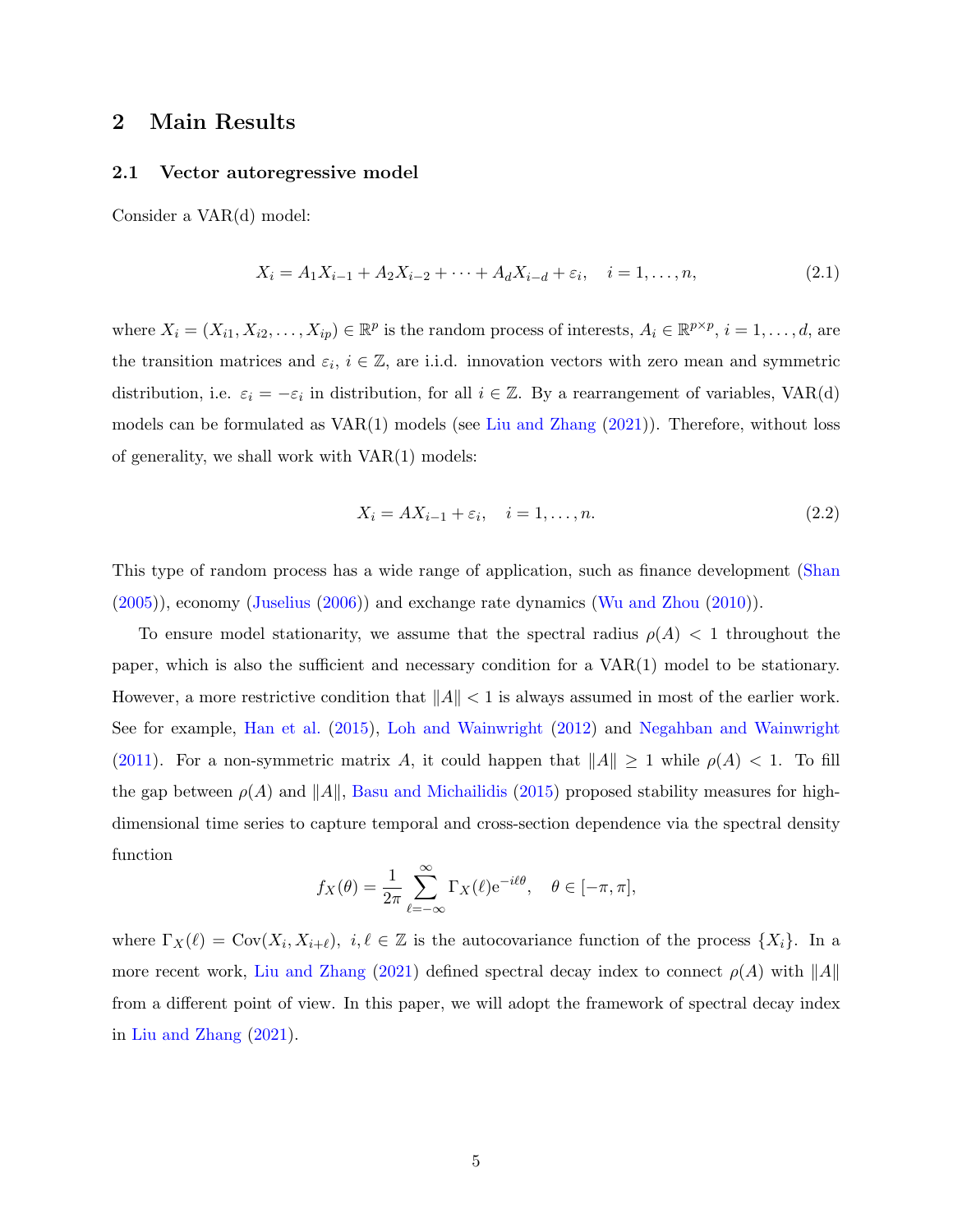## <span id="page-4-0"></span>2 Main Results

#### 2.1 Vector autoregressive model

Consider a VAR(d) model:

$$
X_i = A_1 X_{i-1} + A_2 X_{i-2} + \dots + A_d X_{i-d} + \varepsilon_i, \quad i = 1, \dots, n,
$$
\n(2.1)

where  $X_i = (X_{i1}, X_{i2}, \ldots, X_{ip}) \in \mathbb{R}^p$  is the random process of interests,  $A_i \in \mathbb{R}^{p \times p}$ ,  $i = 1, \ldots, d$ , are the transition matrices and  $\varepsilon_i$ ,  $i \in \mathbb{Z}$ , are i.i.d. innovation vectors with zero mean and symmetric distribution, i.e.  $\varepsilon_i = -\varepsilon_i$  in distribution, for all  $i \in \mathbb{Z}$ . By a rearrangement of variables, VAR(d) models can be formulated as  $VAR(1)$  models (see [Liu and Zhang](#page-34-5)  $(2021)$ ). Therefore, without loss of generality, we shall work with VAR(1) models:

<span id="page-4-1"></span>
$$
X_i = AX_{i-1} + \varepsilon_i, \quad i = 1, \dots, n. \tag{2.2}
$$

This type of random process has a wide range of application, such as finance development [\(Shan](#page-35-5) [\(2005\)](#page-35-5)), economy [\(Juselius](#page-34-9) [\(2006\)](#page-34-9)) and exchange rate dynamics [\(Wu and Zhou](#page-36-7) [\(2010\)](#page-36-7)).

To ensure model stationarity, we assume that the spectral radius  $\rho(A) < 1$  throughout the paper, which is also the sufficient and necessary condition for a VAR(1) model to be stationary. However, a more restrictive condition that  $||A|| < 1$  is always assumed in most of the earlier work. See for example, [Han et al.](#page-34-2) [\(2015\)](#page-34-2), [Loh and Wainwright](#page-35-6) [\(2012\)](#page-35-6) and [Negahban and Wainwright](#page-35-7) [\(2011\)](#page-35-7). For a non-symmetric matrix A, it could happen that  $||A|| \ge 1$  while  $\rho(A) < 1$ . To fill the gap between  $\rho(A)$  and  $||A||$ , [Basu and Michailidis](#page-33-1) [\(2015\)](#page-33-1) proposed stability measures for highdimensional time series to capture temporal and cross-section dependence via the spectral density function

$$
f_X(\theta) = \frac{1}{2\pi} \sum_{\ell=-\infty}^{\infty} \Gamma_X(\ell) e^{-i\ell\theta}, \quad \theta \in [-\pi, \pi],
$$

where  $\Gamma_X(\ell) = \text{Cov}(X_i, X_{i+\ell}), i, \ell \in \mathbb{Z}$  is the autocovariance function of the process  $\{X_i\}$ . In a more recent work, [Liu and Zhang](#page-34-5) [\(2021\)](#page-34-5) defined spectral decay index to connect  $\rho(A)$  with  $||A||$ from a different point of view. In this paper, we will adopt the framework of spectral decay index in [Liu and Zhang](#page-34-5) [\(2021\)](#page-34-5).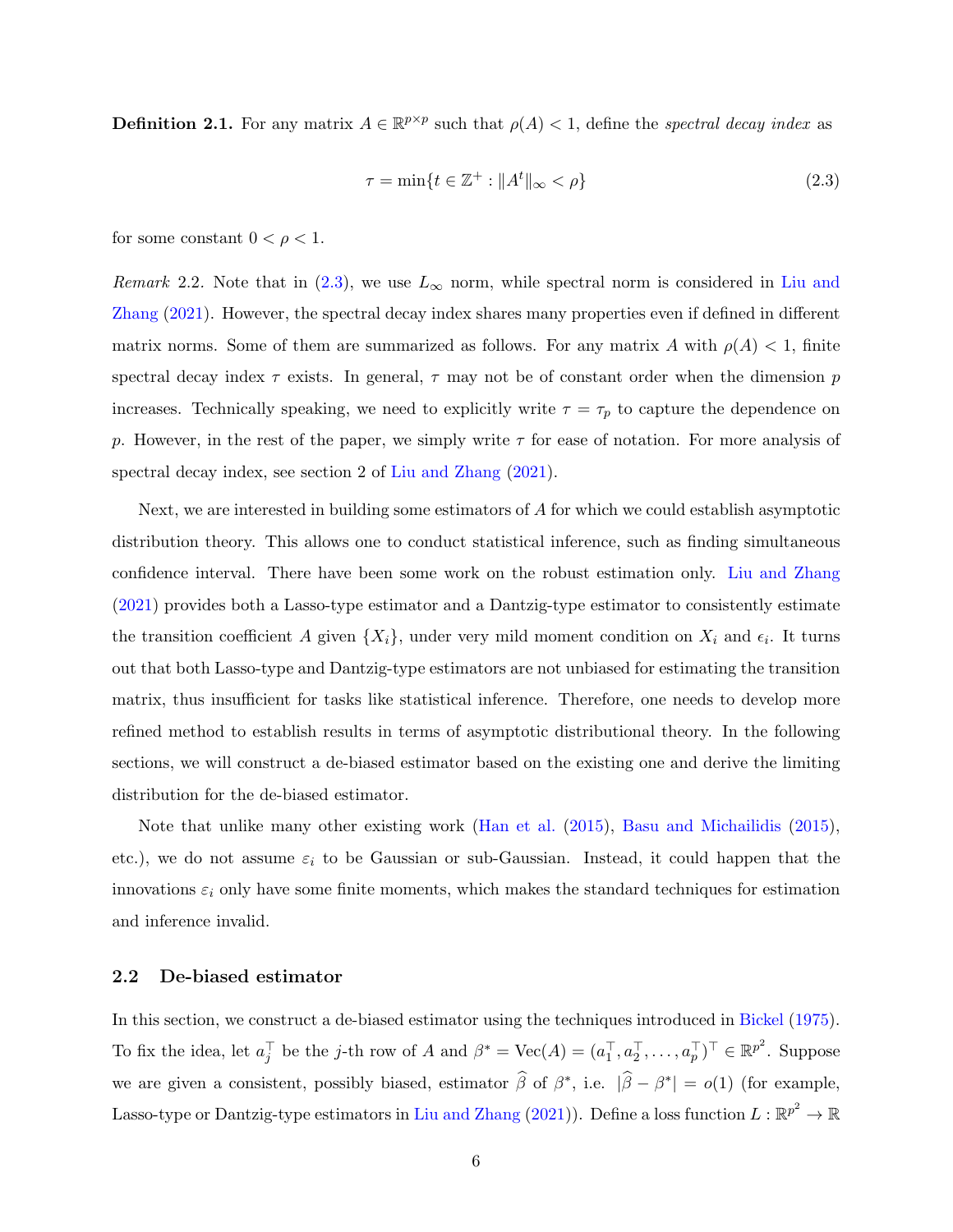<span id="page-5-1"></span>**Definition 2.1.** For any matrix  $A \in \mathbb{R}^{p \times p}$  such that  $\rho(A) < 1$ , define the spectral decay index as

<span id="page-5-0"></span>
$$
\tau = \min\{t \in \mathbb{Z}^+ : \|A^t\|_{\infty} < \rho\} \tag{2.3}
$$

for some constant  $0 < \rho < 1$ .

Remark 2.2. Note that in [\(2.3\)](#page-5-0), we use  $L_{\infty}$  norm, while spectral norm is considered in [Liu and](#page-34-5) [Zhang](#page-34-5) [\(2021\)](#page-34-5). However, the spectral decay index shares many properties even if defined in different matrix norms. Some of them are summarized as follows. For any matrix A with  $\rho(A) < 1$ , finite spectral decay index  $\tau$  exists. In general,  $\tau$  may not be of constant order when the dimension p increases. Technically speaking, we need to explicitly write  $\tau = \tau_p$  to capture the dependence on p. However, in the rest of the paper, we simply write  $\tau$  for ease of notation. For more analysis of spectral decay index, see section 2 of [Liu and Zhang](#page-34-5) [\(2021\)](#page-34-5).

Next, we are interested in building some estimators of A for which we could establish asymptotic distribution theory. This allows one to conduct statistical inference, such as finding simultaneous confidence interval. There have been some work on the robust estimation only. [Liu and Zhang](#page-34-5) [\(2021\)](#page-34-5) provides both a Lasso-type estimator and a Dantzig-type estimator to consistently estimate the transition coefficient A given  $\{X_i\}$ , under very mild moment condition on  $X_i$  and  $\epsilon_i$ . It turns out that both Lasso-type and Dantzig-type estimators are not unbiased for estimating the transition matrix, thus insufficient for tasks like statistical inference. Therefore, one needs to develop more refined method to establish results in terms of asymptotic distributional theory. In the following sections, we will construct a de-biased estimator based on the existing one and derive the limiting distribution for the de-biased estimator.

Note that unlike many other existing work [\(Han et al.](#page-34-2) [\(2015\)](#page-34-2), [Basu and Michailidis](#page-33-1) [\(2015\)](#page-33-1), etc.), we do not assume  $\varepsilon_i$  to be Gaussian or sub-Gaussian. Instead, it could happen that the innovations  $\varepsilon_i$  only have some finite moments, which makes the standard techniques for estimation and inference invalid.

### 2.2 De-biased estimator

In this section, we construct a de-biased estimator using the techniques introduced in [Bickel](#page-33-3) [\(1975\)](#page-33-3). To fix the idea, let  $a_j^{\top}$  be the *j*-th row of A and  $\beta^* = \text{Vec}(A) = (a_1^{\top}, a_2^{\top}, \dots, a_p^{\top})^{\top} \in \mathbb{R}^{p^2}$ . Suppose we are given a consistent, possibly biased, estimator  $\hat{\beta}$  of  $\beta^*$ , i.e.  $|\hat{\beta} - \beta^*| = o(1)$  (for example, Lasso-type or Dantzig-type estimators in [Liu and Zhang](#page-34-5) [\(2021\)](#page-34-5)). Define a loss function  $L: \mathbb{R}^{p^2} \to \mathbb{R}$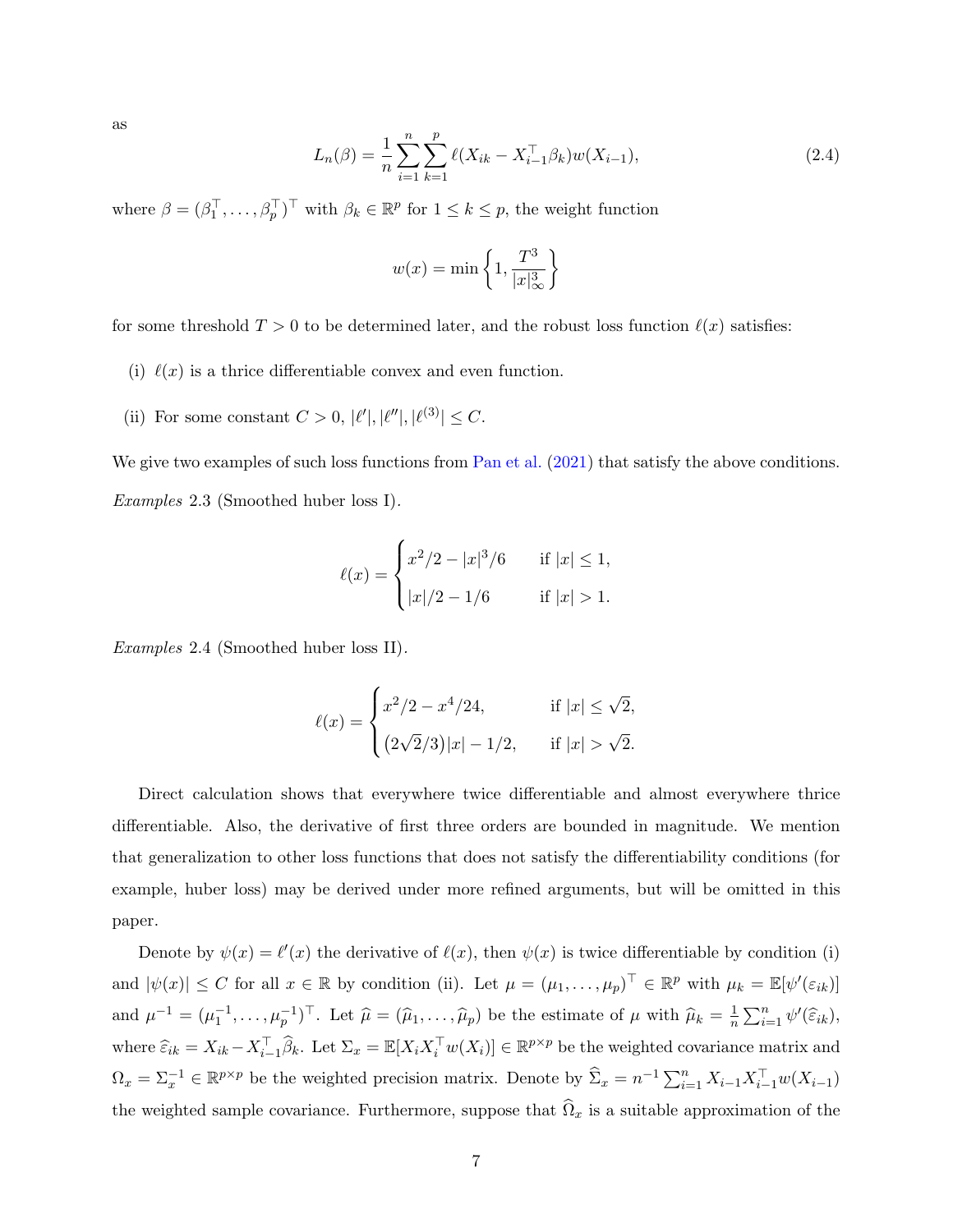as

<span id="page-6-0"></span>
$$
L_n(\beta) = \frac{1}{n} \sum_{i=1}^n \sum_{k=1}^p \ell(X_{ik} - X_{i-1}^\top \beta_k) w(X_{i-1}),
$$
\n(2.4)

where  $\beta = (\beta_1^\top, \ldots, \beta_p^\top)^\top$  with  $\beta_k \in \mathbb{R}^p$  for  $1 \leq k \leq p$ , the weight function

$$
w(x) = \min\left\{1, \frac{T^3}{|x|_\infty^3}\right\}
$$

for some threshold  $T > 0$  to be determined later, and the robust loss function  $\ell(x)$  satisfies:

- (i)  $\ell(x)$  is a thrice differentiable convex and even function.
- (ii) For some constant  $C > 0, |\ell'|, |\ell''|, |\ell^{(3)}| \leq C$ .

We give two examples of such loss functions from [Pan et al.](#page-35-8)  $(2021)$  that satisfy the above conditions. Examples 2.3 (Smoothed huber loss I).

$$
\ell(x) = \begin{cases} x^2/2 - |x|^3/6 & \text{if } |x| \le 1, \\ |x|/2 - 1/6 & \text{if } |x| > 1. \end{cases}
$$

Examples 2.4 (Smoothed huber loss II).

$$
\ell(x) = \begin{cases} x^2/2 - x^4/24, & \text{if } |x| \le \sqrt{2}, \\ (2\sqrt{2}/3)|x| - 1/2, & \text{if } |x| > \sqrt{2}. \end{cases}
$$

Direct calculation shows that everywhere twice differentiable and almost everywhere thrice differentiable. Also, the derivative of first three orders are bounded in magnitude. We mention that generalization to other loss functions that does not satisfy the differentiability conditions (for example, huber loss) may be derived under more refined arguments, but will be omitted in this paper.

Denote by  $\psi(x) = \ell'(x)$  the derivative of  $\ell(x)$ , then  $\psi(x)$  is twice differentiable by condition (i) and  $|\psi(x)| \leq C$  for all  $x \in \mathbb{R}$  by condition (ii). Let  $\mu = (\mu_1, \ldots, \mu_p)^\top \in \mathbb{R}^p$  with  $\mu_k = \mathbb{E}[\psi'(\varepsilon_{ik})]$ and  $\mu^{-1} = (\mu_1^{-1}, \dots, \mu_p^{-1})^{\top}$ . Let  $\widehat{\mu} = (\widehat{\mu}_1, \dots, \widehat{\mu}_p)$  be the estimate of  $\mu$  with  $\widehat{\mu}_k = \frac{1}{n}$  $\frac{1}{n} \sum_{i=1}^{n} \psi'(\widehat{\varepsilon}_{ik}),$ where  $\widehat{\varepsilon}_{ik} = X_{ik} - X_{i-1}^{\top} \widehat{\beta}_k$ . Let  $\Sigma_x = \mathbb{E}[X_i X_i^{\top} w(X_i)] \in \mathbb{R}^{p \times p}$  be the weighted covariance matrix and  $\Omega_x = \Sigma_x^{-1} \in \mathbb{R}^{p \times p}$  be the weighted precision matrix. Denote by  $\widehat{\Sigma}_x = n^{-1} \sum_{i=1}^n X_{i-1} X_{i-1}^\top w(X_{i-1})$ the weighted sample covariance. Furthermore, suppose that  $\widehat{\Omega}_x$  is a suitable approximation of the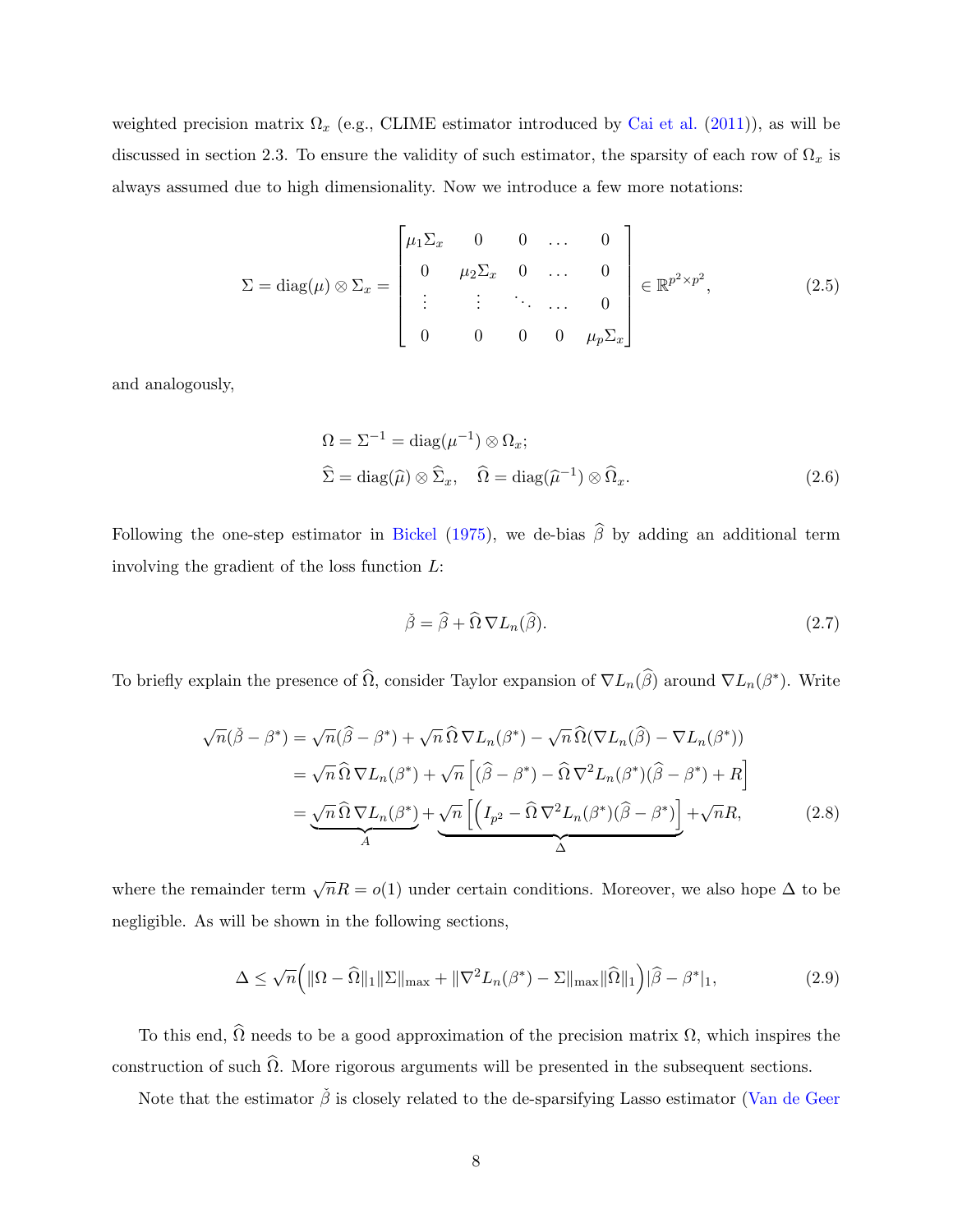weighted precision matrix  $\Omega_x$  (e.g., CLIME estimator introduced by [Cai et al.](#page-33-4) [\(2011\)](#page-33-4)), as will be discussed in section 2.3. To ensure the validity of such estimator, the sparsity of each row of  $\Omega_x$  is always assumed due to high dimensionality. Now we introduce a few more notations:

$$
\Sigma = \text{diag}(\mu) \otimes \Sigma_x = \begin{bmatrix} \mu_1 \Sigma_x & 0 & 0 & \dots & 0 \\ 0 & \mu_2 \Sigma_x & 0 & \dots & 0 \\ \vdots & \vdots & \ddots & \dots & 0 \\ 0 & 0 & 0 & 0 & \mu_p \Sigma_x \end{bmatrix} \in \mathbb{R}^{p^2 \times p^2},
$$
(2.5)

and analogously,

$$
\Omega = \Sigma^{-1} = \text{diag}(\mu^{-1}) \otimes \Omega_x;
$$
  

$$
\widehat{\Sigma} = \text{diag}(\widehat{\mu}) \otimes \widehat{\Sigma}_x, \quad \widehat{\Omega} = \text{diag}(\widehat{\mu}^{-1}) \otimes \widehat{\Omega}_x.
$$
 (2.6)

Following the one-step estimator in [Bickel](#page-33-3) [\(1975\)](#page-33-3), we de-bias  $\hat{\beta}$  by adding an additional term involving the gradient of the loss function L:

<span id="page-7-1"></span><span id="page-7-0"></span>
$$
\check{\beta} = \widehat{\beta} + \widehat{\Omega} \, \nabla L_n(\widehat{\beta}).\tag{2.7}
$$

To briefly explain the presence of  $\widehat{\Omega}$ , consider Taylor expansion of  $\nabla L_n(\widehat{\beta})$  around  $\nabla L_n(\beta^*)$ . Write

$$
\sqrt{n}(\tilde{\beta} - \beta^*) = \sqrt{n}(\widehat{\beta} - \beta^*) + \sqrt{n}\,\Omega\,\nabla L_n(\beta^*) - \sqrt{n}\,\Omega(\nabla L_n(\widehat{\beta}) - \nabla L_n(\beta^*))
$$
\n
$$
= \sqrt{n}\,\Omega\,\nabla L_n(\beta^*) + \sqrt{n}\left[ (\widehat{\beta} - \beta^*) - \widehat{\Omega}\,\nabla^2 L_n(\beta^*)(\widehat{\beta} - \beta^*) + R \right]
$$
\n
$$
= \underbrace{\sqrt{n}\,\Omega\,\nabla L_n(\beta^*)}_{A} + \underbrace{\sqrt{n}\left[ \left( I_{p^2} - \widehat{\Omega}\,\nabla^2 L_n(\beta^*)(\widehat{\beta} - \beta^*) \right) + \sqrt{n}R, \tag{2.8}
$$

where the remainder term  $\sqrt{n}R = o(1)$  under certain conditions. Moreover, we also hope  $\Delta$  to be negligible. As will be shown in the following sections,

<span id="page-7-2"></span>
$$
\Delta \leq \sqrt{n} \Big( \|\Omega - \widehat{\Omega}\|_{1} \|\Sigma\|_{\max} + \|\nabla^{2} L_{n}(\beta^{*}) - \Sigma\|_{\max} \|\widehat{\Omega}\|_{1} \Big) |\widehat{\beta} - \beta^{*}|_{1},
$$
\n(2.9)

To this end,  $\widehat{\Omega}$  needs to be a good approximation of the precision matrix  $\Omega$ , which inspires the construction of such  $\hat{\Omega}$ . More rigorous arguments will be presented in the subsequent sections.

Note that the estimator  $\check{\beta}$  is closely related to the de-sparsifying Lasso estimator [\(Van de Geer](#page-35-4)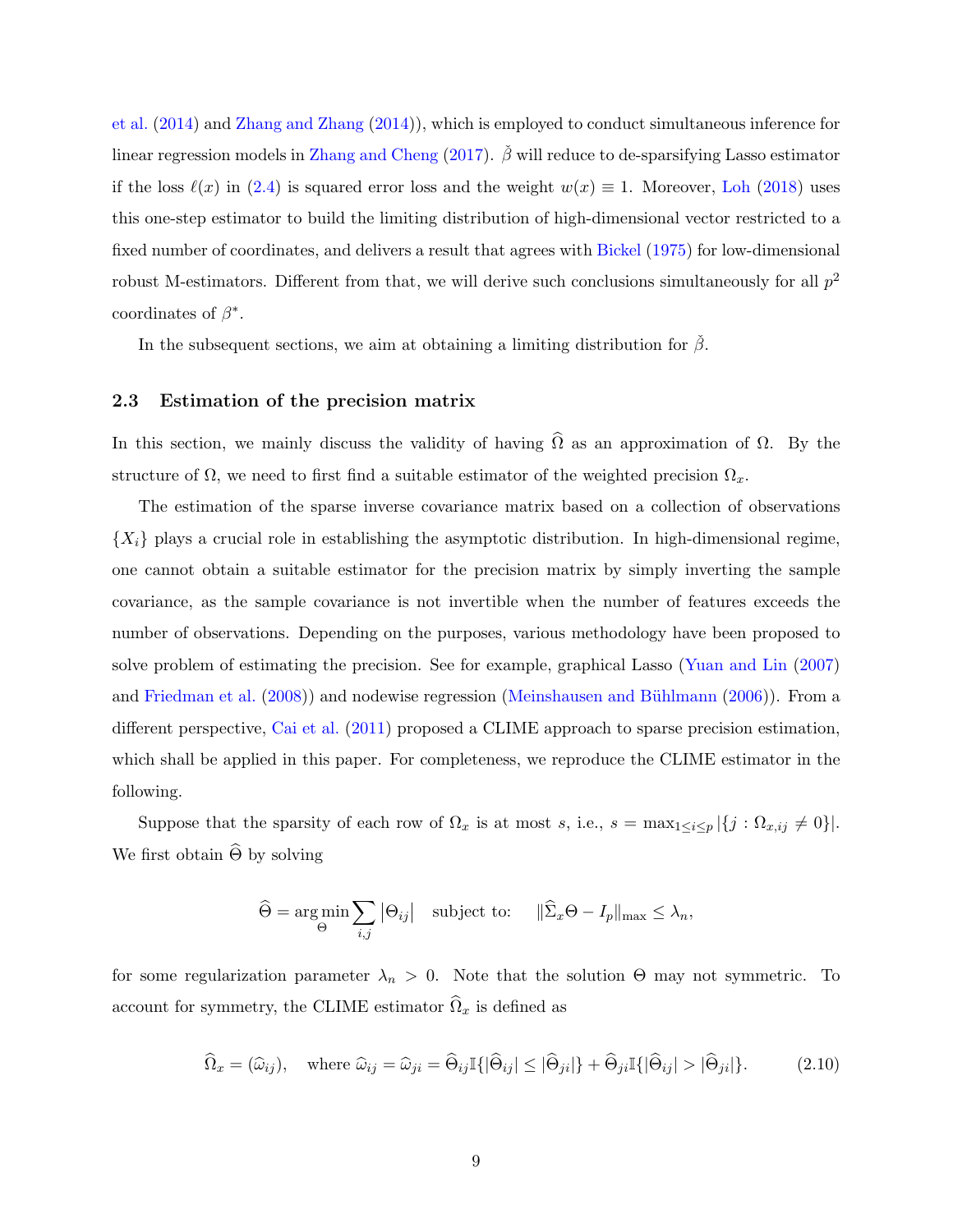[et al.](#page-35-4) [\(2014\)](#page-35-4) and [Zhang and Zhang](#page-36-3) [\(2014\)](#page-36-3)), which is employed to conduct simultaneous inference for linear regression models in [Zhang and Cheng](#page-36-4) [\(2017\)](#page-36-4).  $\beta$  will reduce to de-sparsifying Lasso estimator if the loss  $\ell(x)$  in [\(2.4\)](#page-6-0) is squared error loss and the weight  $w(x) \equiv 1$ . Moreover, [Loh](#page-34-7) [\(2018\)](#page-34-7) uses this one-step estimator to build the limiting distribution of high-dimensional vector restricted to a fixed number of coordinates, and delivers a result that agrees with [Bickel](#page-33-3) [\(1975\)](#page-33-3) for low-dimensional robust M-estimators. Different from that, we will derive such conclusions simultaneously for all  $p^2$ coordinates of  $\beta^*$ .

In the subsequent sections, we aim at obtaining a limiting distribution for  $\check{\beta}$ .

#### 2.3 Estimation of the precision matrix

In this section, we mainly discuss the validity of having  $\hat{\Omega}$  as an approximation of  $\Omega$ . By the structure of  $\Omega$ , we need to first find a suitable estimator of the weighted precision  $\Omega_x$ .

The estimation of the sparse inverse covariance matrix based on a collection of observations  ${X_i}$  plays a crucial role in establishing the asymptotic distribution. In high-dimensional regime, one cannot obtain a suitable estimator for the precision matrix by simply inverting the sample covariance, as the sample covariance is not invertible when the number of features exceeds the number of observations. Depending on the purposes, various methodology have been proposed to solve problem of estimating the precision. See for example, graphical Lasso [\(Yuan and Lin](#page-36-8) [\(2007\)](#page-36-8) and [Friedman et al.](#page-34-10) [\(2008\)](#page-34-10)) and nodewise regression (Meinshausen and Bühlmann [\(2006\)](#page-35-9)). From a different perspective, [Cai et al.](#page-33-4) [\(2011\)](#page-33-4) proposed a CLIME approach to sparse precision estimation, which shall be applied in this paper. For completeness, we reproduce the CLIME estimator in the following.

Suppose that the sparsity of each row of  $\Omega_x$  is at most s, i.e.,  $s = \max_{1 \leq i \leq p} |\{j : \Omega_{x,ij} \neq 0\}|$ . We first obtain  $\Theta$  by solving

$$
\widehat{\Theta} = \underset{\Theta}{\arg\min} \sum_{i,j} |\Theta_{ij}| \quad \text{subject to:} \quad ||\widehat{\Sigma}_x \Theta - I_p||_{\max} \le \lambda_n,
$$

for some regularization parameter  $\lambda_n > 0$ . Note that the solution  $\Theta$  may not symmetric. To account for symmetry, the CLIME estimator  $\widehat{\Omega}_x$  is defined as

<span id="page-8-0"></span>
$$
\widehat{\Omega}_x = (\widehat{\omega}_{ij}), \quad \text{where } \widehat{\omega}_{ij} = \widehat{\omega}_{ji} = \widehat{\Theta}_{ij} \mathbb{I}\{|\widehat{\Theta}_{ij}| \leq |\widehat{\Theta}_{ji}|\} + \widehat{\Theta}_{ji} \mathbb{I}\{|\widehat{\Theta}_{ij}| > |\widehat{\Theta}_{ji}|\}. \tag{2.10}
$$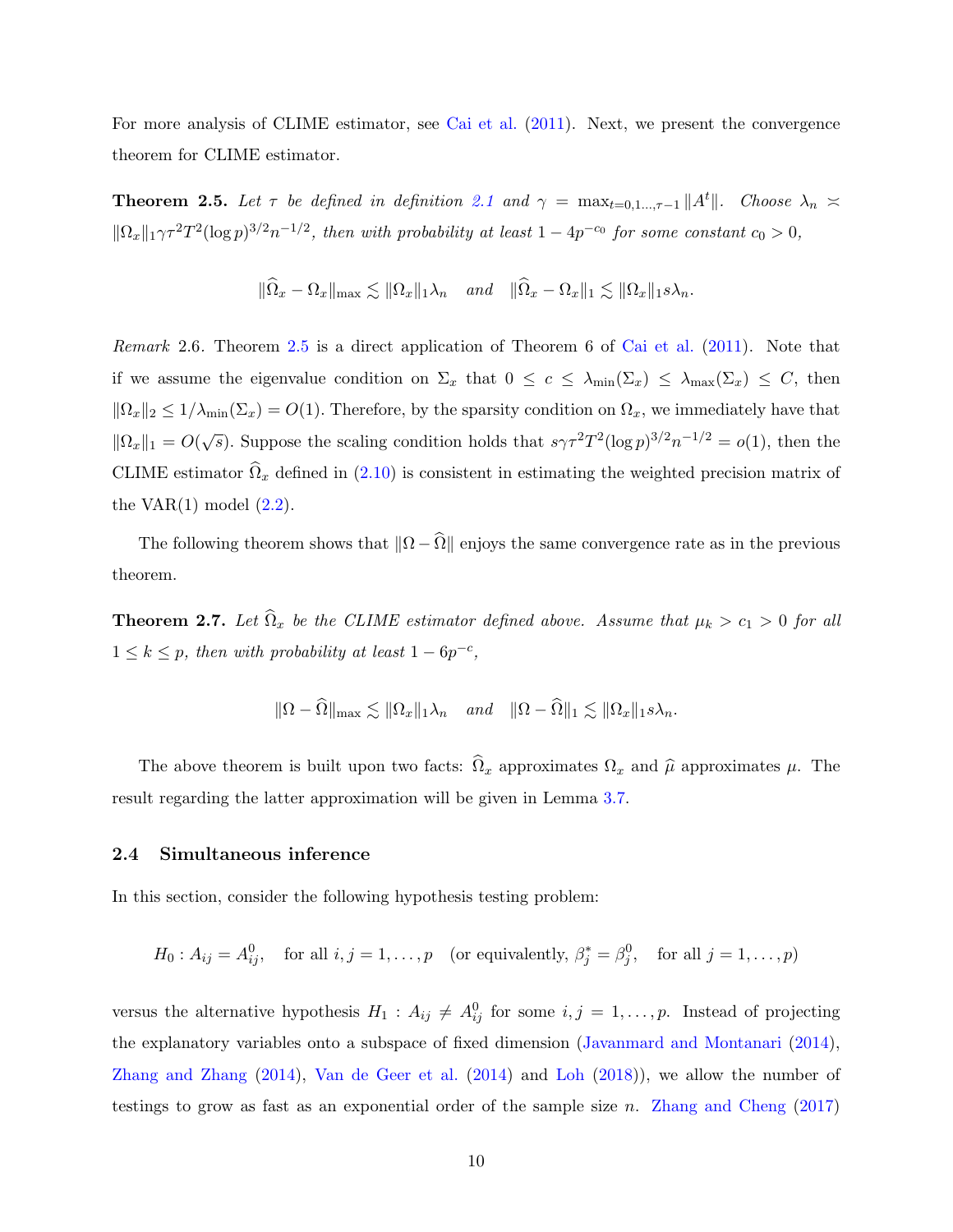For more analysis of CLIME estimator, see [Cai et al.](#page-33-4) [\(2011\)](#page-33-4). Next, we present the convergence theorem for CLIME estimator.

<span id="page-9-1"></span>**Theorem 2.5.** Let  $\tau$  be defined in definition [2.1](#page-5-1) and  $\gamma = \max_{t=0,1,\dots,\tau-1} ||A^t||$ . Choose  $\lambda_n \geq$  $\|\Omega_x\|_1 \gamma \tau^2 T^2 (\log p)^{3/2} n^{-1/2}$ , then with probability at least  $1 - 4p^{-c_0}$  for some constant  $c_0 > 0$ ,

$$
\|\widehat{\Omega}_x - \Omega_x\|_{\max} \lesssim \|\Omega_x\|_1 \lambda_n \quad \text{and} \quad \|\widehat{\Omega}_x - \Omega_x\|_1 \lesssim \|\Omega_x\|_1 s \lambda_n.
$$

Remark 2.6. Theorem [2.5](#page-9-1) is a direct application of Theorem 6 of [Cai et al.](#page-33-4) [\(2011\)](#page-33-4). Note that if we assume the eigenvalue condition on  $\Sigma_x$  that  $0 \le c \le \lambda_{\min}(\Sigma_x) \le \lambda_{\max}(\Sigma_x) \le C$ , then  $\|\Omega_x\|_2 \leq 1/\lambda_{\min}(\Sigma_x) = O(1)$ . Therefore, by the sparsity condition on  $\Omega_x$ , we immediately have that  $\|\Omega_x\|_1 = O(\sqrt{s})$ . Suppose the scaling condition holds that  $s\gamma \tau^2 T^2 (\log p)^{3/2} n^{-1/2} = o(1)$ , then the CLIME estimator  $\hat{\Omega}_x$  defined in [\(2.10\)](#page-8-0) is consistent in estimating the weighted precision matrix of the VAR $(1)$  model  $(2.2)$ .

The following theorem shows that  $\|\Omega - \widehat{\Omega}\|$  enjoys the same convergence rate as in the previous theorem.

<span id="page-9-2"></span>**Theorem 2.7.** Let  $\hat{\Omega}_x$  be the CLIME estimator defined above. Assume that  $\mu_k > c_1 > 0$  for all  $1 \leq k \leq p$ , then with probability at least  $1 - 6p^{-c}$ ,

$$
\|\Omega - \widehat{\Omega}\|_{\max} \lesssim \|\Omega_x\|_1 \lambda_n \quad \text{and} \quad \|\Omega - \widehat{\Omega}\|_1 \lesssim \|\Omega_x\|_1 s \lambda_n.
$$

The above theorem is built upon two facts:  $\hat{\Omega}_x$  approximates  $\Omega_x$  and  $\hat{\mu}$  approximates  $\mu$ . The result regarding the latter approximation will be given in Lemma [3.7.](#page-15-1)

#### <span id="page-9-0"></span>2.4 Simultaneous inference

In this section, consider the following hypothesis testing problem:

$$
H_0: A_{ij} = A_{ij}^0
$$
, for all  $i, j = 1, ..., p$  (or equivalently,  $\beta_j^* = \beta_j^0$ , for all  $j = 1, ..., p$ )

versus the alternative hypothesis  $H_1: A_{ij} \neq A_{ij}^0$  for some  $i, j = 1, \ldots, p$ . Instead of projecting the explanatory variables onto a subspace of fixed dimension [\(Javanmard and Montanari](#page-34-6) [\(2014\)](#page-34-6), [Zhang and Zhang](#page-36-3) [\(2014\)](#page-36-3), [Van de Geer et al.](#page-35-4) [\(2014\)](#page-35-4) and [Loh](#page-34-7) [\(2018\)](#page-34-7)), we allow the number of testings to grow as fast as an exponential order of the sample size n. [Zhang and Cheng](#page-36-4) [\(2017\)](#page-36-4)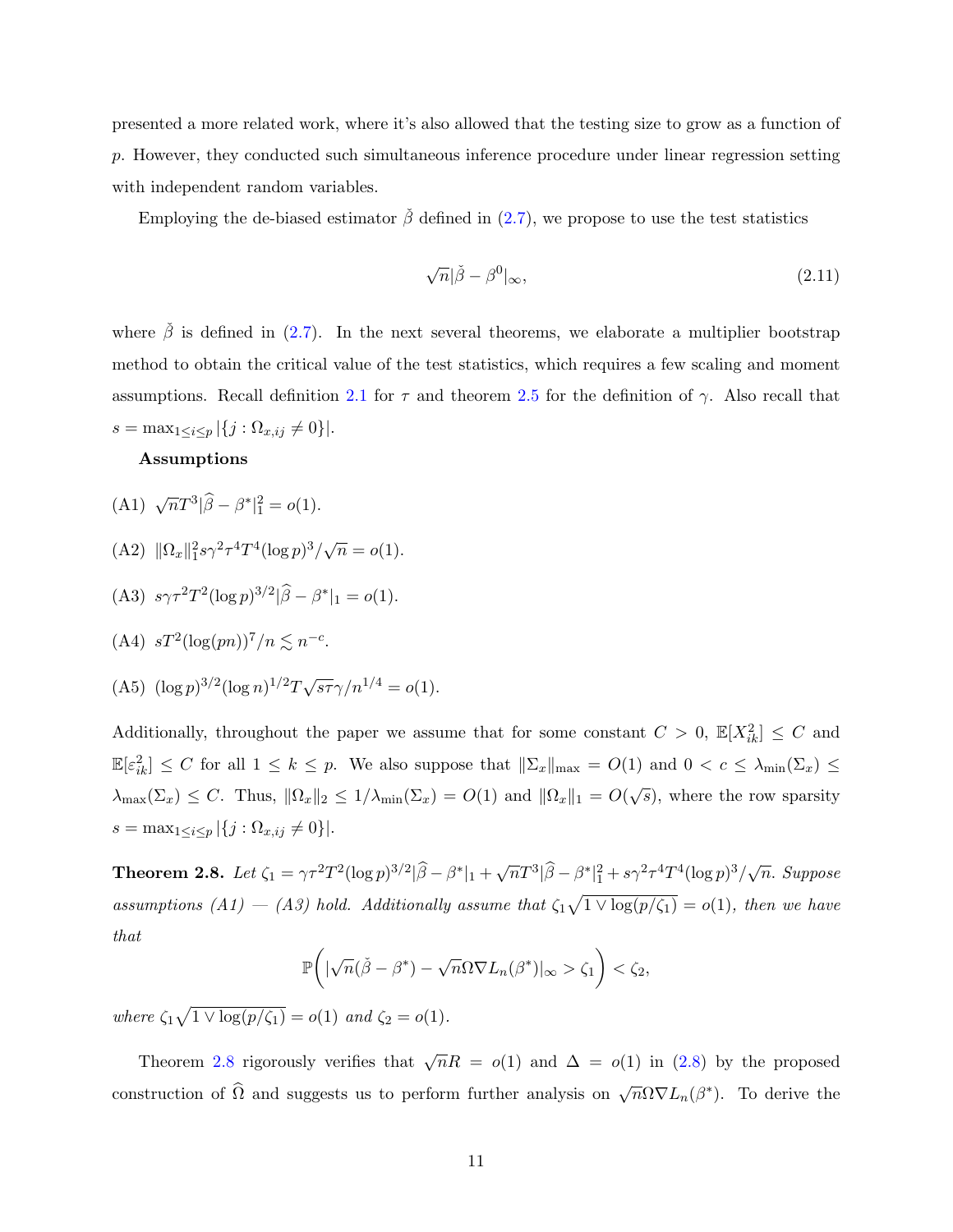presented a more related work, where it's also allowed that the testing size to grow as a function of p. However, they conducted such simultaneous inference procedure under linear regression setting with independent random variables.

Employing the de-biased estimator  $\check{\beta}$  defined in [\(2.7\)](#page-7-0), we propose to use the test statistics

<span id="page-10-1"></span>
$$
\sqrt{n}|\check{\beta} - \beta^0|_{\infty},\tag{2.11}
$$

where  $\check{\beta}$  is defined in [\(2.7\)](#page-7-0). In the next several theorems, we elaborate a multiplier bootstrap method to obtain the critical value of the test statistics, which requires a few scaling and moment assumptions. Recall definition [2.1](#page-5-1) for  $\tau$  and theorem [2.5](#page-9-1) for the definition of  $\gamma$ . Also recall that  $s = \max_{1 \leq i \leq p} |\{j : \Omega_{x, ij} \neq 0\}|.$ 

#### Assumptions

- (A1)  $\sqrt{n}T^3|\hat{\beta} \beta^*|^2_1 = o(1).$
- (A2)  $\|\Omega_x\|_1^2 s \gamma^2 \tau^4 T^4 (\log p)^3 / \sqrt{n} = o(1).$

(A3) 
$$
s\gamma \tau^2 T^2 (\log p)^{3/2} |\widehat{\beta} - \beta^*|_1 = o(1).
$$

$$
(A4) \ sT^2(\log(pn))^7/n \lesssim n^{-c}.
$$

(A5) 
$$
(\log p)^{3/2} (\log n)^{1/2} T \sqrt{s \tau} \gamma / n^{1/4} = o(1)
$$
.

Additionally, throughout the paper we assume that for some constant  $C > 0$ ,  $\mathbb{E}[X_{ik}^2] \leq C$  and  $\mathbb{E}[\varepsilon_{ik}^2] \leq C$  for all  $1 \leq k \leq p$ . We also suppose that  $\|\Sigma_x\|_{\max} = O(1)$  and  $0 < c \leq \lambda_{\min}(\Sigma_x) \leq$  $\lambda_{\max}(\Sigma_x) \leq C$ . Thus,  $\|\Omega_x\|_2 \leq 1/\lambda_{\min}(\Sigma_x) = O(1)$  and  $\|\Omega_x\|_1 = O(\sqrt{s})$ , where the row sparsity  $s = \max_{1 \leq i \leq p} |\{j : \Omega_{x, ij} \neq 0\}|.$ 

<span id="page-10-0"></span>**Theorem 2.8.** Let  $\zeta_1 = \gamma \tau^2 T^2 (\log p)^{3/2} |\widehat{\beta} - \beta^*|_1 + \sqrt{n} T^3 |\widehat{\beta} - \beta^*|_1^2 + s \gamma^2 \tau^4 T^4 (\log p)^3 / \sqrt{n}$ . Suppose assumptions (A1) – (A3) hold. Additionally assume that  $\zeta_1\sqrt{1 \vee \log(p/\zeta_1)} = o(1)$ , then we have that

$$
\mathbb{P}\bigg(|\sqrt{n}(\check{\beta}-\beta^*)-\sqrt{n}\Omega\nabla L_n(\beta^*)|_{\infty}>\zeta_1\bigg)<\zeta_2,
$$

where  $\zeta_1 \sqrt{1 \vee \log(p/\zeta_1)} = o(1)$  and  $\zeta_2 = o(1)$ .

Theorem [2.8](#page-10-0) rigorously verifies that  $\sqrt{n}R = o(1)$  and  $\Delta = o(1)$  in [\(2.8\)](#page-7-1) by the proposed construction of  $\widehat{\Omega}$  and suggests us to perform further analysis on  $\sqrt{n}\Omega\nabla L_n(\beta^*)$ . To derive the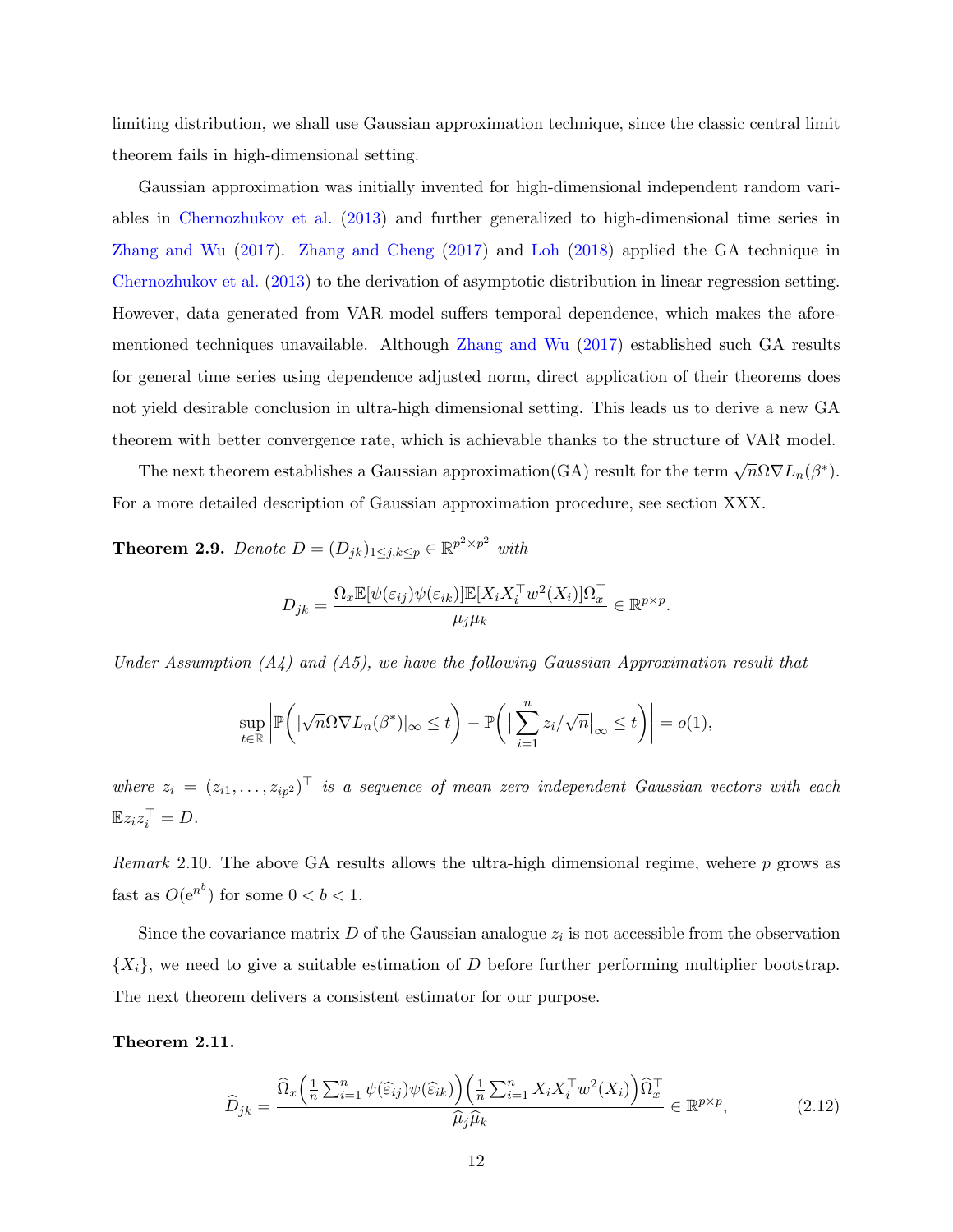limiting distribution, we shall use Gaussian approximation technique, since the classic central limit theorem fails in high-dimensional setting.

Gaussian approximation was initially invented for high-dimensional independent random variables in [Chernozhukov et al.](#page-34-8) [\(2013\)](#page-34-8) and further generalized to high-dimensional time series in [Zhang and Wu](#page-36-5) [\(2017\)](#page-36-5). [Zhang and Cheng](#page-36-4) [\(2017\)](#page-36-4) and [Loh](#page-34-7) [\(2018\)](#page-34-7) applied the GA technique in [Chernozhukov et al.](#page-34-8) [\(2013\)](#page-34-8) to the derivation of asymptotic distribution in linear regression setting. However, data generated from VAR model suffers temporal dependence, which makes the aforementioned techniques unavailable. Although [Zhang and Wu](#page-36-5) [\(2017\)](#page-36-5) established such GA results for general time series using dependence adjusted norm, direct application of their theorems does not yield desirable conclusion in ultra-high dimensional setting. This leads us to derive a new GA theorem with better convergence rate, which is achievable thanks to the structure of VAR model.

The next theorem establishes a Gaussian approximation(GA) result for the term  $\sqrt{n}\Omega \nabla L_n(\beta^*)$ . For a more detailed description of Gaussian approximation procedure, see section XXX.

<span id="page-11-2"></span>**Theorem 2.9.** Denote  $D = (D_{jk})_{1 \leq j,k \leq p} \in \mathbb{R}^{p^2 \times p^2}$  with

$$
D_{jk} = \frac{\Omega_x \mathbb{E}[\psi(\varepsilon_{ij})\psi(\varepsilon_{ik})]\mathbb{E}[X_i X_i^\top w^2(X_i)]\Omega_x^\top}{\mu_j \mu_k} \in \mathbb{R}^{p \times p}.
$$

Under Assumption  $(A_4)$  and  $(A_5)$ , we have the following Gaussian Approximation result that

$$
\sup_{t\in\mathbb{R}}\left|\mathbb{P}\bigg(|\sqrt{n}\Omega\nabla L_n(\beta^*)|_{\infty}\leq t\bigg)-\mathbb{P}\bigg(\big|\sum_{i=1}^nz_i/\sqrt{n}\big|_{\infty}\leq t\bigg)\right|=o(1),
$$

where  $z_i = (z_{i1}, \ldots, z_{ip^2})^\top$  is a sequence of mean zero independent Gaussian vectors with each  $\mathbb{E} z_i z_i^{\top} = D.$ 

Remark 2.10. The above GA results allows the ultra-high dimensional regime, wehere  $p$  grows as fast as  $O(e^{n^b})$  for some  $0 < b < 1$ .

Since the covariance matrix  $D$  of the Gaussian analogue  $z_i$  is not accessible from the observation  ${X_i}$ , we need to give a suitable estimation of D before further performing multiplier bootstrap. The next theorem delivers a consistent estimator for our purpose.

<span id="page-11-1"></span>Theorem 2.11.

<span id="page-11-0"></span>
$$
\widehat{D}_{jk} = \frac{\widehat{\Omega}_{x} \left( \frac{1}{n} \sum_{i=1}^{n} \psi(\widehat{\varepsilon}_{ij}) \psi(\widehat{\varepsilon}_{ik}) \right) \left( \frac{1}{n} \sum_{i=1}^{n} X_i X_i^{\top} w^2(X_i) \right) \widehat{\Omega}_{x}^{\top}}{\widehat{\mu}_{j} \widehat{\mu}_{k}} \in \mathbb{R}^{p \times p},\tag{2.12}
$$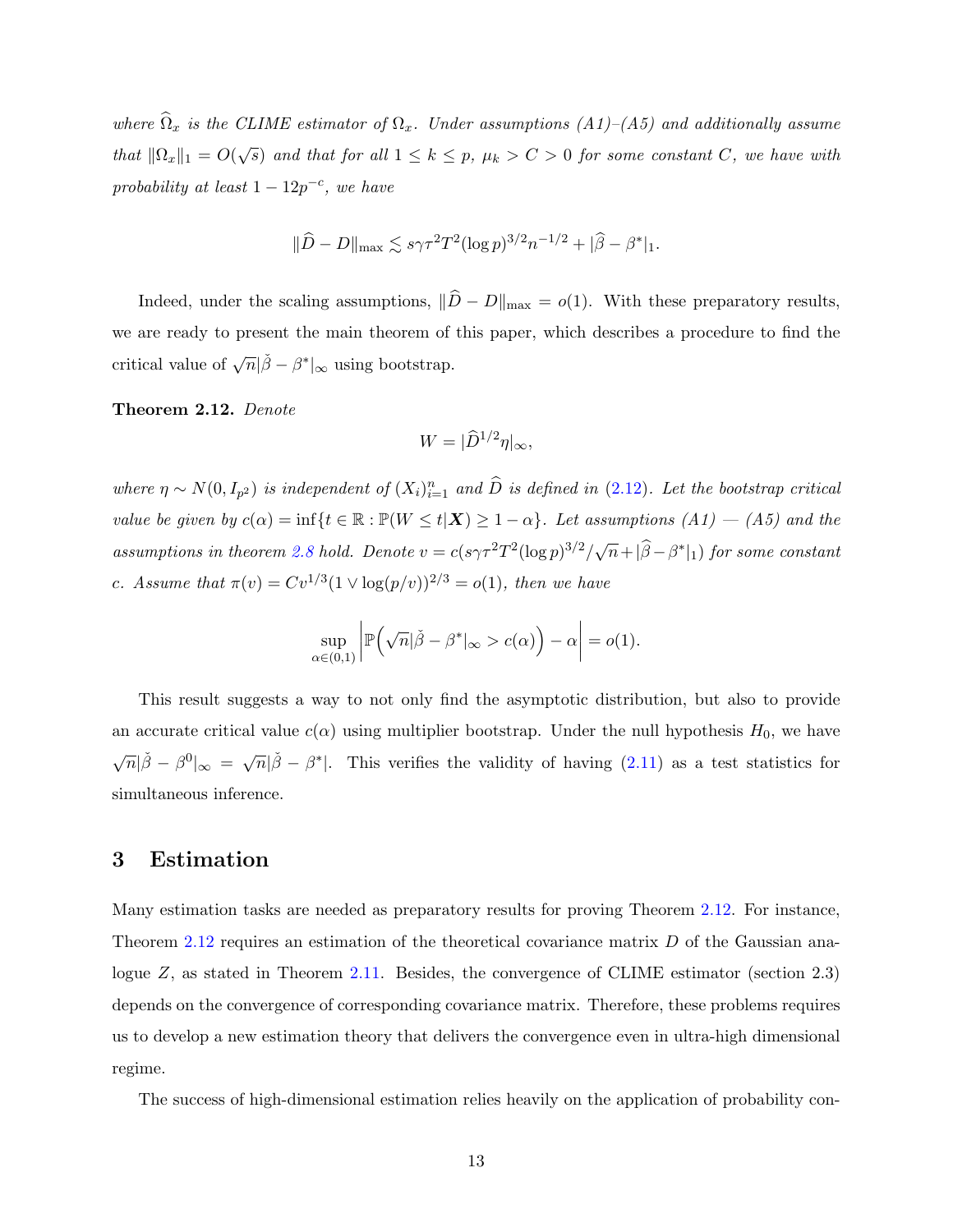where  $\widehat{\Omega}_x$  is the CLIME estimator of  $\Omega_x$ . Under assumptions  $(A1)-(A5)$  and additionally assume that  $\|\Omega_x\|_1 = O(\sqrt{s})$  and that for all  $1 \leq k \leq p$ ,  $\mu_k > C > 0$  for some constant C, we have with probability at least  $1 - 12p^{-c}$ , we have

$$
\|\widehat{D} - D\|_{\max} \lesssim s\gamma \tau^2 T^2 (\log p)^{3/2} n^{-1/2} + |\widehat{\beta} - \beta^*|_1.
$$

Indeed, under the scaling assumptions,  $\|\hat{D} - D\|_{\max} = o(1)$ . With these preparatory results, we are ready to present the main theorem of this paper, which describes a procedure to find the critical value of  $\sqrt{n}|\check{\beta} - \beta^*|_{\infty}$  using bootstrap.

<span id="page-12-1"></span>Theorem 2.12. Denote

$$
W = |\widehat{D}^{1/2}\eta|_{\infty},
$$

where  $\eta \sim N(0, I_{p^2})$  is independent of  $(X_i)_{i=1}^n$  and  $\widehat{D}$  is defined in  $(2.12)$ . Let the bootstrap critical value be given by  $c(\alpha) = \inf\{t \in \mathbb{R} : \mathbb{P}(W \le t | \mathbf{X}) \ge 1 - \alpha\}$ . Let assumptions  $(A1) - (A5)$  and the assumptions in theorem [2.8](#page-10-0) hold. Denote  $v = c(s\gamma \tau^2 T^2 (\log p)^{3/2} / \sqrt{n} + |\widehat{\beta} - \beta^*|_1)$  for some constant c. Assume that  $\pi(v) = Cv^{1/3} (1 \vee \log(p/v))^{2/3} = o(1)$ , then we have

$$
\sup_{\alpha\in(0,1)}\left|\mathbb{P}\left(\sqrt{n}|\check{\beta}-\beta^*|_{\infty}>c(\alpha)\right)-\alpha\right|=o(1).
$$

This result suggests a way to not only find the asymptotic distribution, but also to provide an accurate critical value  $c(\alpha)$  using multiplier bootstrap. Under the null hypothesis  $H_0$ , we have  $\sqrt{n}|\tilde{\beta} - \beta^0|_{\infty} = \sqrt{n}|\tilde{\beta} - \beta^*|$ . This verifies the validity of having [\(2.11\)](#page-10-1) as a test statistics for simultaneous inference.

## <span id="page-12-0"></span>3 Estimation

Many estimation tasks are needed as preparatory results for proving Theorem [2.12.](#page-12-1) For instance, Theorem [2.12](#page-12-1) requires an estimation of the theoretical covariance matrix D of the Gaussian ana-logue Z, as stated in Theorem [2.11.](#page-11-1) Besides, the convergence of CLIME estimator (section 2.3) depends on the convergence of corresponding covariance matrix. Therefore, these problems requires us to develop a new estimation theory that delivers the convergence even in ultra-high dimensional regime.

The success of high-dimensional estimation relies heavily on the application of probability con-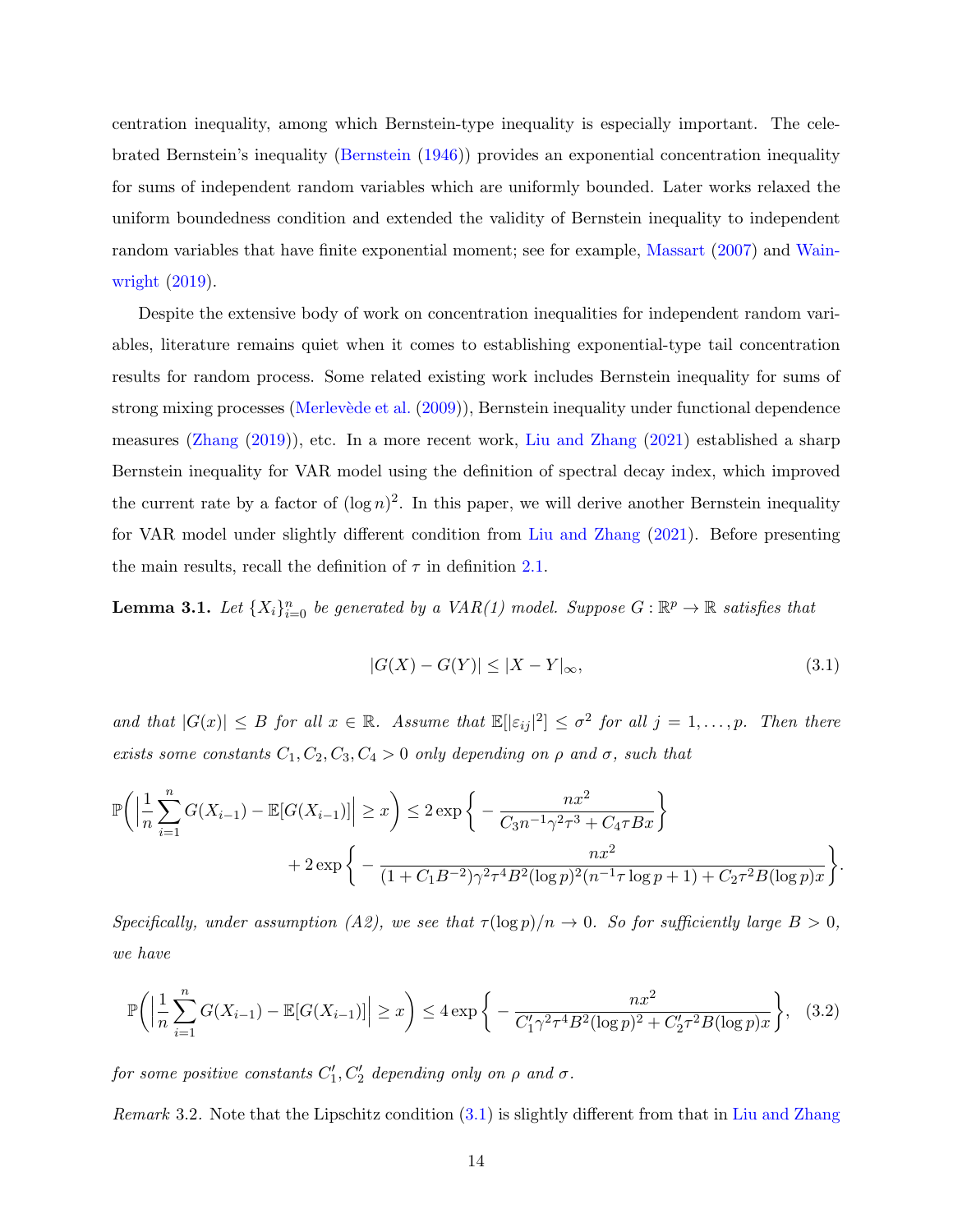centration inequality, among which Bernstein-type inequality is especially important. The celebrated Bernstein's inequality [\(Bernstein](#page-33-5) [\(1946\)](#page-33-5)) provides an exponential concentration inequality for sums of independent random variables which are uniformly bounded. Later works relaxed the uniform boundedness condition and extended the validity of Bernstein inequality to independent random variables that have finite exponential moment; see for example, [Massart](#page-35-10) [\(2007\)](#page-35-10) and [Wain](#page-36-9)[wright](#page-36-9) [\(2019\)](#page-36-9).

Despite the extensive body of work on concentration inequalities for independent random variables, literature remains quiet when it comes to establishing exponential-type tail concentration results for random process. Some related existing work includes Bernstein inequality for sums of strong mixing processes (Merlevède et al.  $(2009)$ ), Bernstein inequality under functional dependence measures [\(Zhang](#page-36-2) [\(2019\)](#page-36-2)), etc. In a more recent work, [Liu and Zhang](#page-34-5) [\(2021\)](#page-34-5) established a sharp Bernstein inequality for VAR model using the definition of spectral decay index, which improved the current rate by a factor of  $(\log n)^2$ . In this paper, we will derive another Bernstein inequality for VAR model under slightly different condition from [Liu and Zhang](#page-34-5) [\(2021\)](#page-34-5). Before presenting the main results, recall the definition of  $\tau$  in definition [2.1.](#page-5-1)

<span id="page-13-2"></span>**Lemma 3.1.** Let  $\{X_i\}_{i=0}^n$  be generated by a VAR(1) model. Suppose  $G : \mathbb{R}^p \to \mathbb{R}$  satisfies that

<span id="page-13-1"></span><span id="page-13-0"></span>
$$
|G(X) - G(Y)| \le |X - Y|_{\infty},\tag{3.1}
$$

and that  $|G(x)| \leq B$  for all  $x \in \mathbb{R}$ . Assume that  $\mathbb{E}[\lvert \varepsilon_{ij} \rvert^2] \leq \sigma^2$  for all  $j = 1, \ldots, p$ . Then there exists some constants  $C_1, C_2, C_3, C_4 > 0$  only depending on  $\rho$  and  $\sigma$ , such that

$$
\mathbb{P}\bigg(\Big|\frac{1}{n}\sum_{i=1}^{n}G(X_{i-1}) - \mathbb{E}[G(X_{i-1})]\Big| \geq x\bigg) \leq 2\exp\bigg\{-\frac{nx^2}{C_3n^{-1}\gamma^2\tau^3 + C_4\tau Bx}\bigg\} + 2\exp\bigg\{-\frac{nx^2}{(1+C_1B^{-2})\gamma^2\tau^4B^2(\log p)^2(n^{-1}\tau\log p+1) + C_2\tau^2B(\log p)x}\bigg\}.
$$

Specifically, under assumption (A2), we see that  $\tau(\log p)/n \to 0$ . So for sufficiently large  $B > 0$ , we have

$$
\mathbb{P}\bigg(\Big|\frac{1}{n}\sum_{i=1}^{n}G(X_{i-1}) - \mathbb{E}[G(X_{i-1})]\Big| \geq x\bigg) \leq 4\exp\bigg\{-\frac{nx^2}{C_1'\gamma^2\tau^4B^2(\log p)^2 + C_2'\tau^2B(\log p)x}\bigg\},\quad(3.2)
$$

for some positive constants  $C_1', C_2'$  depending only on  $\rho$  and  $\sigma$ .

Remark 3.2. Note that the Lipschitz condition [\(3.1\)](#page-13-0) is slightly different from that in [Liu and Zhang](#page-34-5)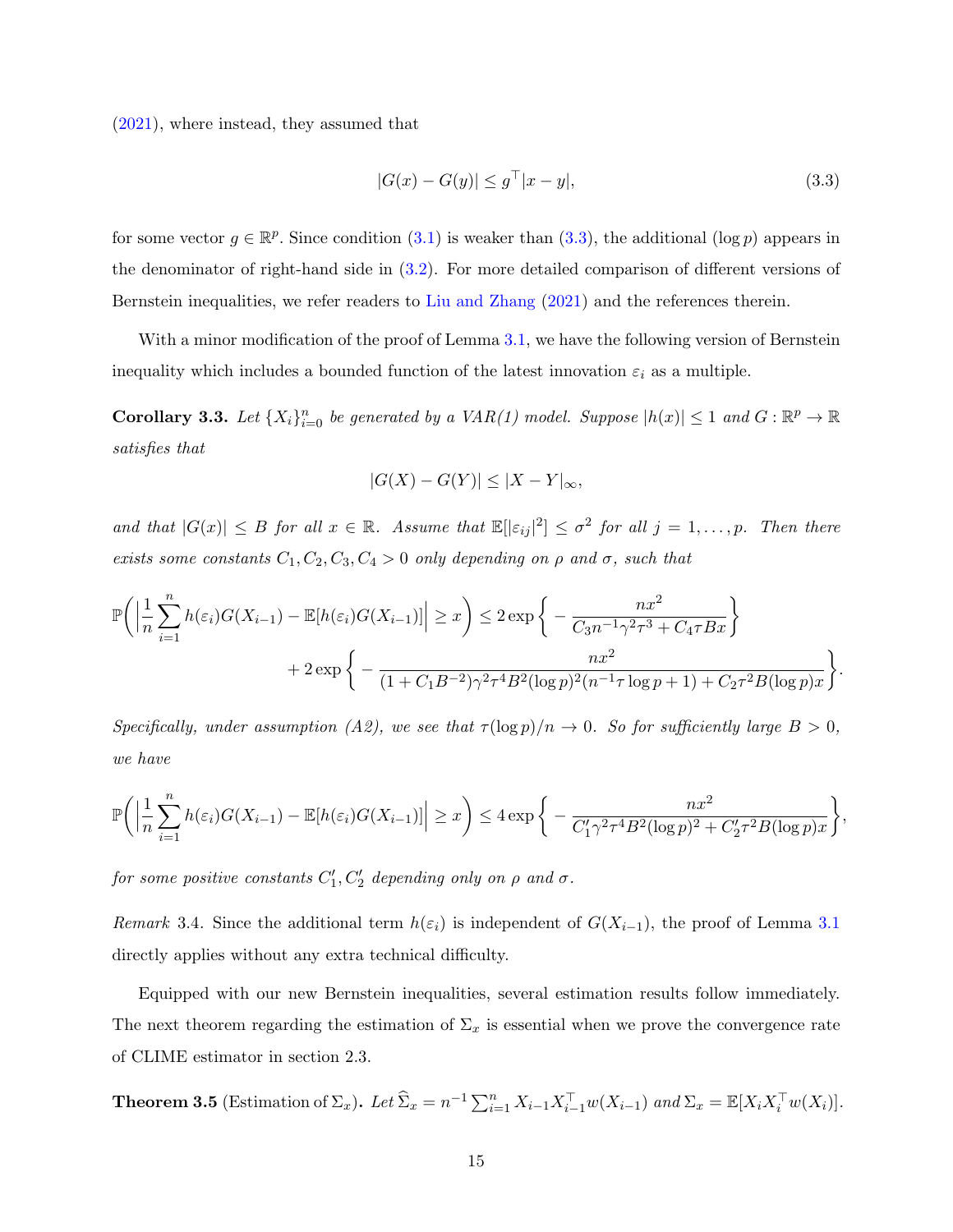[\(2021\)](#page-34-5), where instead, they assumed that

<span id="page-14-0"></span>
$$
|G(x) - G(y)| \le g^{\top} |x - y|,
$$
\n(3.3)

for some vector  $g \in \mathbb{R}^p$ . Since condition [\(3.1\)](#page-13-0) is weaker than [\(3.3\)](#page-14-0), the additional (log p) appears in the denominator of right-hand side in [\(3.2\)](#page-13-1). For more detailed comparison of different versions of Bernstein inequalities, we refer readers to [Liu and Zhang](#page-34-5) [\(2021\)](#page-34-5) and the references therein.

With a minor modification of the proof of Lemma [3.1,](#page-13-2) we have the following version of Bernstein inequality which includes a bounded function of the latest innovation  $\varepsilon_i$  as a multiple.

<span id="page-14-2"></span>**Corollary 3.3.** Let  $\{X_i\}_{i=0}^n$  be generated by a VAR(1) model. Suppose  $|h(x)| \leq 1$  and  $G : \mathbb{R}^p \to \mathbb{R}$ satisfies that

$$
|G(X) - G(Y)| \le |X - Y|_{\infty},
$$

and that  $|G(x)| \leq B$  for all  $x \in \mathbb{R}$ . Assume that  $\mathbb{E}[\lvert \varepsilon_{ij} \rvert^2] \leq \sigma^2$  for all  $j = 1, \ldots, p$ . Then there exists some constants  $C_1, C_2, C_3, C_4 > 0$  only depending on  $\rho$  and  $\sigma$ , such that

$$
\mathbb{P}\bigg(\Big|\frac{1}{n}\sum_{i=1}^{n}h(\varepsilon_i)G(X_{i-1}) - \mathbb{E}[h(\varepsilon_i)G(X_{i-1})]\Big| \geq x\bigg) \leq 2\exp\bigg\{-\frac{nx^2}{C_3n^{-1}\gamma^2\tau^3 + C_4\tau Bx}\bigg\} + 2\exp\bigg\{-\frac{nx^2}{(1+C_1B^{-2})\gamma^2\tau^4B^2(\log p)^2(n^{-1}\tau\log p+1) + C_2\tau^2B(\log p)x}\bigg\}.
$$

Specifically, under assumption (A2), we see that  $\tau(\log p)/n \to 0$ . So for sufficiently large  $B > 0$ , we have

$$
\mathbb{P}\bigg(\Big|\frac{1}{n}\sum_{i=1}^n h(\varepsilon_i)G(X_{i-1}) - \mathbb{E}[h(\varepsilon_i)G(X_{i-1})]\Big| \geq x\bigg) \leq 4\exp\bigg\{-\frac{nx^2}{C'_1\gamma^2\tau^4B^2(\log p)^2 + C'_2\tau^2B(\log p)x}\bigg\},
$$

for some positive constants  $C_1', C_2'$  depending only on  $\rho$  and  $\sigma$ .

Remark 3.4. Since the additional term  $h(\varepsilon_i)$  is independent of  $G(X_{i-1})$ , the proof of Lemma [3.1](#page-13-2) directly applies without any extra technical difficulty.

Equipped with our new Bernstein inequalities, several estimation results follow immediately. The next theorem regarding the estimation of  $\Sigma_x$  is essential when we prove the convergence rate of CLIME estimator in section 2.3.

<span id="page-14-1"></span>**Theorem 3.5** (Estimation of  $\Sigma_x$ ). Let  $\widehat{\Sigma}_x = n^{-1} \sum_{i=1}^n X_{i-1} X_{i-1}^\top w(X_{i-1})$  and  $\Sigma_x = \mathbb{E}[X_i X_i^\top w(X_i)].$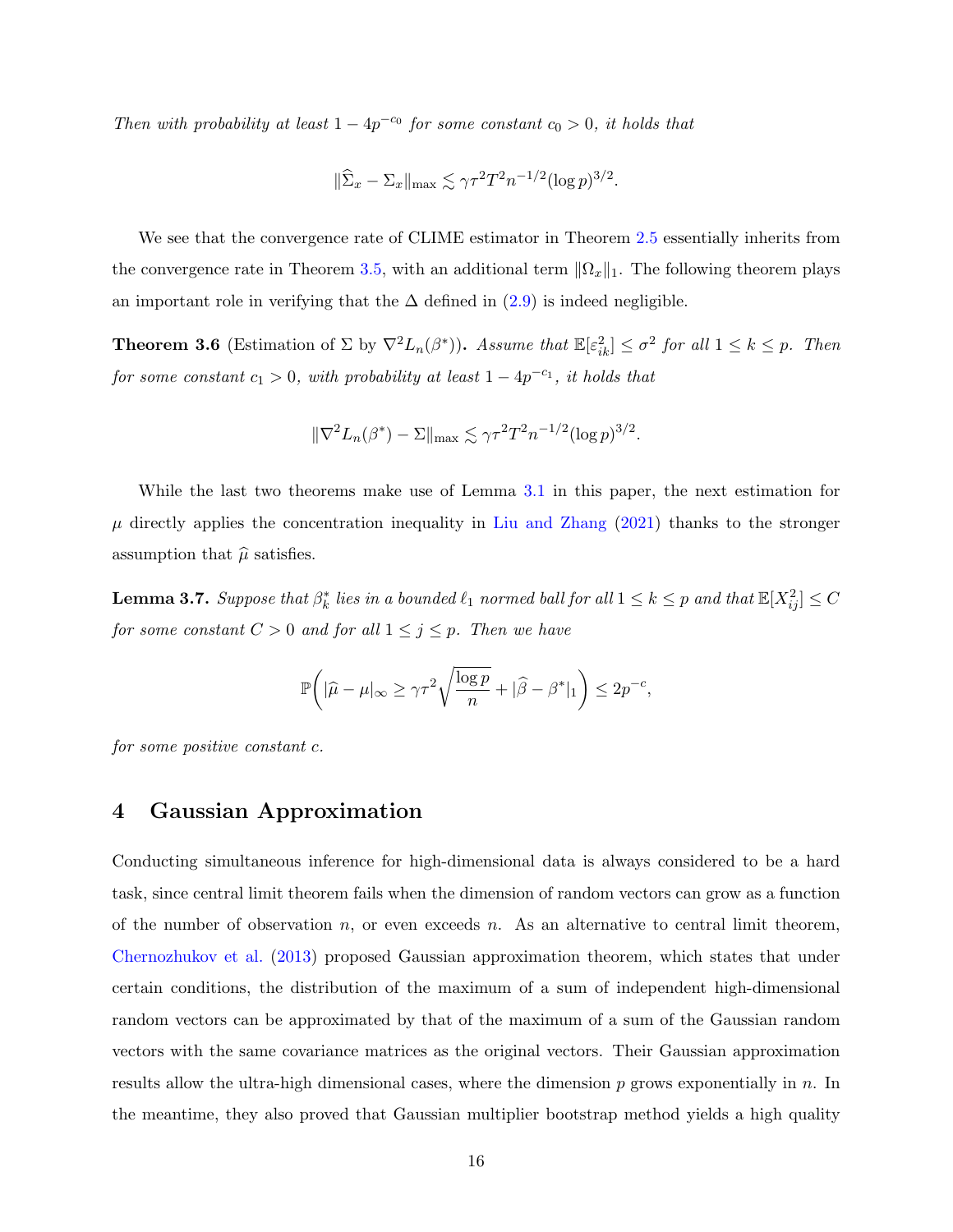Then with probability at least  $1 - 4p^{-c_0}$  for some constant  $c_0 > 0$ , it holds that

$$
\|\widehat{\Sigma}_x - \Sigma_x\|_{\max} \lesssim \gamma \tau^2 T^2 n^{-1/2} (\log p)^{3/2}.
$$

We see that the convergence rate of CLIME estimator in Theorem [2.5](#page-9-1) essentially inherits from the convergence rate in Theorem [3.5,](#page-14-1) with an additional term  $\|\Omega_x\|_1$ . The following theorem plays an important role in verifying that the  $\Delta$  defined in [\(2.9\)](#page-7-2) is indeed negligible.

<span id="page-15-2"></span>**Theorem 3.6** (Estimation of  $\Sigma$  by  $\nabla^2 L_n(\beta^*)$ ). Assume that  $\mathbb{E}[\varepsilon_{ik}^2] \leq \sigma^2$  for all  $1 \leq k \leq p$ . Then for some constant  $c_1 > 0$ , with probability at least  $1 - 4p^{-c_1}$ , it holds that

$$
\|\nabla^2 L_n(\beta^*) - \Sigma\|_{\max} \lesssim \gamma \tau^2 T^2 n^{-1/2} (\log p)^{3/2}.
$$

While the last two theorems make use of Lemma [3.1](#page-13-2) in this paper, the next estimation for  $\mu$  directly applies the concentration inequality in [Liu and Zhang](#page-34-5) [\(2021\)](#page-34-5) thanks to the stronger assumption that  $\hat{\mu}$  satisfies.

<span id="page-15-1"></span>**Lemma 3.7.** Suppose that  $\beta_k^*$  lies in a bounded  $\ell_1$  normed ball for all  $1 \leq k \leq p$  and that  $\mathbb{E}[X_{ij}^2] \leq C$ for some constant  $C > 0$  and for all  $1 \leq j \leq p$ . Then we have

$$
\mathbb{P}\bigg( |\widehat{\mu} - \mu|_{\infty} \ge \gamma \tau^2 \sqrt{\frac{\log p}{n}} + |\widehat{\beta} - \beta^*|_1 \bigg) \le 2p^{-c},
$$

for some positive constant c.

## <span id="page-15-0"></span>4 Gaussian Approximation

Conducting simultaneous inference for high-dimensional data is always considered to be a hard task, since central limit theorem fails when the dimension of random vectors can grow as a function of the number of observation  $n$ , or even exceeds  $n$ . As an alternative to central limit theorem, [Chernozhukov et al.](#page-34-8) [\(2013\)](#page-34-8) proposed Gaussian approximation theorem, which states that under certain conditions, the distribution of the maximum of a sum of independent high-dimensional random vectors can be approximated by that of the maximum of a sum of the Gaussian random vectors with the same covariance matrices as the original vectors. Their Gaussian approximation results allow the ultra-high dimensional cases, where the dimension  $p$  grows exponentially in  $n$ . In the meantime, they also proved that Gaussian multiplier bootstrap method yields a high quality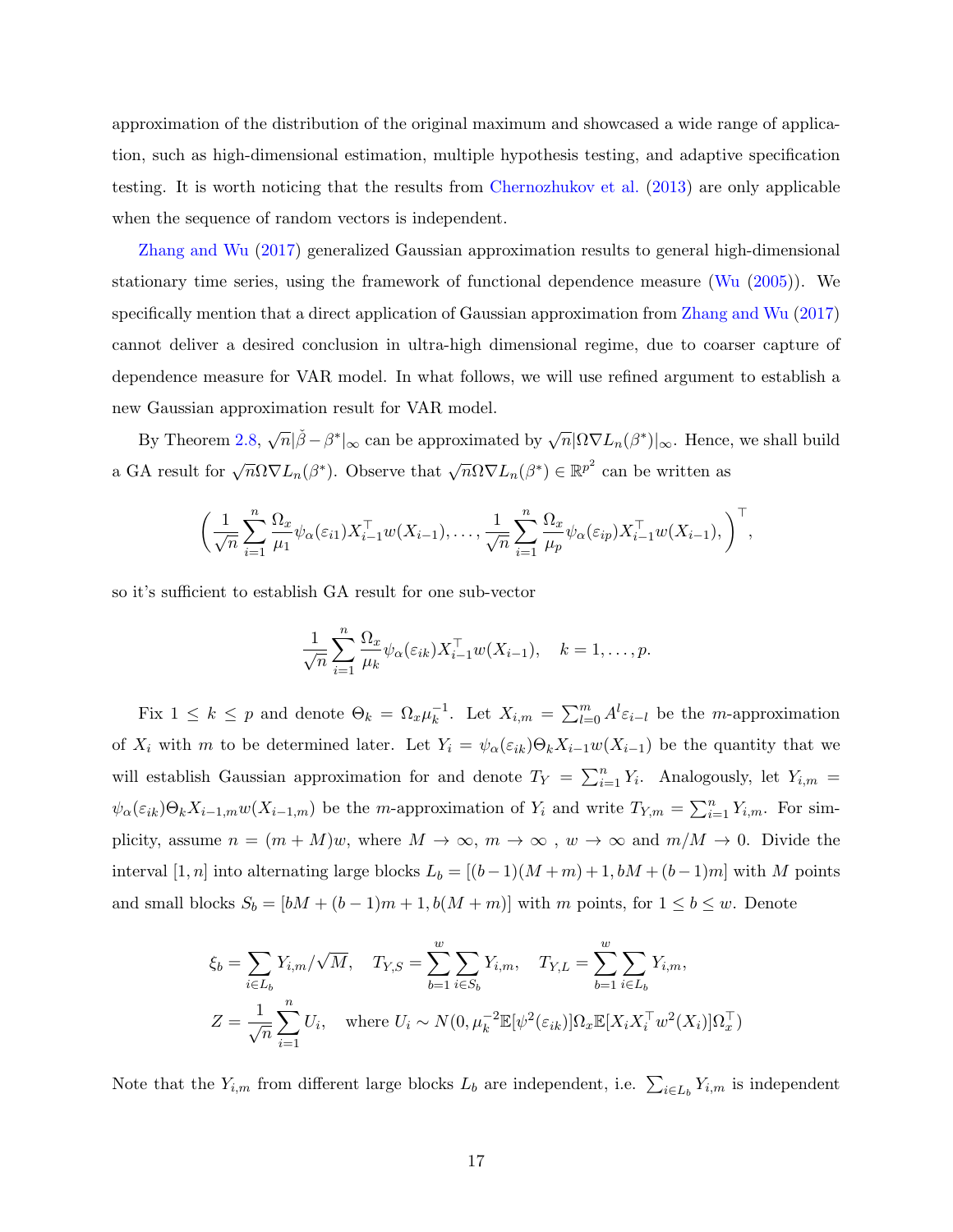approximation of the distribution of the original maximum and showcased a wide range of application, such as high-dimensional estimation, multiple hypothesis testing, and adaptive specification testing. It is worth noticing that the results from [Chernozhukov et al.](#page-34-8) [\(2013\)](#page-34-8) are only applicable when the sequence of random vectors is independent.

[Zhang and Wu](#page-36-5) [\(2017\)](#page-36-5) generalized Gaussian approximation results to general high-dimensional stationary time series, using the framework of functional dependence measure [\(Wu](#page-36-6) [\(2005\)](#page-36-6)). We specifically mention that a direct application of Gaussian approximation from [Zhang and Wu](#page-36-5) [\(2017\)](#page-36-5) cannot deliver a desired conclusion in ultra-high dimensional regime, due to coarser capture of dependence measure for VAR model. In what follows, we will use refined argument to establish a new Gaussian approximation result for VAR model.

By Theorem [2.8,](#page-10-0)  $\sqrt{n}|\check{\beta}-\beta^*|_{\infty}$  can be approximated by  $\sqrt{n}|\Omega\nabla L_n(\beta^*)|_{\infty}$ . Hence, we shall build a GA result for  $\sqrt{n}\Omega \nabla L_n(\beta^*)$ . Observe that  $\sqrt{n}\Omega \nabla L_n(\beta^*) \in \mathbb{R}^{p^2}$  can be written as

$$
\left(\frac{1}{\sqrt{n}}\sum_{i=1}^n \frac{\Omega_x}{\mu_1} \psi_\alpha(\varepsilon_{i1}) X_{i-1}^\top w(X_{i-1}), \dots, \frac{1}{\sqrt{n}}\sum_{i=1}^n \frac{\Omega_x}{\mu_p} \psi_\alpha(\varepsilon_{ip}) X_{i-1}^\top w(X_{i-1}), \right)^\top,
$$

so it's sufficient to establish GA result for one sub-vector

$$
\frac{1}{\sqrt{n}} \sum_{i=1}^n \frac{\Omega_x}{\mu_k} \psi_\alpha(\varepsilon_{ik}) X_{i-1}^\top w(X_{i-1}), \quad k = 1, \dots, p.
$$

Fix  $1 \leq k \leq p$  and denote  $\Theta_k = \Omega_x \mu_k^{-1}$ <sup>-1</sup>. Let  $X_{i,m} = \sum_{l=0}^{m} A^l \varepsilon_{i-l}$  be the *m*-approximation of  $X_i$  with m to be determined later. Let  $Y_i = \psi_\alpha(\varepsilon_{ik})\Theta_k X_{i-1}w(X_{i-1})$  be the quantity that we will establish Gaussian approximation for and denote  $T_Y = \sum_{i=1}^n Y_i$ . Analogously, let  $Y_{i,m}$  $\psi_{\alpha}(\varepsilon_{ik})\Theta_k X_{i-1,m} w(X_{i-1,m})$  be the m-approximation of  $Y_i$  and write  $T_{Y,m} = \sum_{i=1}^n Y_{i,m}$ . For simplicity, assume  $n = (m + M)w$ , where  $M \to \infty$ ,  $m \to \infty$ ,  $w \to \infty$  and  $m/M \to 0$ . Divide the interval [1, n] into alternating large blocks  $L_b = [(b-1)(M+m) + 1, bM + (b-1)m]$  with M points and small blocks  $S_b = [bM + (b-1)m + 1, b(M+m)]$  with m points, for  $1 \le b \le w$ . Denote

$$
\xi_b = \sum_{i \in L_b} Y_{i,m} / \sqrt{M}, \quad T_{Y,S} = \sum_{b=1}^w \sum_{i \in S_b} Y_{i,m}, \quad T_{Y,L} = \sum_{b=1}^w \sum_{i \in L_b} Y_{i,m},
$$
  

$$
Z = \frac{1}{\sqrt{n}} \sum_{i=1}^n U_i, \quad \text{where } U_i \sim N(0, \mu_k^{-2} \mathbb{E}[\psi^2(\varepsilon_{ik})] \Omega_x \mathbb{E}[X_i X_i^\top w^2(X_i)] \Omega_x^\top)
$$

Note that the  $Y_{i,m}$  from different large blocks  $L_b$  are independent, i.e.  $\sum_{i\in L_b} Y_{i,m}$  is independent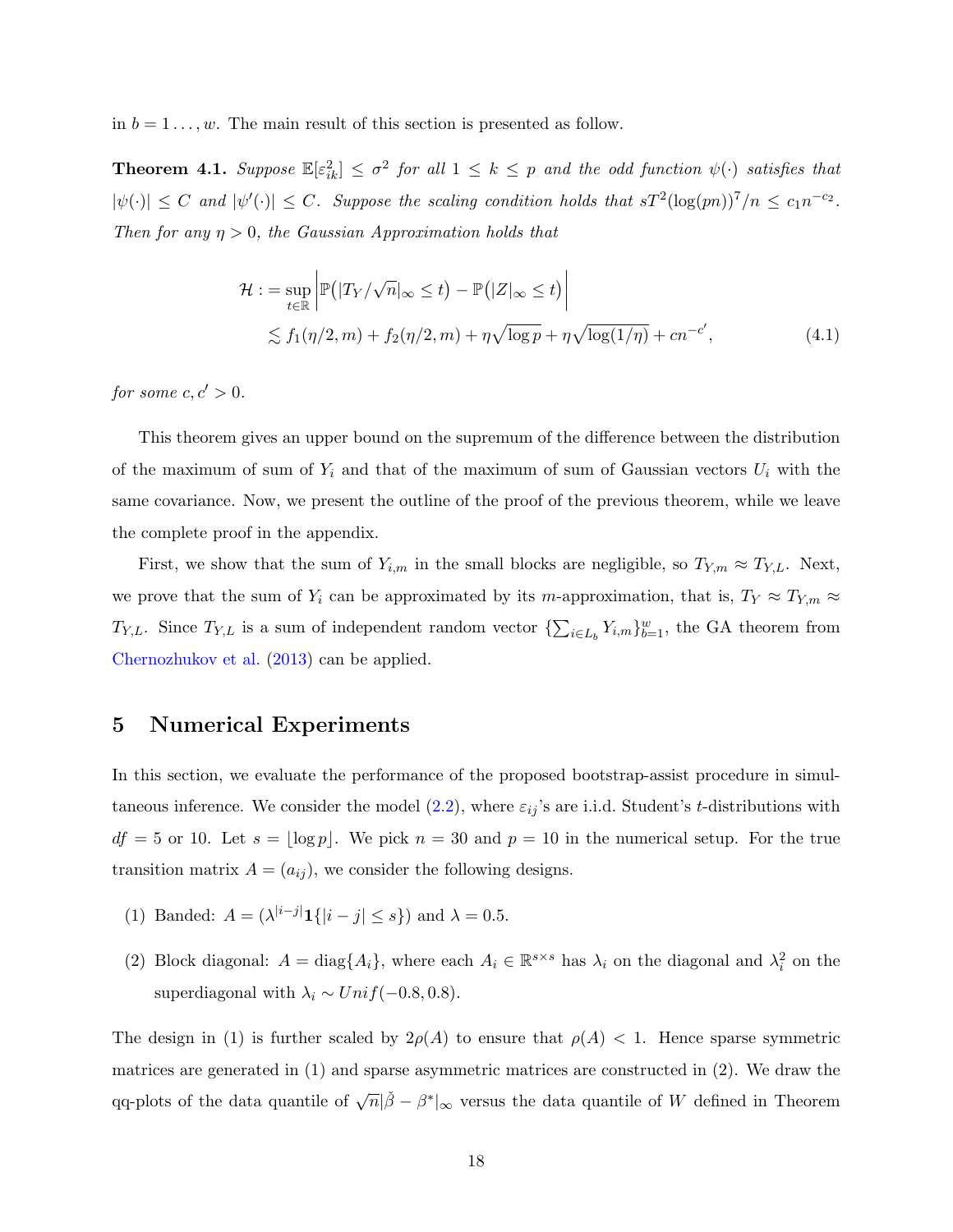in  $b = 1 \ldots, w$ . The main result of this section is presented as follow.

<span id="page-17-1"></span>**Theorem 4.1.** Suppose  $\mathbb{E}[\varepsilon_{ik}^2] \leq \sigma^2$  for all  $1 \leq k \leq p$  and the odd function  $\psi(\cdot)$  satisfies that  $|\psi(\cdot)| \leq C$  and  $|\psi'(\cdot)| \leq C$ . Suppose the scaling condition holds that  $sT^2(\log(pn))^7/n \leq c_1 n^{-c_2}$ . Then for any  $\eta > 0$ , the Gaussian Approximation holds that

$$
\mathcal{H} := \sup_{t \in \mathbb{R}} \left| \mathbb{P}(|T_Y/\sqrt{n}|_{\infty} \le t) - \mathbb{P}(|Z|_{\infty} \le t) \right|
$$
  
 
$$
\lesssim f_1(\eta/2, m) + f_2(\eta/2, m) + \eta \sqrt{\log p} + \eta \sqrt{\log(1/\eta)} + cn^{-c'}, \tag{4.1}
$$

for some  $c, c' > 0$ .

This theorem gives an upper bound on the supremum of the difference between the distribution of the maximum of sum of  $Y_i$  and that of the maximum of sum of Gaussian vectors  $U_i$  with the same covariance. Now, we present the outline of the proof of the previous theorem, while we leave the complete proof in the appendix.

First, we show that the sum of  $Y_{i,m}$  in the small blocks are negligible, so  $T_{Y,m} \approx T_{Y,L}$ . Next, we prove that the sum of  $Y_i$  can be approximated by its m-approximation, that is,  $T_Y \approx T_{Y,m} \approx$  $T_{Y,L}$ . Since  $T_{Y,L}$  is a sum of independent random vector  $\{\sum_{i\in L_b} Y_{i,m}\}_{b=1}^w$ , the GA theorem from [Chernozhukov et al.](#page-34-8) [\(2013\)](#page-34-8) can be applied.

## <span id="page-17-0"></span>5 Numerical Experiments

In this section, we evaluate the performance of the proposed bootstrap-assist procedure in simultaneous inference. We consider the model  $(2.2)$ , where  $\varepsilon_{ij}$ 's are i.i.d. Student's t-distributions with  $df = 5$  or 10. Let  $s = \lfloor \log p \rfloor$ . We pick  $n = 30$  and  $p = 10$  in the numerical setup. For the true transition matrix  $A = (a_{ij})$ , we consider the following designs.

- (1) Banded:  $A = (\lambda^{|i-j|} \mathbf{1}{\{|i-j| \leq s\}})$  and  $\lambda = 0.5$ .
- (2) Block diagonal:  $A = \text{diag}\{A_i\}$ , where each  $A_i \in \mathbb{R}^{s \times s}$  has  $\lambda_i$  on the diagonal and  $\lambda_i^2$  on the superdiagonal with  $\lambda_i \sim Unif(-0.8, 0.8)$ .

The design in (1) is further scaled by  $2\rho(A)$  to ensure that  $\rho(A) < 1$ . Hence sparse symmetric matrices are generated in (1) and sparse asymmetric matrices are constructed in (2). We draw the qq-plots of the data quantile of  $\sqrt{n}|\check{\beta} - \beta^*|_{\infty}$  versus the data quantile of W defined in Theorem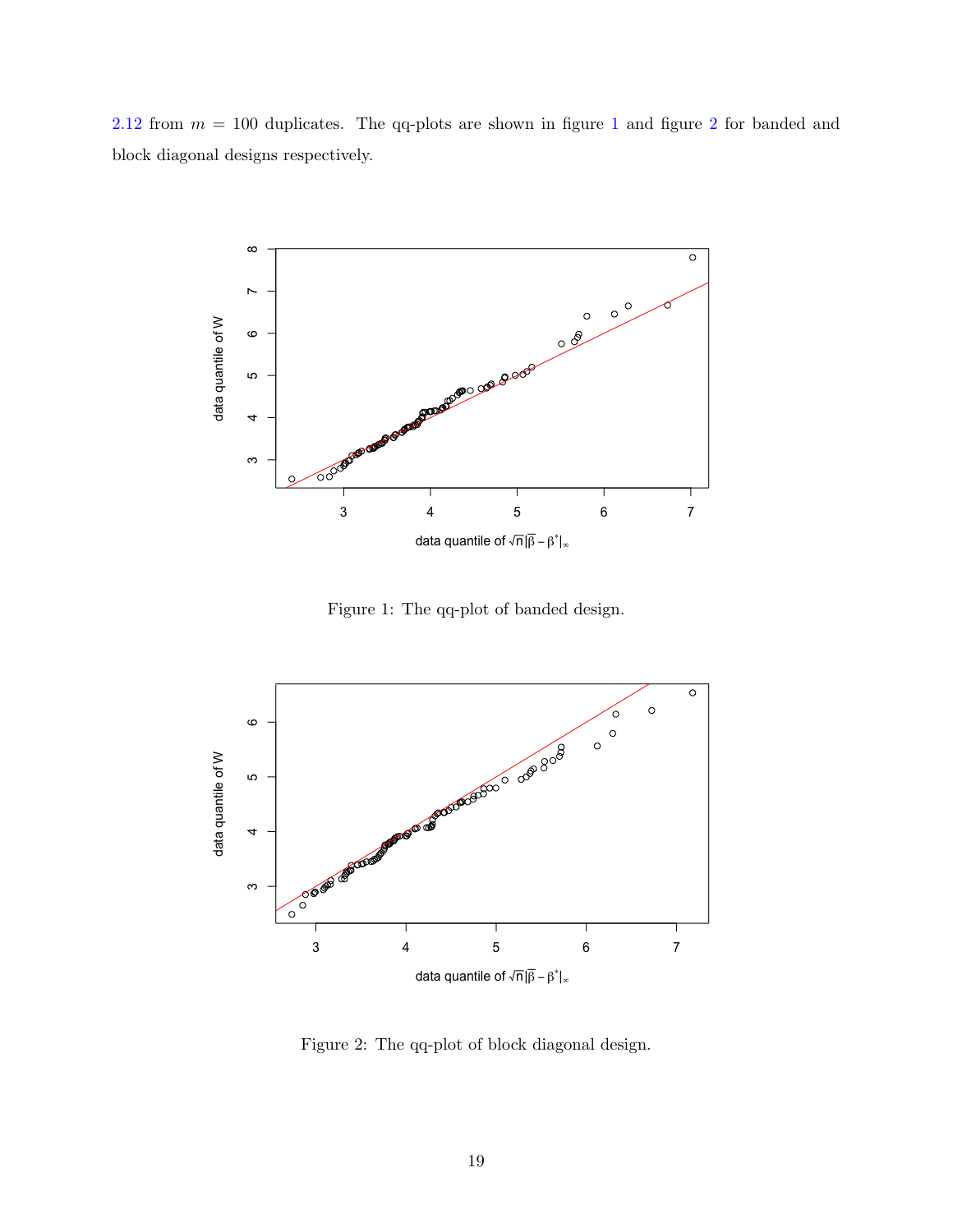[2.12](#page-12-1) from  $m = 100$  $m = 100$  $m = 100$  duplicates. The qq-plots are shown in figure 1 and figure [2](#page-18-1) for banded and block diagonal designs respectively.



<span id="page-18-0"></span>Figure 1: The qq-plot of banded design.



<span id="page-18-1"></span>Figure 2: The qq-plot of block diagonal design.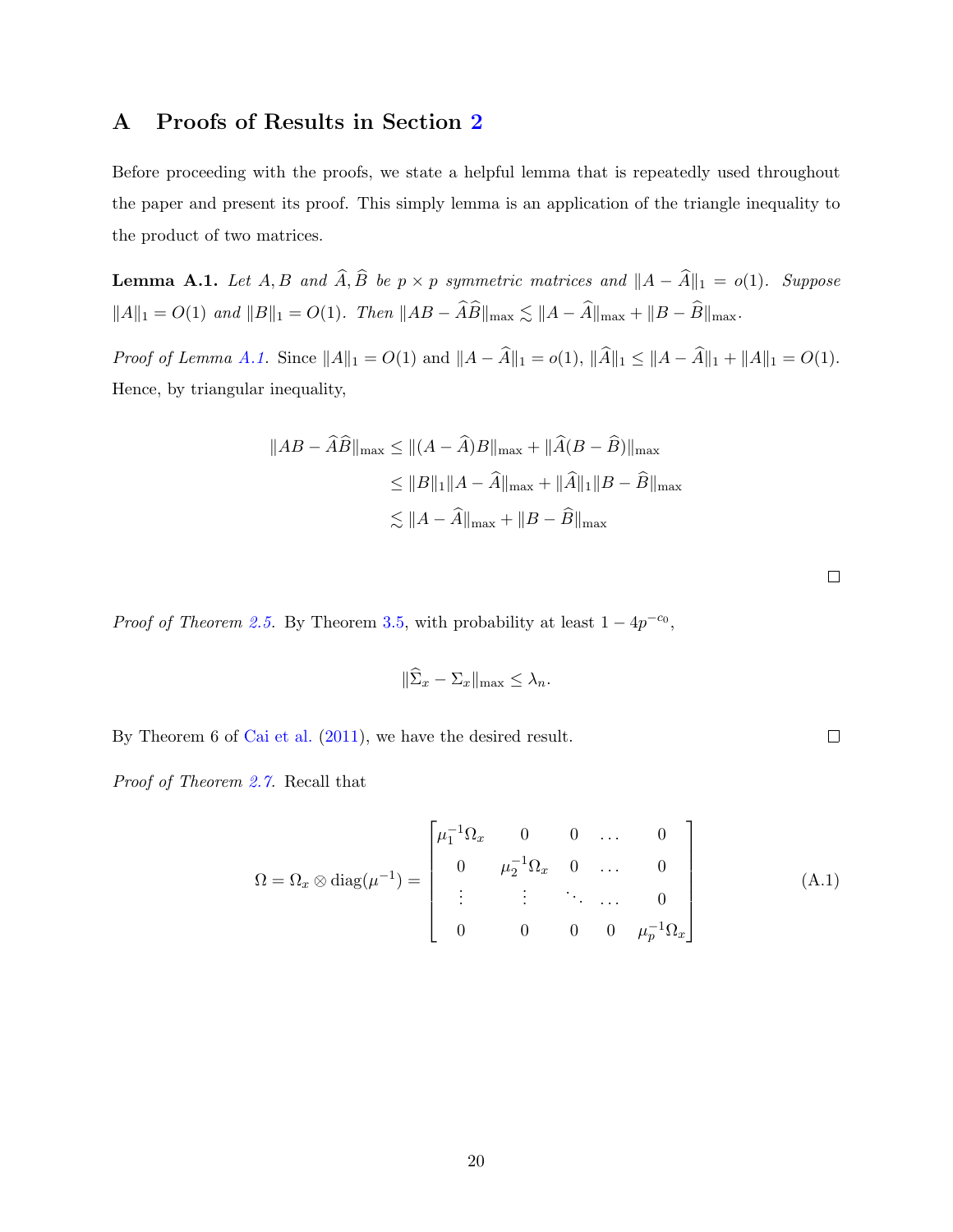# A Proofs of Results in Section [2](#page-4-0)

Before proceeding with the proofs, we state a helpful lemma that is repeatedly used throughout the paper and present its proof. This simply lemma is an application of the triangle inequality to the product of two matrices.

<span id="page-19-0"></span>**Lemma A.1.** Let  $A, B$  and  $\widehat{A}, \widehat{B}$  be  $p \times p$  symmetric matrices and  $||A - \widehat{A}||_1 = o(1)$ . Suppose  $||A||_1 = O(1)$  and  $||B||_1 = O(1)$ . Then  $||AB - \widehat{A}\widehat{B}||_{\max} \lesssim ||A - \widehat{A}||_{\max} + ||B - \widehat{B}||_{\max}$ .

*Proof of Lemma [A.1.](#page-19-0)* Since  $||A||_1 = O(1)$  and  $||A - \hat{A}||_1 = o(1)$ ,  $||\hat{A}||_1 \le ||A - \hat{A}||_1 + ||A||_1 = O(1)$ . Hence, by triangular inequality,

$$
||AB - \widehat{A}\widehat{B}||_{\max} \le ||(A - \widehat{A})B||_{\max} + ||\widehat{A}(B - \widehat{B})||_{\max}
$$
  
\n
$$
\le ||B||_1 ||A - \widehat{A}||_{\max} + ||\widehat{A}||_1 ||B - \widehat{B}||_{\max}
$$
  
\n
$$
\lesssim ||A - \widehat{A}||_{\max} + ||B - \widehat{B}||_{\max}
$$

 $\Box$ 

 $\hfill\square$ 

*Proof of Theorem [2.5.](#page-9-1)* By Theorem [3.5,](#page-14-1) with probability at least  $1 - 4p^{-c_0}$ ,

$$
\|\widehat{\Sigma}_x - \Sigma_x\|_{\max} \leq \lambda_n.
$$

By Theorem 6 of [Cai et al.](#page-33-4) [\(2011\)](#page-33-4), we have the desired result.

Proof of Theorem [2.7.](#page-9-2) Recall that

$$
\Omega = \Omega_x \otimes \text{diag}(\mu^{-1}) = \begin{bmatrix} \mu_1^{-1} \Omega_x & 0 & 0 & \dots & 0 \\ 0 & \mu_2^{-1} \Omega_x & 0 & \dots & 0 \\ \vdots & \vdots & \ddots & \dots & 0 \\ 0 & 0 & 0 & 0 & \mu_p^{-1} \Omega_x \end{bmatrix}
$$
(A.1)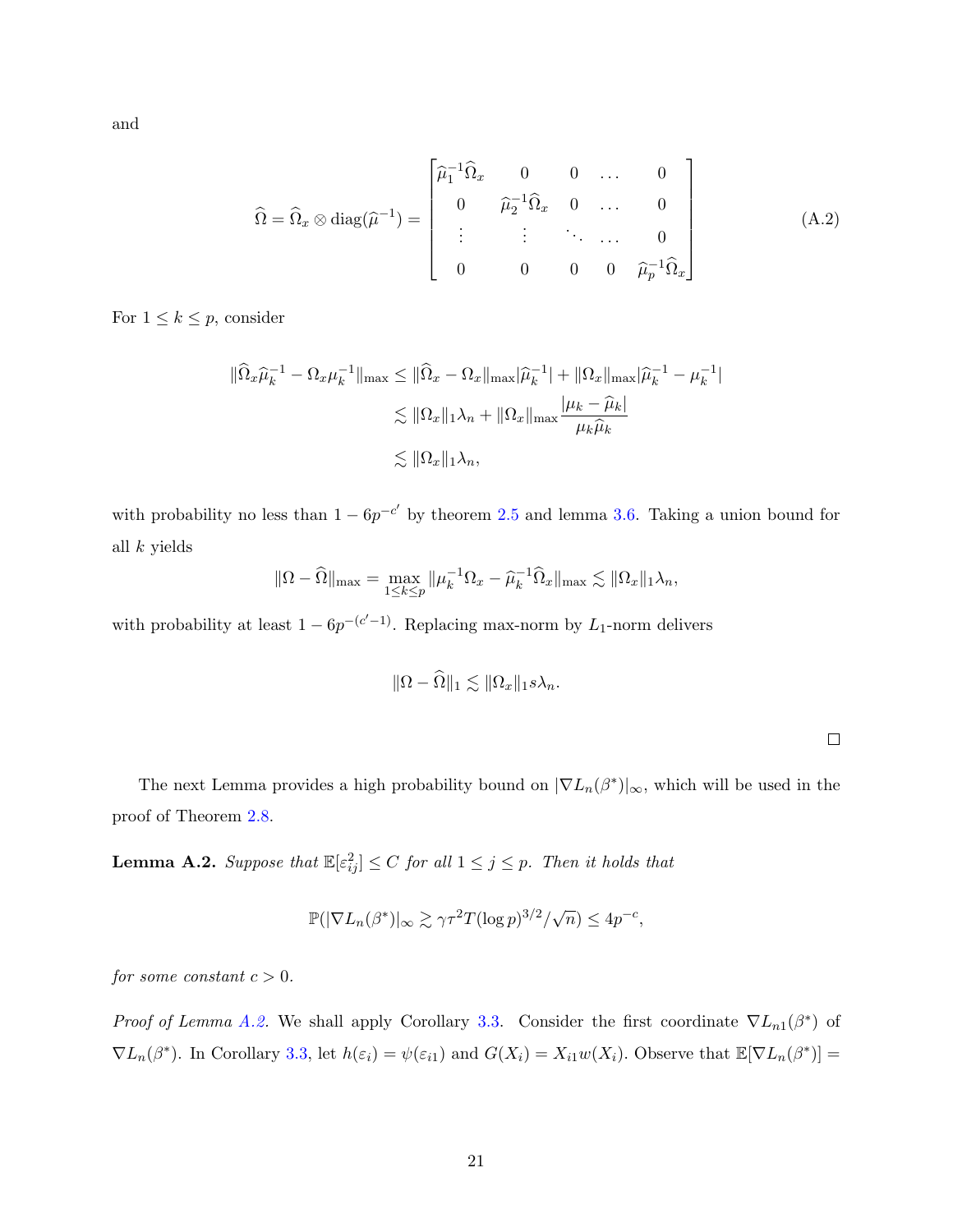and

$$
\widehat{\Omega} = \widehat{\Omega}_x \otimes \text{diag}(\widehat{\mu}^{-1}) = \begin{bmatrix} \widehat{\mu}_1^{-1} \widehat{\Omega}_x & 0 & 0 & \dots & 0 \\ 0 & \widehat{\mu}_2^{-1} \widehat{\Omega}_x & 0 & \dots & 0 \\ \vdots & \vdots & \ddots & \dots & 0 \\ 0 & 0 & 0 & 0 & \widehat{\mu}_p^{-1} \widehat{\Omega}_x \end{bmatrix}
$$
(A.2)

For  $1 \leq k \leq p$ , consider

$$
\|\widehat{\Omega}_x \widehat{\mu}_k^{-1} - \Omega_x \mu_k^{-1}\|_{\max} \le \|\widehat{\Omega}_x - \Omega_x\|_{\max} |\widehat{\mu}_k^{-1}| + \|\Omega_x\|_{\max} |\widehat{\mu}_k^{-1} - \mu_k^{-1}|
$$
  

$$
\lesssim \|\Omega_x\|_1 \lambda_n + \|\Omega_x\|_{\max} \frac{|\mu_k - \widehat{\mu}_k|}{\mu_k \widehat{\mu}_k}
$$
  

$$
\lesssim \|\Omega_x\|_1 \lambda_n,
$$

with probability no less than  $1 - 6p^{-c'}$  by theorem [2.5](#page-9-1) and lemma [3.6.](#page-15-2) Taking a union bound for all k yields

$$
\|\Omega - \widehat{\Omega}\|_{\max} = \max_{1 \le k \le p} \|\mu_k^{-1} \Omega_x - \widehat{\mu}_k^{-1} \widehat{\Omega}_x\|_{\max} \lesssim \|\Omega_x\|_1 \lambda_n,
$$

with probability at least  $1 - 6p^{-(c'-1)}$ . Replacing max-norm by L<sub>1</sub>-norm delivers

$$
\|\Omega - \widehat{\Omega}\|_1 \lesssim \|\Omega_x\|_1 s \lambda_n.
$$

 $\Box$ 

The next Lemma provides a high probability bound on  $|\nabla L_n(\beta^*)|_{\infty}$ , which will be used in the proof of Theorem [2.8.](#page-10-0)

<span id="page-20-0"></span>**Lemma A.2.** Suppose that  $\mathbb{E}[\varepsilon_{ij}^2] \leq C$  for all  $1 \leq j \leq p$ . Then it holds that

$$
\mathbb{P}(|\nabla L_n(\beta^*)|_{\infty} \gtrsim \gamma \tau^2 T (\log p)^{3/2} / \sqrt{n}) \le 4p^{-c},
$$

for some constant  $c > 0$ .

Proof of Lemma [A.2.](#page-20-0) We shall apply Corollary [3.3.](#page-14-2) Consider the first coordinate  $\nabla L_{n1}(\beta^*)$  of  $\nabla L_n(\beta^*)$ . In Corollary [3.3,](#page-14-2) let  $h(\varepsilon_i) = \psi(\varepsilon_{i1})$  and  $G(X_i) = X_{i1}w(X_i)$ . Observe that  $\mathbb{E}[\nabla L_n(\beta^*)] =$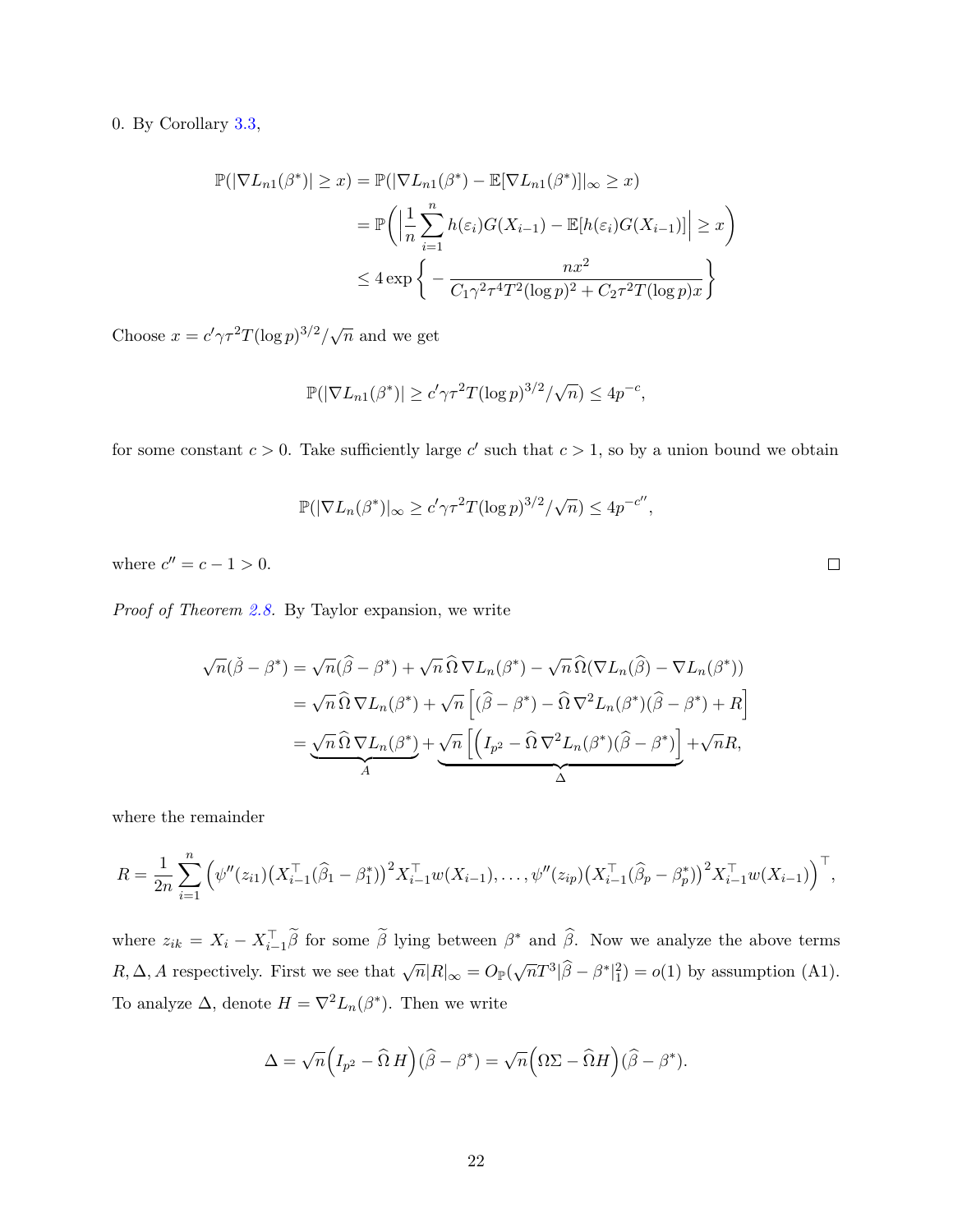### 0. By Corollary [3.3,](#page-14-2)

$$
\mathbb{P}(|\nabla L_{n1}(\beta^*)| \geq x) = \mathbb{P}(|\nabla L_{n1}(\beta^*) - \mathbb{E}[\nabla L_{n1}(\beta^*)]|_{\infty} \geq x)
$$

$$
= \mathbb{P}\left(\left|\frac{1}{n}\sum_{i=1}^n h(\varepsilon_i)G(X_{i-1}) - \mathbb{E}[h(\varepsilon_i)G(X_{i-1})]\right| \geq x\right)
$$

$$
\leq 4 \exp\left\{-\frac{nx^2}{C_1\gamma^2\tau^4T^2(\log p)^2 + C_2\tau^2T(\log p)x}\right\}
$$

Choose  $x = c' \gamma \tau^2 T (\log p)^{3/2} / \sqrt{n}$  and we get

$$
\mathbb{P}(|\nabla L_{n1}(\beta^*)| \ge c'\gamma\tau^2 T(\log p)^{3/2}/\sqrt{n}) \le 4p^{-c},
$$

for some constant  $c > 0$ . Take sufficiently large c' such that  $c > 1$ , so by a union bound we obtain

$$
\mathbb{P}(|\nabla L_n(\beta^*)|_{\infty} \ge c'\gamma\tau^2 T(\log p)^{3/2}/\sqrt{n}) \le 4p^{-c''},
$$

where  $c'' = c - 1 > 0$ .

Proof of Theorem [2.8.](#page-10-0) By Taylor expansion, we write

$$
\sqrt{n}(\tilde{\beta} - \beta^*) = \sqrt{n}(\widehat{\beta} - \beta^*) + \sqrt{n}\,\widehat{\Omega}\,\nabla L_n(\beta^*) - \sqrt{n}\,\widehat{\Omega}(\nabla L_n(\widehat{\beta}) - \nabla L_n(\beta^*))
$$
  
\n
$$
= \sqrt{n}\,\widehat{\Omega}\,\nabla L_n(\beta^*) + \sqrt{n}\left[(\widehat{\beta} - \beta^*) - \widehat{\Omega}\,\nabla^2 L_n(\beta^*)(\widehat{\beta} - \beta^*) + R\right]
$$
  
\n
$$
= \underbrace{\sqrt{n}\,\widehat{\Omega}\,\nabla L_n(\beta^*)}_{A} + \underbrace{\sqrt{n}\left[\left(I_{p^2} - \widehat{\Omega}\,\nabla^2 L_n(\beta^*)(\widehat{\beta} - \beta^*)\right] + \sqrt{n}R}_{\Delta},
$$

where the remainder

$$
R = \frac{1}{2n} \sum_{i=1}^{n} \left( \psi''(z_{i1}) \left( X_{i-1}^\top (\widehat{\beta}_1 - \beta_1^*) \right)^2 X_{i-1}^\top w(X_{i-1}), \dots, \psi''(z_{ip}) \left( X_{i-1}^\top (\widehat{\beta}_p - \beta_p^*) \right)^2 X_{i-1}^\top w(X_{i-1}) \right)^\top,
$$

where  $z_{ik} = X_i - X_{i-1}^{\top} \tilde{\beta}$  for some  $\tilde{\beta}$  lying between  $\beta^*$  and  $\hat{\beta}$ . Now we analyze the above terms  $R, \Delta, A$  respectively. First we see that  $\sqrt{n}|R|_{\infty} = O_{\mathbb{P}}(\sqrt{n}T^3|\widehat{\beta} - \beta^*|_1^2) = o(1)$  by assumption (A1). To analyze  $\Delta$ , denote  $H = \nabla^2 L_n(\beta^*)$ . Then we write

$$
\Delta = \sqrt{n} \Big( I_{p^2} - \widehat{\Omega} H \Big) (\widehat{\beta} - \beta^*) = \sqrt{n} \Big( \Omega \Sigma - \widehat{\Omega} H \Big) (\widehat{\beta} - \beta^*).
$$

 $\Box$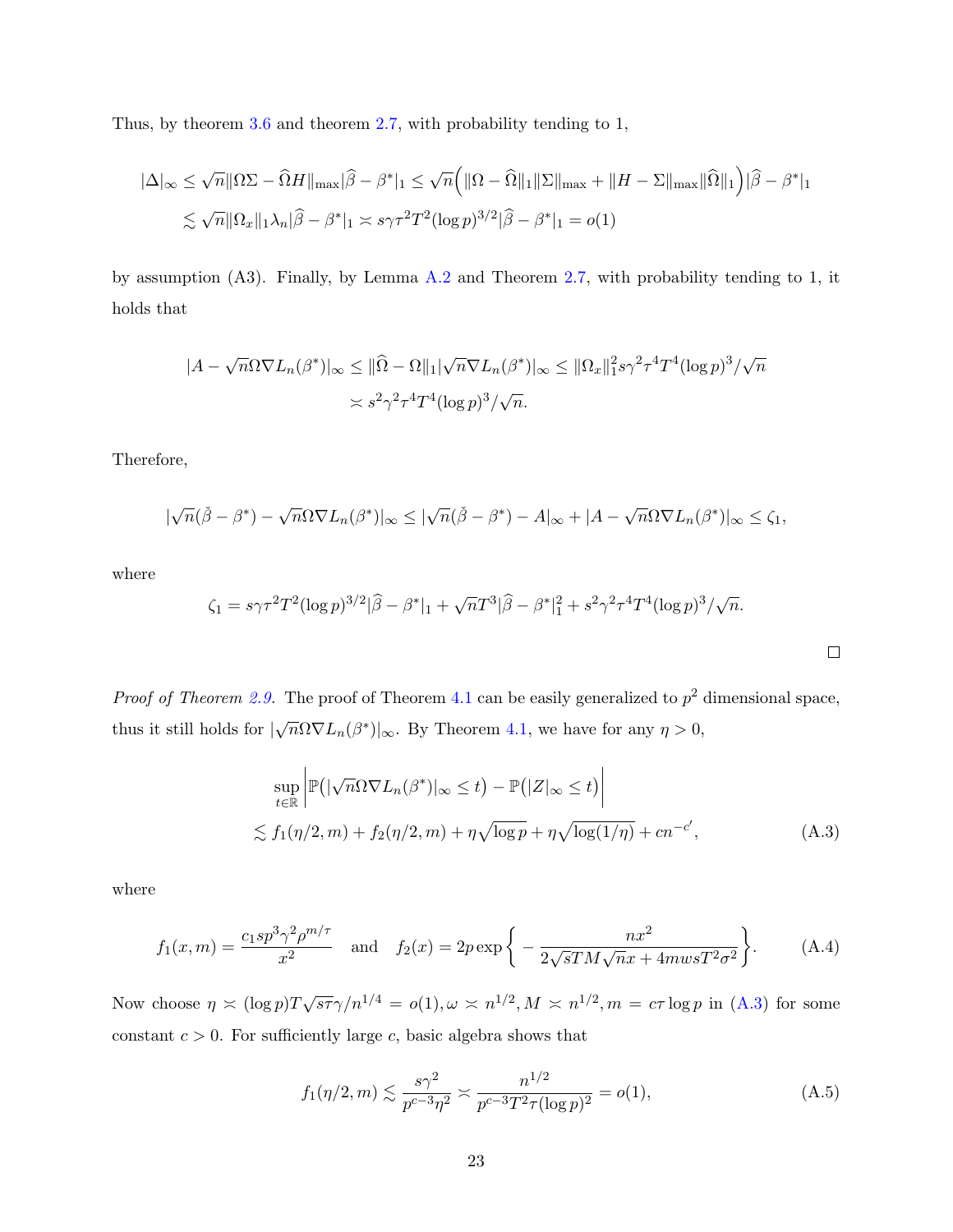Thus, by theorem [3.6](#page-15-2) and theorem [2.7,](#page-9-2) with probability tending to 1,

$$
|\Delta|_{\infty} \leq \sqrt{n} \|\Omega \Sigma - \widehat{\Omega}H\|_{\max} |\widehat{\beta} - \beta^*|_1 \leq \sqrt{n} \Big( \|\Omega - \widehat{\Omega}\|_1 \|\Sigma\|_{\max} + \|H - \Sigma\|_{\max} \|\widehat{\Omega}\|_1 \Big) |\widehat{\beta} - \beta^*|_1
$$
  

$$
\lesssim \sqrt{n} \|\Omega_x\|_1 \lambda_n |\widehat{\beta} - \beta^*|_1 \asymp s \gamma \tau^2 T^2 (\log p)^{3/2} |\widehat{\beta} - \beta^*|_1 = o(1)
$$

by assumption (A3). Finally, by Lemma [A.2](#page-20-0) and Theorem [2.7,](#page-9-2) with probability tending to 1, it holds that

$$
|A - \sqrt{n}\Omega \nabla L_n(\beta^*)|_{\infty} \le ||\widehat{\Omega} - \Omega||_1 |\sqrt{n} \nabla L_n(\beta^*)|_{\infty} \le ||\Omega_x||_1^2 s \gamma^2 \tau^4 T^4 (\log p)^3 / \sqrt{n}
$$
  

$$
\asymp s^2 \gamma^2 \tau^4 T^4 (\log p)^3 / \sqrt{n}.
$$

Therefore,

$$
|\sqrt{n}(\check{\beta}-\beta^*)-\sqrt{n}\Omega\nabla L_n(\beta^*)|_{\infty}\leq |\sqrt{n}(\check{\beta}-\beta^*)-A|_{\infty}+|A-\sqrt{n}\Omega\nabla L_n(\beta^*)|_{\infty}\leq \zeta_1,
$$

where

$$
\zeta_1 = s\gamma \tau^2 T^2 (\log p)^{3/2} |\widehat{\beta} - \beta^*|_1 + \sqrt{n} T^3 |\widehat{\beta} - \beta^*|_1^2 + s^2 \gamma^2 \tau^4 T^4 (\log p)^3 / \sqrt{n}.
$$

*Proof of Theorem [2.9.](#page-11-2)* The proof of Theorem [4.1](#page-17-1) can be easily generalized to  $p^2$  dimensional space, thus it still holds for  $|\sqrt{n}\Omega \nabla L_n(\beta^*)|_{\infty}$ . By Theorem [4.1,](#page-17-1) we have for any  $\eta > 0$ ,

$$
\sup_{t \in \mathbb{R}} \left| \mathbb{P}(|\sqrt{n} \Omega \nabla L_n(\beta^*)|_{\infty} \le t) - \mathbb{P}(|Z|_{\infty} \le t) \right|
$$
  
 
$$
\lesssim f_1(\eta/2, m) + f_2(\eta/2, m) + \eta \sqrt{\log p} + \eta \sqrt{\log(1/\eta)} + cn^{-c'},
$$
 (A.3)

<span id="page-22-0"></span> $\Box$ 

where

$$
f_1(x,m) = \frac{c_1 s p^3 \gamma^2 \rho^{m/\tau}}{x^2} \quad \text{and} \quad f_2(x) = 2p \exp\left\{-\frac{nx^2}{2\sqrt{s}TM\sqrt{n}x + 4mwsT^2\sigma^2}\right\}.
$$
 (A.4)

Now choose  $\eta \simeq (\log p) \frac{T \sqrt{s \tau} \gamma}{n^{1/4}} = o(1), \omega \simeq n^{1/2}, M \simeq n^{1/2}, m = c \tau \log p$  in [\(A.3\)](#page-22-0) for some constant  $c > 0$ . For sufficiently large c, basic algebra shows that

$$
f_1(\eta/2, m) \lesssim \frac{s\gamma^2}{p^{c-3}\eta^2} \gtrsim \frac{n^{1/2}}{p^{c-3}T^2\tau(\log p)^2} = o(1),
$$
 (A.5)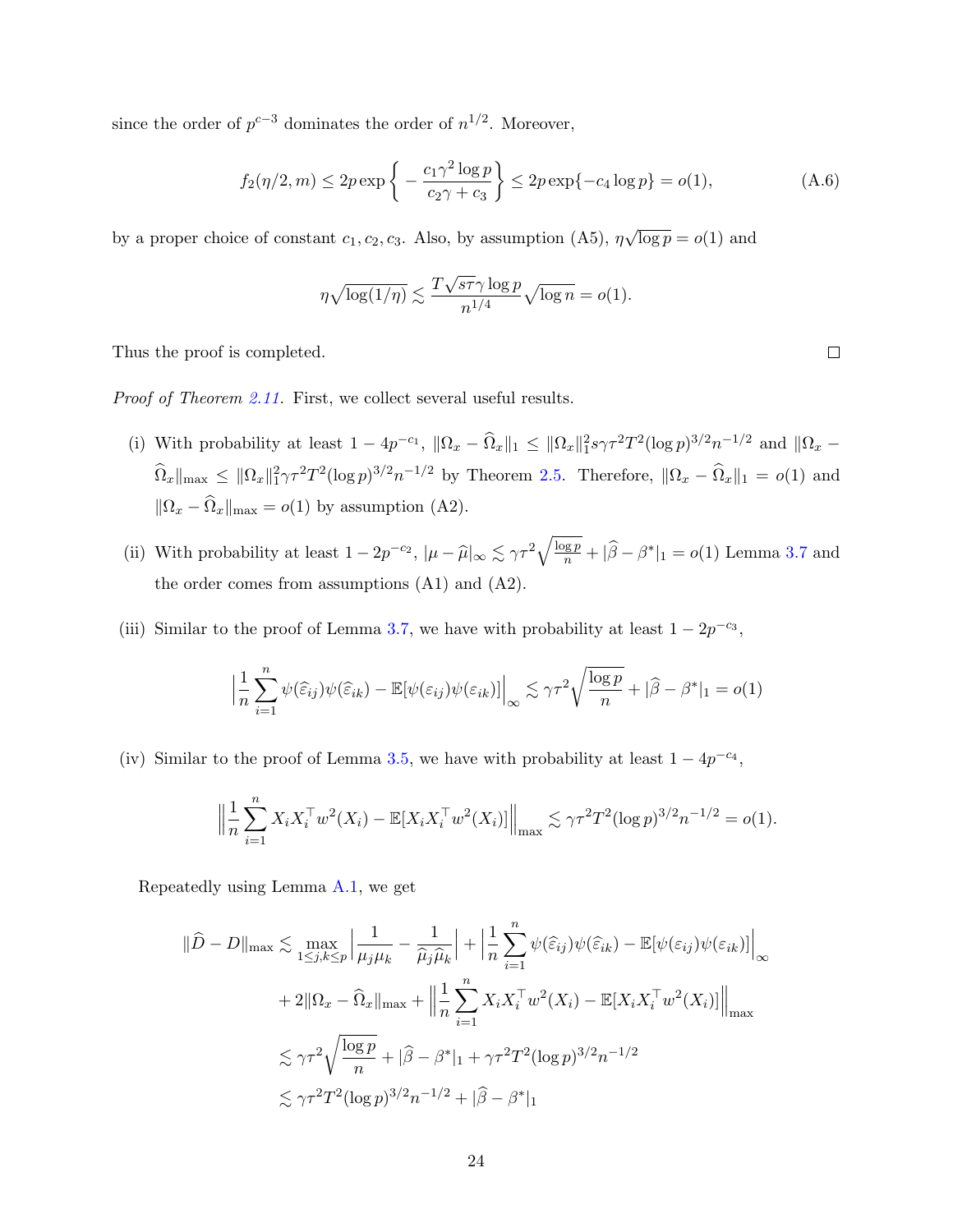since the order of  $p^{c-3}$  dominates the order of  $n^{1/2}$ . Moreover,

$$
f_2(\eta/2, m) \le 2p \exp\left\{-\frac{c_1 \gamma^2 \log p}{c_2 \gamma + c_3}\right\} \le 2p \exp\{-c_4 \log p\} = o(1),\tag{A.6}
$$

by a proper choice of constant  $c_1, c_2, c_3$ . Also, by assumption (A5),  $\eta$ √  $\overline{\log p} = o(1)$  and

$$
\eta \sqrt{\log(1/\eta)} \lesssim \frac{T\sqrt{s\tau}\gamma \log p}{n^{1/4}} \sqrt{\log n} = o(1).
$$

Thus the proof is completed.

Proof of Theorem [2.11.](#page-11-1) First, we collect several useful results.

- (i) With probability at least  $1 4p^{-c_1}$ ,  $\|\Omega_x \widehat{\Omega}_x\|_1 \leq \|\Omega_x\|_1^2 s \gamma \tau^2 T^2 (\log p)^{3/2} n^{-1/2}$  and  $\|\Omega_x \Omega_x\|_1^2$  $\widehat{\Omega}_x\|_{\max} \leq \|\Omega_x\|_1^2 \gamma \tau^2 T^2 (\log p)^{3/2} n^{-1/2}$  by Theorem [2.5.](#page-9-1) Therefore,  $\|\Omega_x - \widehat{\Omega}_x\|_1 = o(1)$  and  $\|\Omega_x - \widehat{\Omega}_x\|_{\max} = o(1)$  by assumption (A2).
- (ii) With probability at least  $1 2p^{-c_2}$ ,  $|\mu \widehat{\mu}|_{\infty} \lesssim \gamma \tau^2 \sqrt{\frac{\log p}{n}} + |\widehat{\beta} \beta^*|_1 = o(1)$  Lemma [3.7](#page-15-1) and the order comes from assumptions (A1) and (A2).
- (iii) Similar to the proof of Lemma [3.7,](#page-15-1) we have with probability at least  $1 2p^{-c_3}$ ,

$$
\left| \frac{1}{n} \sum_{i=1}^{n} \psi(\widehat{\varepsilon}_{ij}) \psi(\widehat{\varepsilon}_{ik}) - \mathbb{E}[\psi(\varepsilon_{ij}) \psi(\varepsilon_{ik})] \right|_{\infty} \lesssim \gamma \tau^2 \sqrt{\frac{\log p}{n}} + |\widehat{\beta} - \beta^*|_1 = o(1)
$$

(iv) Similar to the proof of Lemma [3.5,](#page-14-1) we have with probability at least  $1 - 4p^{-c_4}$ ,

$$
\left\| \frac{1}{n} \sum_{i=1}^n X_i X_i^\top w^2(X_i) - \mathbb{E}[X_i X_i^\top w^2(X_i)] \right\|_{\max} \lesssim \gamma \tau^2 T^2 (\log p)^{3/2} n^{-1/2} = o(1).
$$

Repeatedly using Lemma [A.1,](#page-19-0) we get

$$
\|\widehat{D} - D\|_{\max} \lesssim \max_{1 \leq j,k \leq p} \left| \frac{1}{\mu_j \mu_k} - \frac{1}{\widehat{\mu}_j \widehat{\mu}_k} \right| + \left| \frac{1}{n} \sum_{i=1}^n \psi(\widehat{\varepsilon}_{ij}) \psi(\widehat{\varepsilon}_{ik}) - \mathbb{E}[\psi(\varepsilon_{ij}) \psi(\varepsilon_{ik})] \right|_{\infty}
$$
  
+ 2 $\|\Omega_x - \widehat{\Omega}_x\|_{\max} + \left\| \frac{1}{n} \sum_{i=1}^n X_i X_i^\top w^2(X_i) - \mathbb{E}[X_i X_i^\top w^2(X_i)] \right\|_{\max}$   
 $\lesssim \gamma \tau^2 \sqrt{\frac{\log p}{n}} + |\widehat{\beta} - \beta^*|_1 + \gamma \tau^2 T^2 (\log p)^{3/2} n^{-1/2}$   
 $\lesssim \gamma \tau^2 T^2 (\log p)^{3/2} n^{-1/2} + |\widehat{\beta} - \beta^*|_1$ 

 $\Box$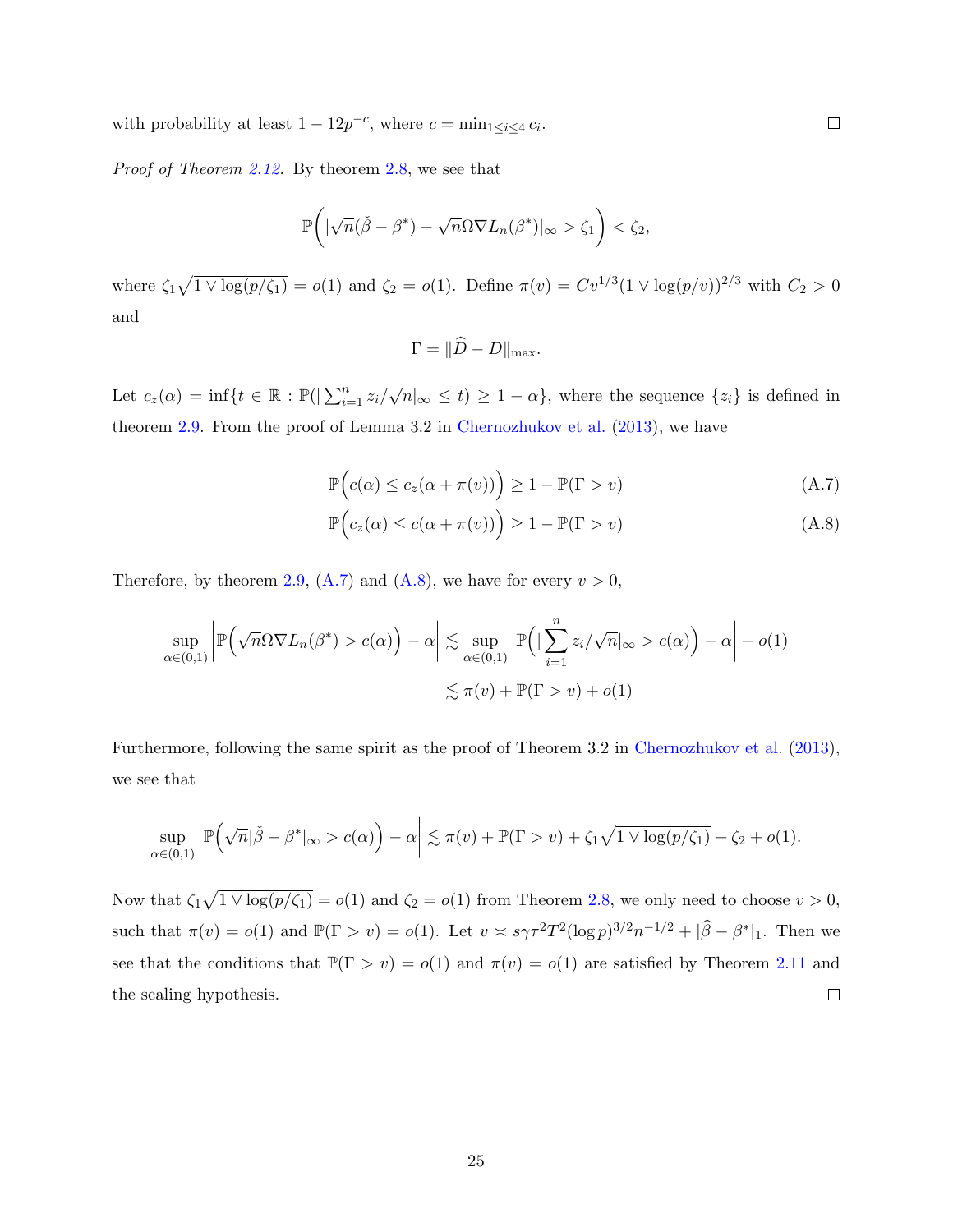with probability at least  $1 - 12p^{-c}$ , where  $c = \min_{1 \leq i \leq 4} c_i$ .

Proof of Theorem [2.12.](#page-12-1) By theorem [2.8,](#page-10-0) we see that

$$
\mathbb{P}\bigg(|\sqrt{n}(\check{\beta}-\beta^*)-\sqrt{n}\Omega\nabla L_n(\beta^*)|_{\infty}>\zeta_1\bigg)<\zeta_2,
$$

where  $\zeta_1\sqrt{1\vee \log(p/\zeta_1)} = o(1)$  and  $\zeta_2 = o(1)$ . Define  $\pi(v) = Cv^{1/3}(1\vee \log(p/v))^{2/3}$  with  $C_2 > 0$ and

$$
\Gamma = \|\tilde{D} - D\|_{\max}.
$$

Let  $c_z(\alpha) = \inf\{t \in \mathbb{R} : \mathbb{P}(|\sum_{i=1}^n z_i/\sqrt{n}|_{\infty} \le t) \ge 1 - \alpha\}$ , where the sequence  $\{z_i\}$  is defined in theorem [2.9.](#page-11-2) From the proof of Lemma 3.2 in [Chernozhukov et al.](#page-34-8) [\(2013\)](#page-34-8), we have

$$
\mathbb{P}\Big(c(\alpha) \le c_z(\alpha + \pi(v))\Big) \ge 1 - \mathbb{P}(\Gamma > v) \tag{A.7}
$$

$$
\mathbb{P}\Big(c_z(\alpha) \le c(\alpha + \pi(v))\Big) \ge 1 - \mathbb{P}(\Gamma > v) \tag{A.8}
$$

Therefore, by theorem [2.9,](#page-11-2) [\(A.7\)](#page-24-0) and [\(A.8\)](#page-24-1), we have for every  $v > 0$ ,

$$
\sup_{\alpha \in (0,1)} \left| \mathbb{P}\left(\sqrt{n} \Omega \nabla L_n(\beta^*) > c(\alpha)\right) - \alpha \right| \lesssim \sup_{\alpha \in (0,1)} \left| \mathbb{P}\left(|\sum_{i=1}^n z_i/\sqrt{n}|_{\infty} > c(\alpha)\right) - \alpha \right| + o(1)
$$
  

$$
\lesssim \pi(v) + \mathbb{P}(\Gamma > v) + o(1)
$$

Furthermore, following the same spirit as the proof of Theorem 3.2 in [Chernozhukov et al.](#page-34-8) [\(2013\)](#page-34-8), we see that

$$
\sup_{\alpha\in(0,1)}\left|\mathbb{P}\left(\sqrt{n}|\check{\beta}-\beta^*|_{\infty}>c(\alpha)\right)-\alpha\right|\lesssim\pi(v)+\mathbb{P}(\Gamma>v)+\zeta_1\sqrt{1\vee\log(p/\zeta_1)}+\zeta_2+o(1).
$$

Now that  $\zeta_1\sqrt{1 \vee \log(p/\zeta_1)} = o(1)$  and  $\zeta_2 = o(1)$  from Theorem [2.8,](#page-10-0) we only need to choose  $v > 0$ , such that  $\pi(v) = o(1)$  and  $\mathbb{P}(\Gamma > v) = o(1)$ . Let  $v \asymp s\gamma \tau^2 T^2 (\log p)^{3/2} n^{-1/2} + |\widehat{\beta} - \beta^*|_1$ . Then we see that the conditions that  $\mathbb{P}(\Gamma > v) = o(1)$  and  $\pi(v) = o(1)$  are satisfied by Theorem [2.11](#page-11-1) and the scaling hypothesis.  $\Box$ 

<span id="page-24-1"></span><span id="page-24-0"></span> $\Box$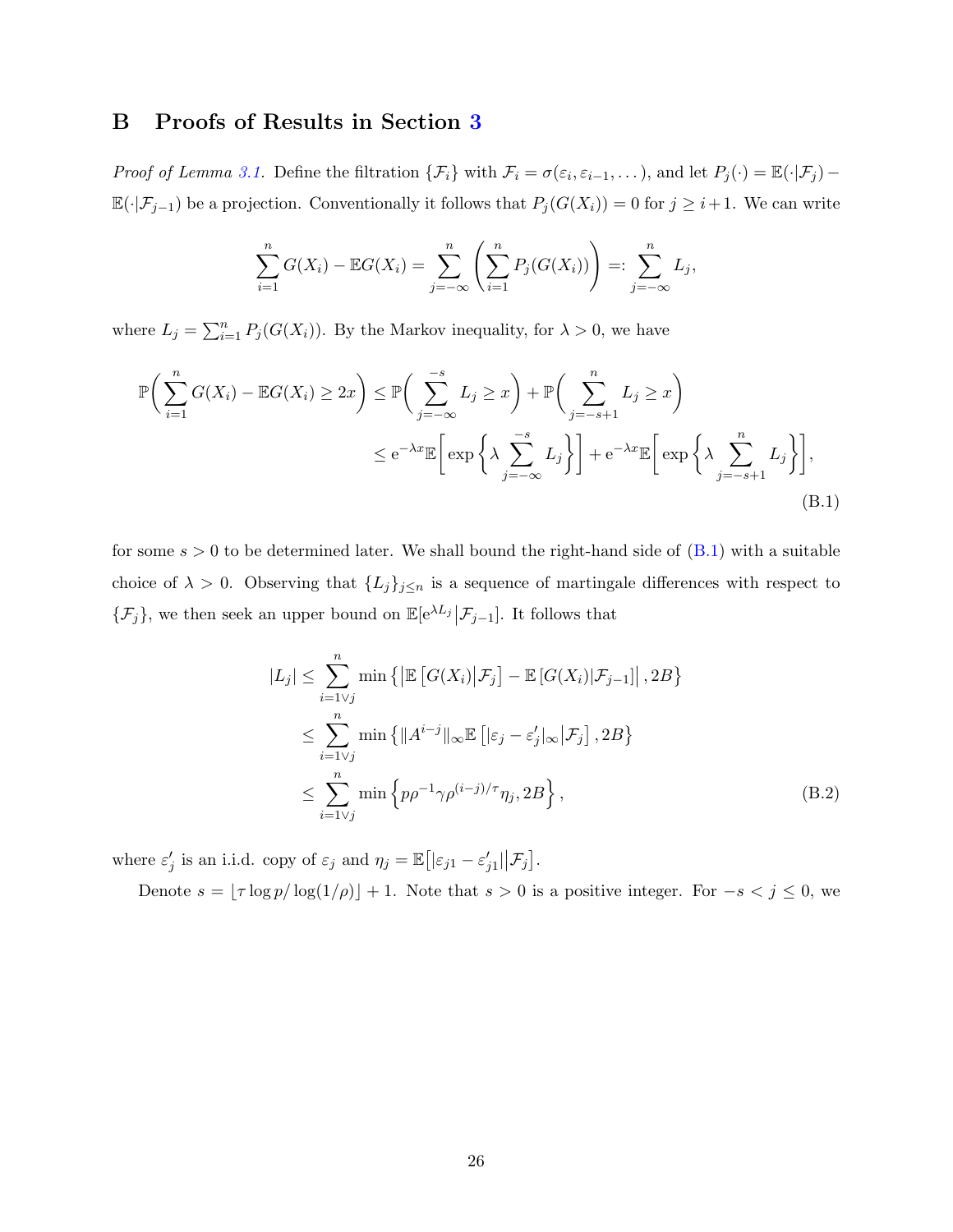## B Proofs of Results in Section [3](#page-12-0)

Proof of Lemma [3.1.](#page-13-2) Define the filtration  $\{\mathcal{F}_i\}$  with  $\mathcal{F}_i = \sigma(\varepsilon_i, \varepsilon_{i-1}, \dots)$ , and let  $P_j(\cdot) = \mathbb{E}(\cdot | \mathcal{F}_j) \mathbb{E}(\cdot|\mathcal{F}_{j-1})$  be a projection. Conventionally it follows that  $P_j(G(X_i)) = 0$  for  $j \geq i+1$ . We can write

$$
\sum_{i=1}^{n} G(X_i) - \mathbb{E}G(X_i) = \sum_{j=-\infty}^{n} \left( \sum_{i=1}^{n} P_j(G(X_i)) \right) =: \sum_{j=-\infty}^{n} L_j,
$$

where  $L_j = \sum_{i=1}^n P_j(G(X_i))$ . By the Markov inequality, for  $\lambda > 0$ , we have

$$
\mathbb{P}\bigg(\sum_{i=1}^{n} G(X_i) - \mathbb{E}G(X_i) \ge 2x\bigg) \le \mathbb{P}\bigg(\sum_{j=-\infty}^{-s} L_j \ge x\bigg) + \mathbb{P}\bigg(\sum_{j=-s+1}^{n} L_j \ge x\bigg)
$$
  

$$
\le e^{-\lambda x} \mathbb{E}\bigg[\exp\bigg\{\lambda \sum_{j=-\infty}^{-s} L_j\bigg\}\bigg] + e^{-\lambda x} \mathbb{E}\bigg[\exp\bigg\{\lambda \sum_{j=-s+1}^{n} L_j\bigg\}\bigg],
$$
(B.1)

for some  $s > 0$  to be determined later. We shall bound the right-hand side of  $(B.1)$  with a suitable choice of  $\lambda > 0$ . Observing that  $\{L_j\}_{j\leq n}$  is a sequence of martingale differences with respect to  $\{\mathcal{F}_j\}$ , we then seek an upper bound on  $\mathbb{E}[\mathrm{e}^{\lambda L_j}|\mathcal{F}_{j-1}]$ . It follows that

<span id="page-25-0"></span>
$$
|L_j| \leq \sum_{i=1\vee j}^n \min\left\{ \left| \mathbb{E}\left[ G(X_i) | \mathcal{F}_j \right] - \mathbb{E}\left[ G(X_i) | \mathcal{F}_{j-1} \right] \right|, 2B \right\}
$$
  

$$
\leq \sum_{i=1\vee j}^n \min\left\{ \|A^{i-j}\|_{\infty} \mathbb{E}\left[ |\varepsilon_j - \varepsilon'_j|_{\infty} | \mathcal{F}_j \right], 2B \right\}
$$
  

$$
\leq \sum_{i=1\vee j}^n \min\left\{ p\rho^{-1} \gamma \rho^{(i-j)/\tau} \eta_j, 2B \right\},
$$
 (B.2)

where  $\varepsilon'_j$  is an i.i.d. copy of  $\varepsilon_j$  and  $\eta_j = \mathbb{E}\big[|\varepsilon_{j1} - \varepsilon'_{j1}|\big|\mathcal{F}_j\big].$ 

Denote  $s = \lfloor \tau \log p / \log(1/\rho) \rfloor + 1$ . Note that  $s > 0$  is a positive integer. For  $-s < j \le 0$ , we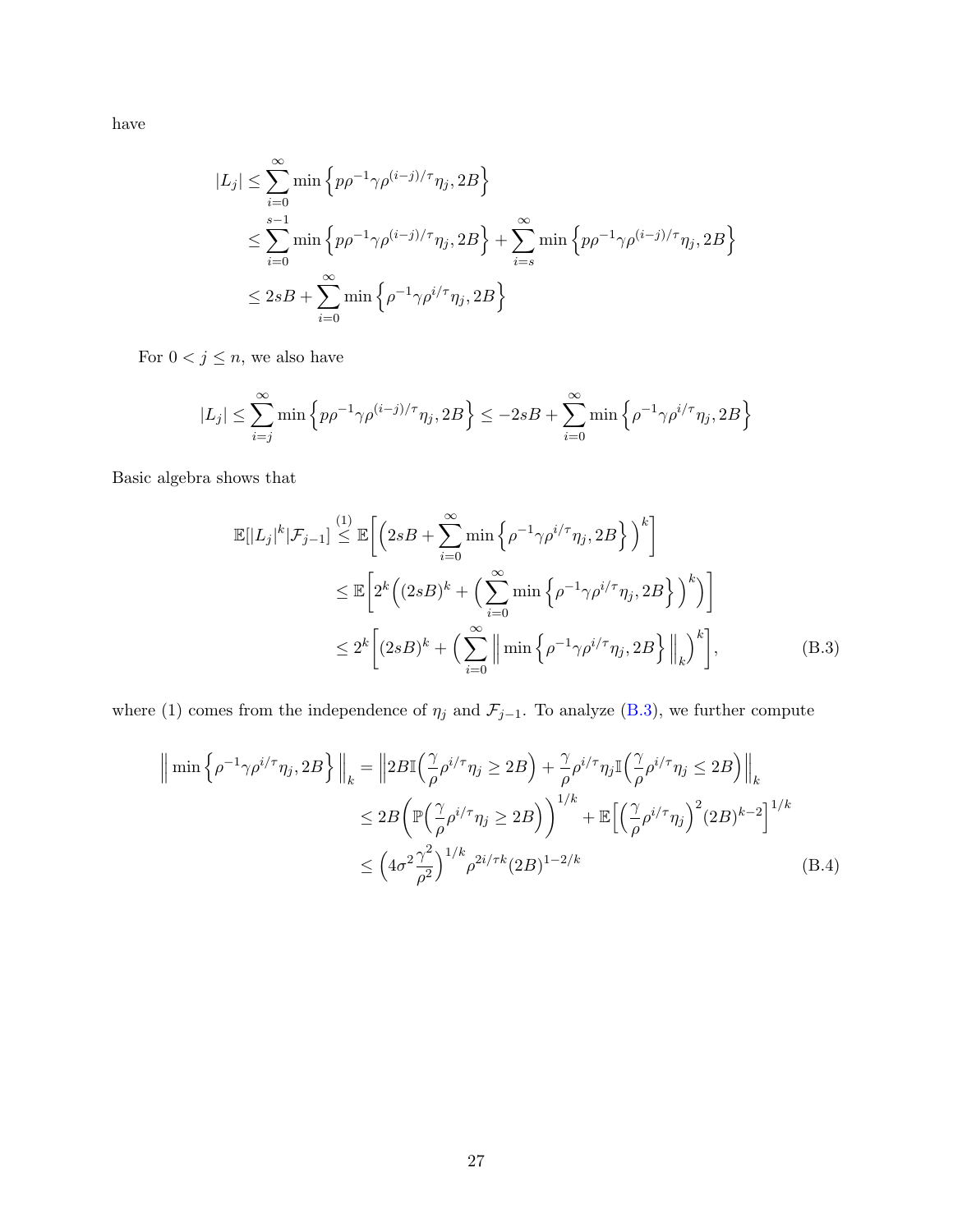have

$$
|L_j| \leq \sum_{i=0}^{\infty} \min \left\{ p\rho^{-1} \gamma \rho^{(i-j)/\tau} \eta_j, 2B \right\}
$$
  

$$
\leq \sum_{i=0}^{s-1} \min \left\{ p\rho^{-1} \gamma \rho^{(i-j)/\tau} \eta_j, 2B \right\} + \sum_{i=s}^{\infty} \min \left\{ p\rho^{-1} \gamma \rho^{(i-j)/\tau} \eta_j, 2B \right\}
$$
  

$$
\leq 2sB + \sum_{i=0}^{\infty} \min \left\{ \rho^{-1} \gamma \rho^{i/\tau} \eta_j, 2B \right\}
$$

For  $0 < j \leq n,$  we also have

$$
|L_j| \le \sum_{i=j}^{\infty} \min \left\{ p\rho^{-1} \gamma \rho^{(i-j)/\tau} \eta_j, 2B \right\} \le -2sB + \sum_{i=0}^{\infty} \min \left\{ \rho^{-1} \gamma \rho^{i/\tau} \eta_j, 2B \right\}
$$

Basic algebra shows that

<span id="page-26-0"></span>
$$
\mathbb{E}[|L_j|^k|\mathcal{F}_{j-1}] \stackrel{(1)}{\leq} \mathbb{E}\bigg[\Big(2sB + \sum_{i=0}^{\infty} \min\Big\{\rho^{-1}\gamma\rho^{i/\tau}\eta_j, 2B\Big\}\Big)^k\bigg]
$$
  

$$
\leq \mathbb{E}\bigg[2^k\Big((2sB)^k + \Big(\sum_{i=0}^{\infty} \min\Big\{\rho^{-1}\gamma\rho^{i/\tau}\eta_j, 2B\Big\}\Big)^k\Big)\bigg]
$$
  

$$
\leq 2^k\bigg[(2sB)^k + \Big(\sum_{i=0}^{\infty} \Big\|\min\Big\{\rho^{-1}\gamma\rho^{i/\tau}\eta_j, 2B\Big\}\Big\|_k\bigg)^k\bigg],
$$
 (B.3)

where (1) comes from the independence of  $\eta_j$  and  $\mathcal{F}_{j-1}$ . To analyze [\(B.3\)](#page-26-0), we further compute

<span id="page-26-1"></span>
$$
\|\min\left\{\rho^{-1}\gamma\rho^{i/\tau}\eta_j, 2B\right\}\|_{k} = \left\|2B\mathbb{I}\left(\frac{\gamma}{\rho}\rho^{i/\tau}\eta_j \ge 2B\right) + \frac{\gamma}{\rho}\rho^{i/\tau}\eta_j\mathbb{I}\left(\frac{\gamma}{\rho}\rho^{i/\tau}\eta_j \le 2B\right)\right\|_{k}
$$
  

$$
\le 2B\left(\mathbb{P}\left(\frac{\gamma}{\rho}\rho^{i/\tau}\eta_j \ge 2B\right)\right)^{1/k} + \mathbb{E}\left[\left(\frac{\gamma}{\rho}\rho^{i/\tau}\eta_j\right)^2(2B)^{k-2}\right]^{1/k}
$$
  

$$
\le \left(4\sigma^2\frac{\gamma^2}{\rho^2}\right)^{1/k}\rho^{2i/\tau k}(2B)^{1-2/k}
$$
(B.4)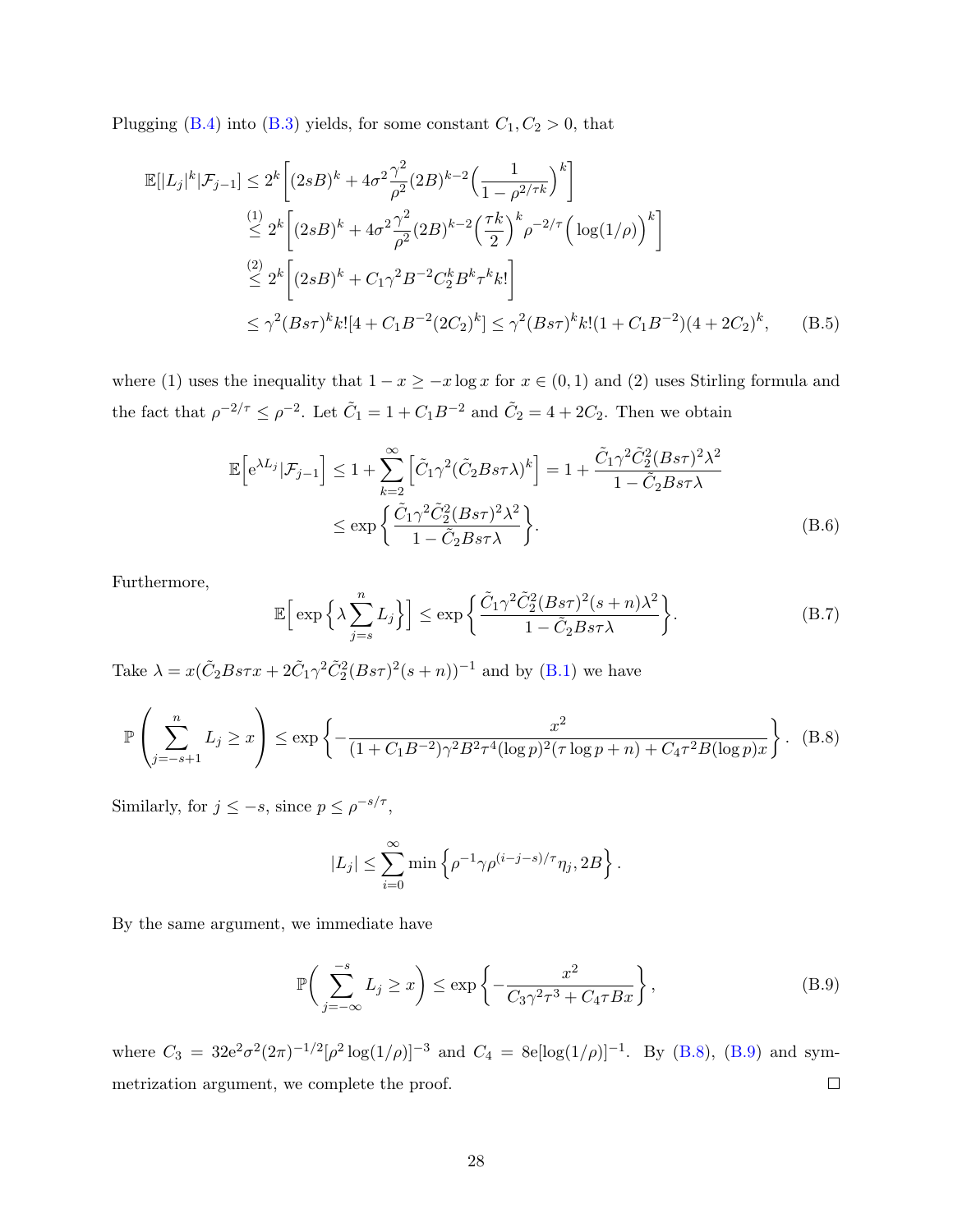Plugging [\(B.4\)](#page-26-1) into [\(B.3\)](#page-26-0) yields, for some constant  $C_1, C_2 > 0$ , that

$$
\mathbb{E}[|L_j|^k|\mathcal{F}_{j-1}] \le 2^k \left[ (2sB)^k + 4\sigma^2 \frac{\gamma^2}{\rho^2} (2B)^{k-2} \left( \frac{1}{1 - \rho^{2/\tau k}} \right)^k \right]
$$
  
\n
$$
\le 2^k \left[ (2sB)^k + 4\sigma^2 \frac{\gamma^2}{\rho^2} (2B)^{k-2} \left( \frac{\tau k}{2} \right)^k \rho^{-2/\tau} \left( \log(1/\rho) \right)^k \right]
$$
  
\n
$$
\le 2^k \left[ (2sB)^k + C_1 \gamma^2 B^{-2} C_2^k B^k \tau^k k! \right]
$$
  
\n
$$
\le \gamma^2 (Bs\tau)^k k! [4 + C_1 B^{-2} (2C_2)^k] \le \gamma^2 (Bs\tau)^k k! (1 + C_1 B^{-2}) (4 + 2C_2)^k, \quad (B.5)
$$

where (1) uses the inequality that  $1 - x \geq -x \log x$  for  $x \in (0, 1)$  and (2) uses Stirling formula and the fact that  $\rho^{-2/\tau} \le \rho^{-2}$ . Let  $\tilde{C}_1 = 1 + C_1 B^{-2}$  and  $\tilde{C}_2 = 4 + 2C_2$ . Then we obtain

$$
\mathbb{E}\left[e^{\lambda L_j}|\mathcal{F}_{j-1}\right] \le 1 + \sum_{k=2}^{\infty} \left[\tilde{C}_1 \gamma^2 (\tilde{C}_2 B s \tau \lambda)^k\right] = 1 + \frac{\tilde{C}_1 \gamma^2 \tilde{C}_2^2 (B s \tau)^2 \lambda^2}{1 - \tilde{C}_2 B s \tau \lambda}
$$
  

$$
\le \exp\left\{\frac{\tilde{C}_1 \gamma^2 \tilde{C}_2^2 (B s \tau)^2 \lambda^2}{1 - \tilde{C}_2 B s \tau \lambda}\right\}.
$$
 (B.6)

Furthermore,

$$
\mathbb{E}\Big[\exp\Big\{\lambda \sum_{j=s}^{n} L_j\Big\}\Big] \leq \exp\bigg\{\frac{\tilde{C}_1\gamma^2 \tilde{C}_2^2 (Bs\tau)^2 (s+n)\lambda^2}{1-\tilde{C}_2 Bs\tau\lambda}\bigg\}.\tag{B.7}
$$

Take  $\lambda = x(\tilde{C}_2 B s \tau x + 2\tilde{C}_1 \gamma^2 \tilde{C}_2^2 (B s \tau)^2 (s+n))^{-1}$  and by [\(B.1\)](#page-25-0) we have

$$
\mathbb{P}\left(\sum_{j=-s+1}^{n} L_j \ge x\right) \le \exp\left\{-\frac{x^2}{(1+C_1B^{-2})\gamma^2B^2\tau^4(\log p)^2(\tau\log p + n) + C_4\tau^2B(\log p)x}\right\}.
$$
 (B.8)

Similarly, for  $j \leq -s$ , since  $p \leq \rho^{-s/\tau}$ ,

<span id="page-27-1"></span><span id="page-27-0"></span>
$$
|L_j| \leq \sum_{i=0}^{\infty} \min \left\{ \rho^{-1} \gamma \rho^{(i-j-s)/\tau} \eta_j, 2B \right\}.
$$

By the same argument, we immediate have

$$
\mathbb{P}\bigg(\sum_{j=-\infty}^{-s} L_j \ge x\bigg) \le \exp\bigg\{-\frac{x^2}{C_3\gamma^2\tau^3 + C_4\tau Bx}\bigg\},\tag{B.9}
$$

where  $C_3 = 32e^2\sigma^2(2\pi)^{-1/2}[\rho^2\log(1/\rho)]^{-3}$  and  $C_4 = 8e[\log(1/\rho)]^{-1}$ . By [\(B.8\)](#page-27-0), [\(B.9\)](#page-27-1) and symmetrization argument, we complete the proof.  $\Box$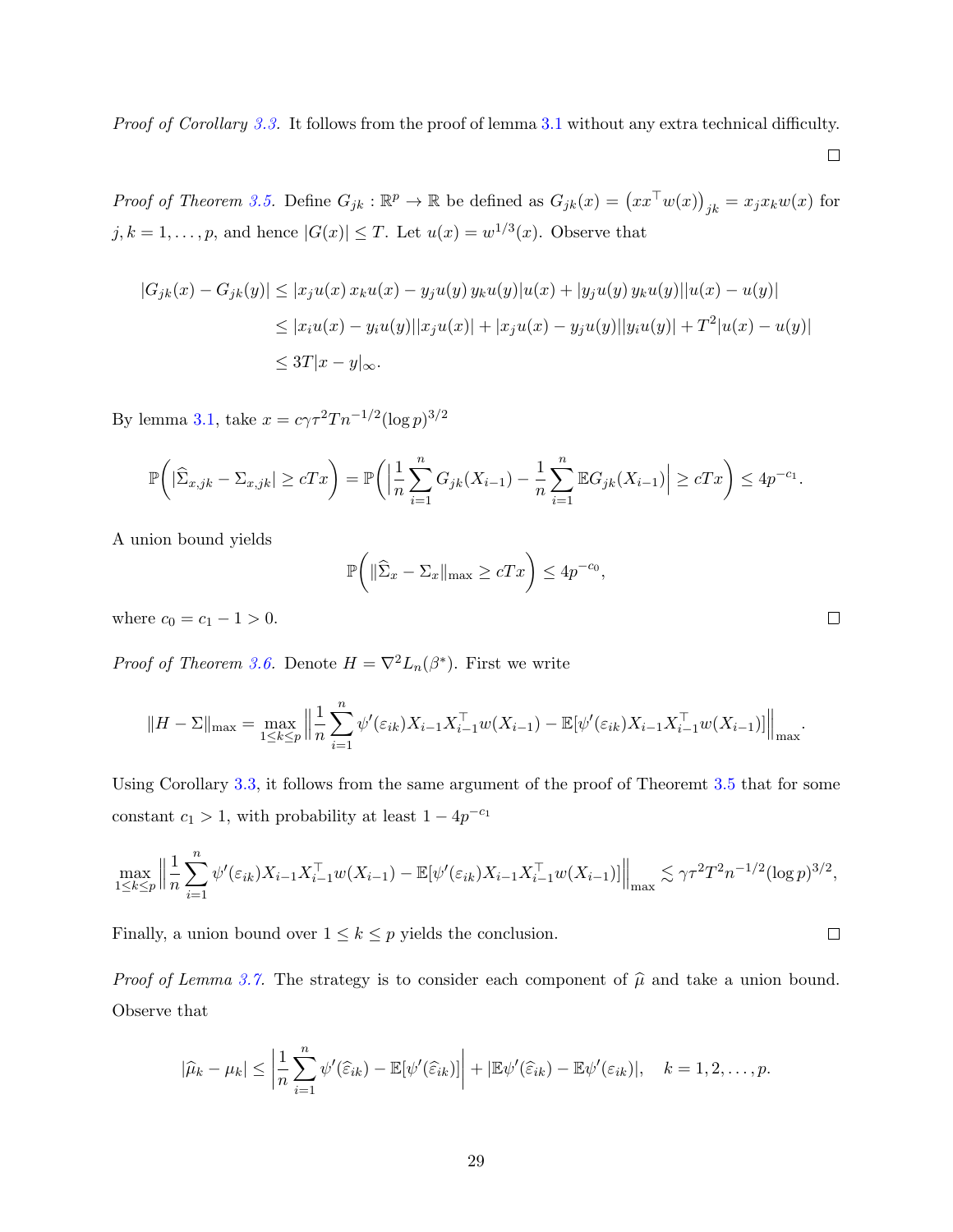Proof of Corollary [3.3.](#page-14-2) It follows from the proof of lemma [3.1](#page-13-2) without any extra technical difficulty.

 $\Box$ 

Proof of Theorem [3.5.](#page-14-1) Define  $G_{jk}: \mathbb{R}^p \to \mathbb{R}$  be defined as  $G_{jk}(x) = (xx^{\top}w(x))_{jk} = x_jx_kw(x)$  for  $j, k = 1, \ldots, p$ , and hence  $|G(x)| \leq T$ . Let  $u(x) = w^{1/3}(x)$ . Observe that

$$
|G_{jk}(x) - G_{jk}(y)| \le |x_j u(x) x_k u(x) - y_j u(y) y_k u(y)| u(x) + |y_j u(y) y_k u(y)||u(x) - u(y)|
$$
  

$$
\le |x_i u(x) - y_i u(y)||x_j u(x)| + |x_j u(x) - y_j u(y)||y_i u(y)| + T^2 |u(x) - u(y)|
$$
  

$$
\le 3T|x - y|_{\infty}.
$$

By lemma [3.1,](#page-13-2) take  $x = c\gamma \tau^2 T n^{-1/2} (\log p)^{3/2}$ 

$$
\mathbb{P}\bigg( |\widehat{\Sigma}_{x,jk} - \Sigma_{x,jk}| \ge cTx \bigg) = \mathbb{P}\bigg( \Big| \frac{1}{n} \sum_{i=1}^n G_{jk}(X_{i-1}) - \frac{1}{n} \sum_{i=1}^n \mathbb{E}G_{jk}(X_{i-1}) \Big| \ge cTx \bigg) \le 4p^{-c_1}.
$$

A union bound yields

$$
\mathbb{P}\bigg(\|\widehat{\Sigma}_x - \Sigma_x\|_{\max} \ge cTx\bigg) \le 4p^{-c_0},
$$

where  $c_0 = c_1 - 1 > 0$ .

*Proof of Theorem [3.6.](#page-15-2)* Denote  $H = \nabla^2 L_n(\beta^*)$ . First we write

$$
||H - \Sigma||_{\max} = \max_{1 \leq k \leq p} \Big\| \frac{1}{n} \sum_{i=1}^n \psi'(\varepsilon_{ik}) X_{i-1} X_{i-1}^\top w(X_{i-1}) - \mathbb{E}[\psi'(\varepsilon_{ik}) X_{i-1} X_{i-1}^\top w(X_{i-1})] \Big\|_{\max}.
$$

Using Corollary [3.3,](#page-14-2) it follows from the same argument of the proof of Theoremt [3.5](#page-14-1) that for some constant  $c_1 > 1$ , with probability at least  $1 - 4p^{-c_1}$ 

$$
\max_{1 \leq k \leq p} \left\| \frac{1}{n} \sum_{i=1}^n \psi'(\varepsilon_{ik}) X_{i-1} X_{i-1}^\top w(X_{i-1}) - \mathbb{E}[\psi'(\varepsilon_{ik}) X_{i-1} X_{i-1}^\top w(X_{i-1})] \right\|_{\max} \lesssim \gamma \tau^2 T^2 n^{-1/2} (\log p)^{3/2},
$$

Finally, a union bound over  $1 \leq k \leq p$  yields the conclusion.

*Proof of Lemma [3.7.](#page-15-1)* The strategy is to consider each component of  $\hat{\mu}$  and take a union bound. Observe that

$$
|\widehat{\mu}_k - \mu_k| \leq \left|\frac{1}{n}\sum_{i=1}^n \psi'(\widehat{\varepsilon}_{ik}) - \mathbb{E}[\psi'(\widehat{\varepsilon}_{ik})]\right| + |\mathbb{E}\psi'(\widehat{\varepsilon}_{ik}) - \mathbb{E}\psi'(\varepsilon_{ik})|, \quad k = 1, 2, \ldots, p.
$$

 $\Box$ 

 $\Box$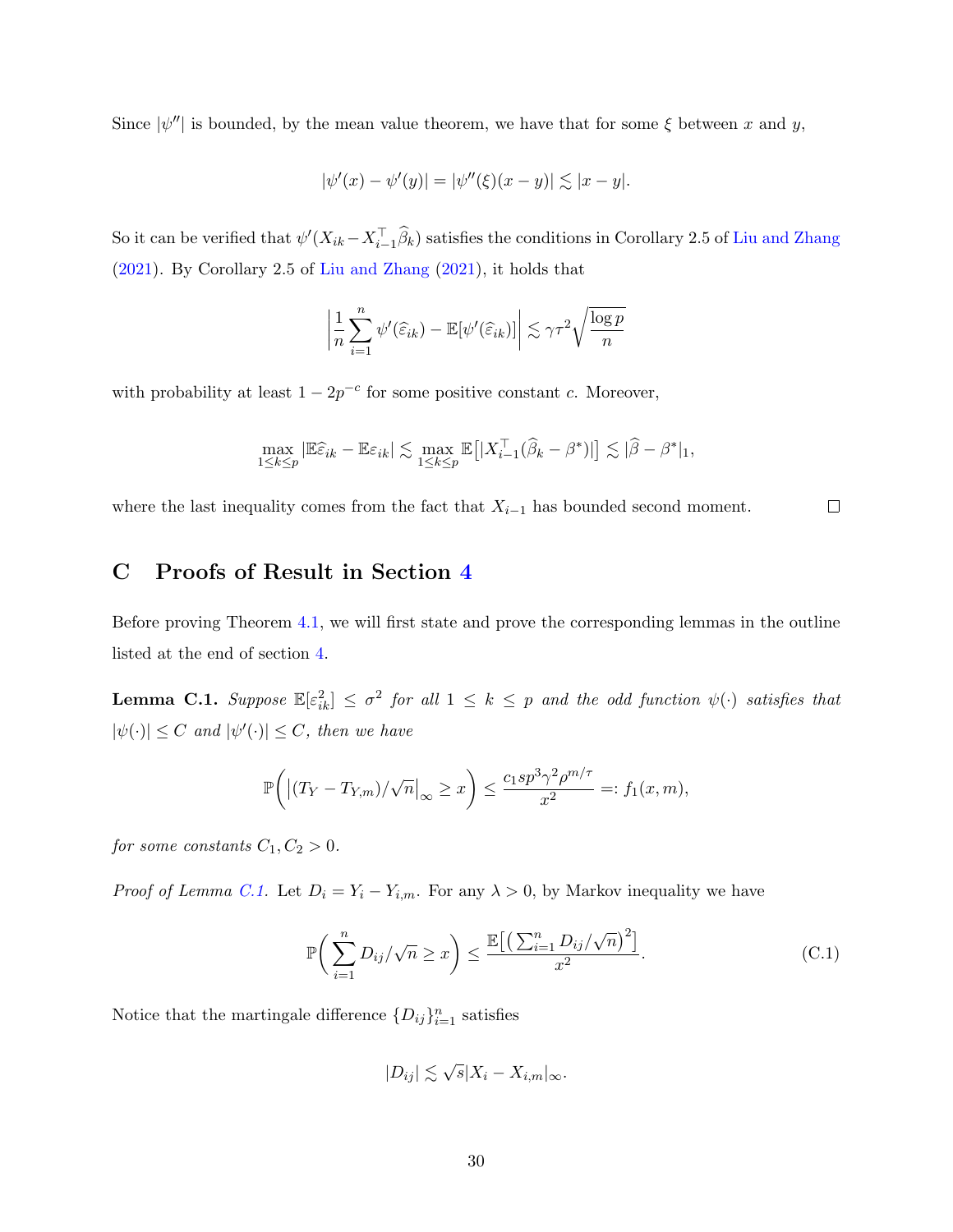Since  $|\psi''|$  is bounded, by the mean value theorem, we have that for some  $\xi$  between x and y,

$$
|\psi'(x) - \psi'(y)| = |\psi''(\xi)(x - y)| \lesssim |x - y|.
$$

So it can be verified that  $\psi'(X_{ik}-X_{i-1}^{\top}\widehat{\beta}_k)$  satisfies the conditions in Corollary 2.5 of [Liu and Zhang](#page-34-5) [\(2021\)](#page-34-5). By Corollary 2.5 of [Liu and Zhang](#page-34-5) [\(2021\)](#page-34-5), it holds that

$$
\left|\frac{1}{n}\sum_{i=1}^n \psi'(\widehat{\varepsilon}_{ik}) - \mathbb{E}[\psi'(\widehat{\varepsilon}_{ik})]\right| \lesssim \gamma \tau^2 \sqrt{\frac{\log p}{n}}
$$

with probability at least  $1 - 2p^{-c}$  for some positive constant c. Moreover,

$$
\max_{1 \leq k \leq p} \left| \mathbb{E} \widehat{\varepsilon}_{ik} - \mathbb{E} \varepsilon_{ik} \right| \lesssim \max_{1 \leq k \leq p} \mathbb{E} \left[ |X_{i-1}^\top (\widehat{\beta}_k - \beta^*)| \right] \lesssim |\widehat{\beta} - \beta^*|_1,
$$

 $\Box$ where the last inequality comes from the fact that  $X_{i-1}$  has bounded second moment.

## C Proofs of Result in Section [4](#page-15-0)

Before proving Theorem [4.1,](#page-17-1) we will first state and prove the corresponding lemmas in the outline listed at the end of section [4.](#page-15-0)

<span id="page-29-0"></span>**Lemma C.1.** Suppose  $\mathbb{E}[\varepsilon_{ik}^2] \leq \sigma^2$  for all  $1 \leq k \leq p$  and the odd function  $\psi(\cdot)$  satisfies that  $|\psi(\cdot)| \leq C$  and  $|\psi'(\cdot)| \leq C$ , then we have

$$
\mathbb{P}\bigg(\big|\big(T_Y-T_{Y,m}\big)/\sqrt{n}\big|_{\infty}\geq x\bigg)\leq \frac{c_1sp^3\gamma^2\rho^{m/\tau}}{x^2}=:f_1(x,m),
$$

for some constants  $C_1, C_2 > 0$ .

*Proof of Lemma [C.1.](#page-29-0)* Let  $D_i = Y_i - Y_{i,m}$ . For any  $\lambda > 0$ , by Markov inequality we have

<span id="page-29-1"></span>
$$
\mathbb{P}\bigg(\sum_{i=1}^n D_{ij}/\sqrt{n} \ge x\bigg) \le \frac{\mathbb{E}\big[\big(\sum_{i=1}^n D_{ij}/\sqrt{n}\big)^2\big]}{x^2}.\tag{C.1}
$$

Notice that the martingale difference  $\{D_{ij}\}_{i=1}^n$  satisfies

$$
|D_{ij}| \lesssim \sqrt{s}|X_i - X_{i,m}|_{\infty}.
$$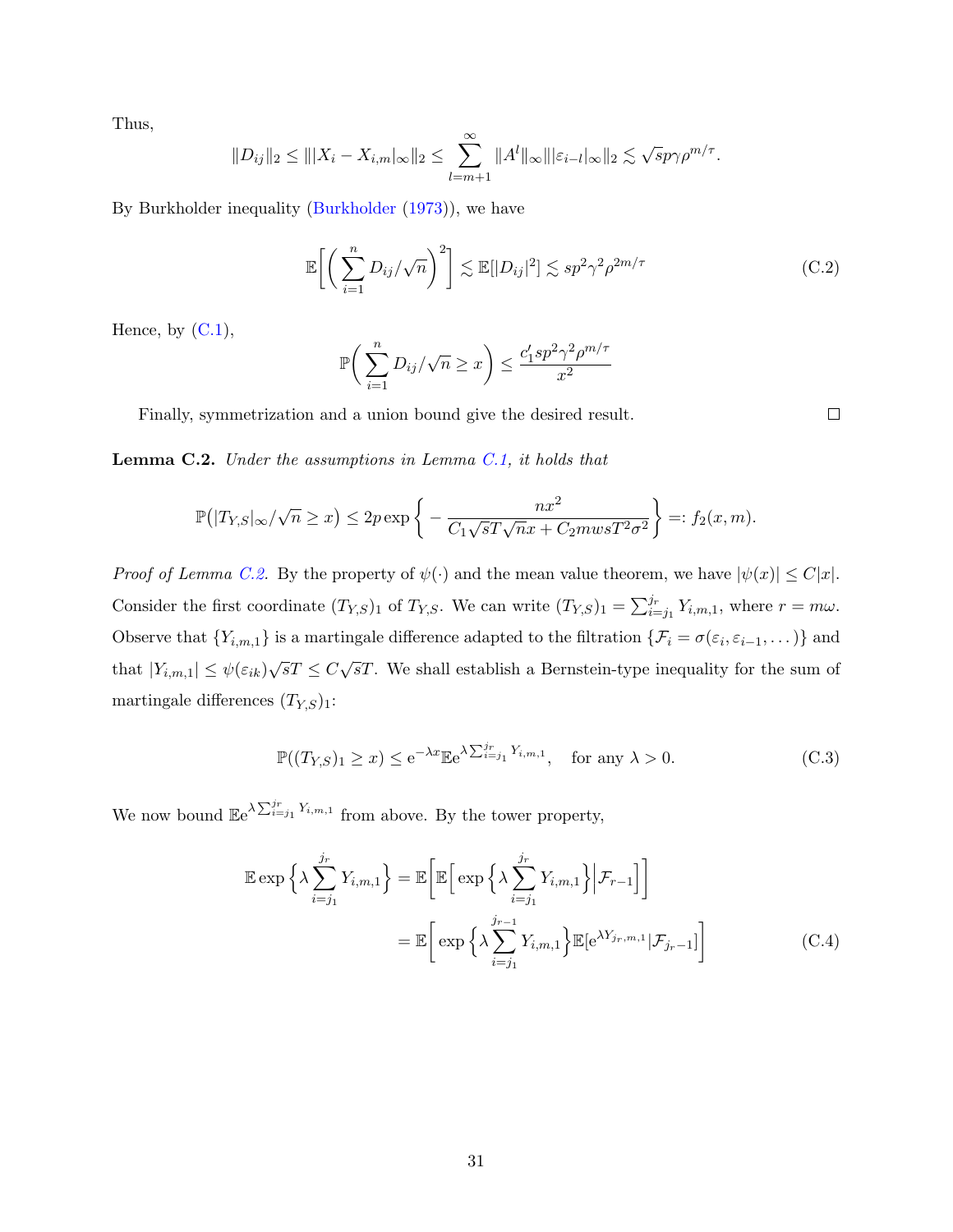Thus,

$$
||D_{ij}||_2 \leq |||X_i - X_{i,m}||_{\infty}||_2 \leq \sum_{l=m+1}^{\infty} ||A^l||_{\infty} |||\varepsilon_{i-l}||_{\infty} ||_2 \lesssim \sqrt{sp}\gamma \rho^{m/\tau}.
$$

By Burkholder inequality [\(Burkholder](#page-33-6) [\(1973\)](#page-33-6)), we have

$$
\mathbb{E}\bigg[\bigg(\sum_{i=1}^n D_{ij}/\sqrt{n}\bigg)^2\bigg] \lesssim \mathbb{E}[|D_{ij}|^2] \lesssim sp^2\gamma^2\rho^{2m/\tau} \tag{C.2}
$$

Hence, by  $(C.1)$ ,

$$
\mathbb{P}\bigg(\sum_{i=1}^n D_{ij}/\sqrt{n} \ge x\bigg) \le \frac{c'_1 s p^2 \gamma^2 \rho^{m/\tau}}{x^2}
$$

Finally, symmetrization and a union bound give the desired result.

<span id="page-30-0"></span>**Lemma C.2.** Under the assumptions in Lemma [C.1,](#page-29-0) it holds that

$$
\mathbb{P}(|T_{Y,S}|_{\infty}/\sqrt{n} \ge x) \le 2p \exp\left\{-\frac{nx^2}{C_1\sqrt{sT}\sqrt{nx} + C_2mwsT^2\sigma^2}\right\} =: f_2(x,m).
$$

*Proof of Lemma [C.2.](#page-30-0)* By the property of  $\psi(\cdot)$  and the mean value theorem, we have  $|\psi(x)| \leq C|x|$ . Consider the first coordinate  $(T_{Y,S})_1$  of  $T_{Y,S}$ . We can write  $(T_{Y,S})_1 = \sum_{i=j_1}^{j_r} Y_{i,m,1}$ , where  $r = m\omega$ . Observe that  $\{Y_{i,m,1}\}\$ is a martingale difference adapted to the filtration  $\{\mathcal{F}_i = \sigma(\varepsilon_i, \varepsilon_{i-1}, \dots)\}\$ and that  $|Y_{i,m,1}| \leq \psi(\varepsilon_{ik})\sqrt{s}T \leq C\sqrt{s}T$ . We shall establish a Bernstein-type inequality for the sum of martingale differences  $(T_{Y,S})_1$ :

<span id="page-30-2"></span>
$$
\mathbb{P}((T_{Y,S})_1 \ge x) \le e^{-\lambda x} \mathbb{E}e^{\lambda \sum_{i=j_1}^{j_r} Y_{i,m,1}}, \quad \text{for any } \lambda > 0.
$$
 (C.3)

We now bound  $\mathbb{E}e^{\lambda \sum_{i=j_1}^{j_r} Y_{i,m,1}}$  from above. By the tower property,

$$
\mathbb{E} \exp \left\{ \lambda \sum_{i=j_1}^{j_r} Y_{i,m,1} \right\} = \mathbb{E} \left[ \mathbb{E} \left[ \exp \left\{ \lambda \sum_{i=j_1}^{j_r} Y_{i,m,1} \right\} \Big| \mathcal{F}_{r-1} \right] \right]
$$

$$
= \mathbb{E} \left[ \exp \left\{ \lambda \sum_{i=j_1}^{j_{r-1}} Y_{i,m,1} \right\} \mathbb{E} \left[ e^{\lambda Y_{jr,m,1}} \Big| \mathcal{F}_{jr-1} \right] \right]
$$
(C.4)

<span id="page-30-1"></span> $\Box$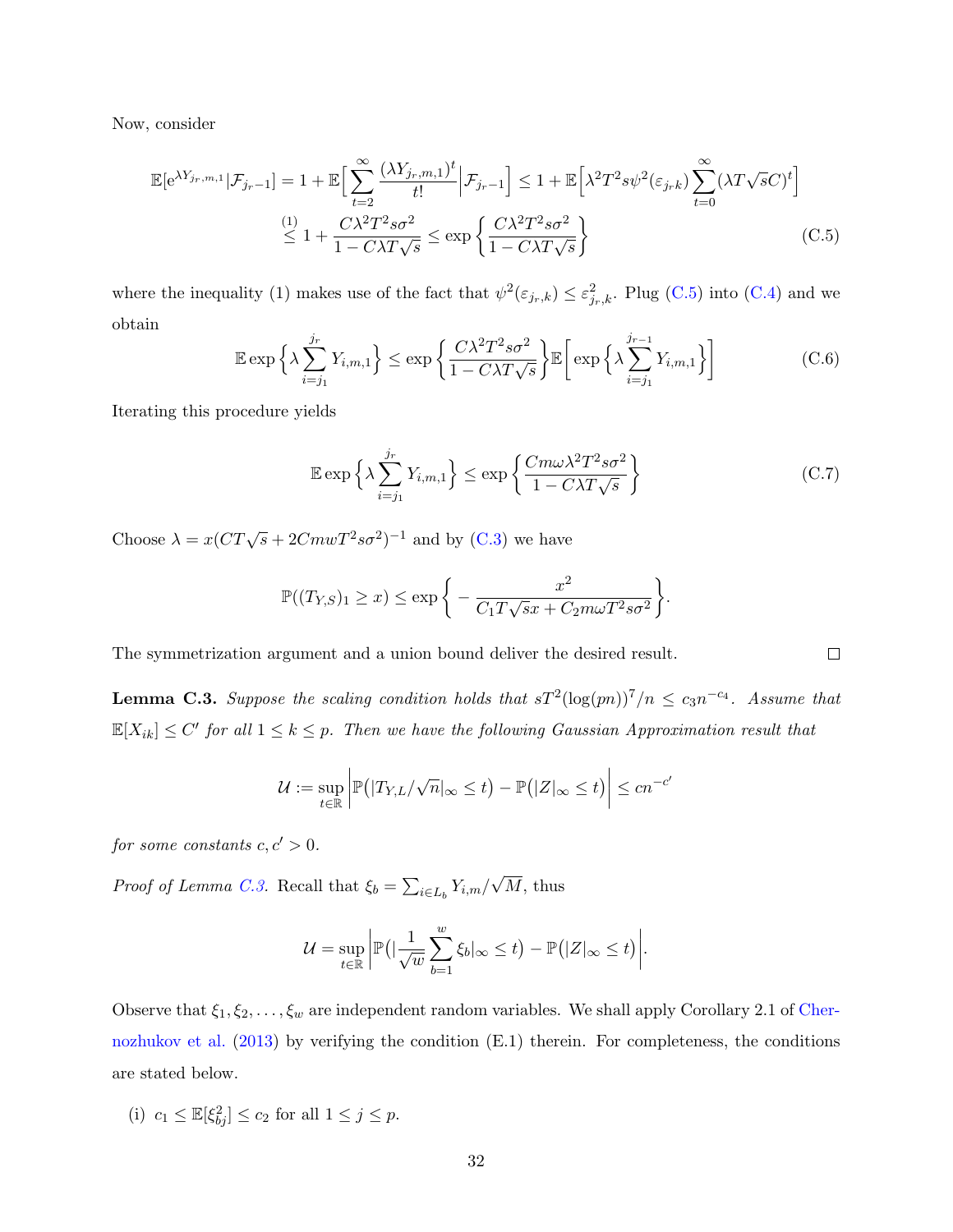Now, consider

$$
\mathbb{E}[\mathbf{e}^{\lambda Y_{jr,m,1}}|\mathcal{F}_{jr-1}] = 1 + \mathbb{E}\Big[\sum_{t=2}^{\infty} \frac{(\lambda Y_{jr,m,1})^t}{t!} \Big|\mathcal{F}_{jr-1}\Big] \le 1 + \mathbb{E}\Big[\lambda^2 T^2 s \psi^2(\varepsilon_{jr} k) \sum_{t=0}^{\infty} (\lambda T \sqrt{s} C)^t\Big]
$$
  

$$
\stackrel{(1)}{\leq} 1 + \frac{C\lambda^2 T^2 s \sigma^2}{1 - C\lambda T \sqrt{s}} \leq \exp\Big\{\frac{C\lambda^2 T^2 s \sigma^2}{1 - C\lambda T \sqrt{s}}\Big\}
$$
(C.5)

where the inequality (1) makes use of the fact that  $\psi^2(\varepsilon_{j_r,k}) \leq \varepsilon_{j_r,k}^2$ . Plug [\(C.5\)](#page-31-0) into [\(C.4\)](#page-30-1) and we obtain

$$
\mathbb{E} \exp\left\{\lambda \sum_{i=j_1}^{j_r} Y_{i,m,1}\right\} \le \exp\left\{\frac{C\lambda^2 T^2 s\sigma^2}{1 - C\lambda T \sqrt{s}}\right\} \mathbb{E}\left[\exp\left\{\lambda \sum_{i=j_1}^{j_{r-1}} Y_{i,m,1}\right\}\right]
$$
(C.6)

Iterating this procedure yields

$$
\mathbb{E} \exp\left\{\lambda \sum_{i=j_1}^{j_r} Y_{i,m,1}\right\} \le \exp\left\{\frac{Cm\omega\lambda^2 T^2 s\sigma^2}{1 - C\lambda T \sqrt{s}}\right\} \tag{C.7}
$$

Choose  $\lambda = x (CT\sqrt{s} + 2Cm\omega T^2 s\sigma^2)^{-1}$  and by [\(C.3\)](#page-30-2) we have

$$
\mathbb{P}((T_{Y,S})_1 \geq x) \leq \exp\bigg\{-\frac{x^2}{C_1T\sqrt{s}x + C_2m\omega T^2s\sigma^2}\bigg\}.
$$

The symmetrization argument and a union bound deliver the desired result.

<span id="page-31-1"></span>**Lemma C.3.** Suppose the scaling condition holds that  $sT^2(\log(pn))^7/n \leq c_3 n^{-c_4}$ . Assume that  $\mathbb{E}[X_{ik}] \leq C'$  for all  $1 \leq k \leq p$ . Then we have the following Gaussian Approximation result that

$$
\mathcal{U} := \sup_{t \in \mathbb{R}} \left| \mathbb{P}(|T_{Y,L}/\sqrt{n}|_{\infty} \leq t) - \mathbb{P}(|Z|_{\infty} \leq t) \right| \leq c n^{-c'}
$$

for some constants  $c, c' > 0$ .

*Proof of Lemma [C.3.](#page-31-1)* Recall that  $\xi_b = \sum_{i \in L_b} Y_{i,m}$ / √  $M$ , thus

$$
\mathcal{U} = \sup_{t \in \mathbb{R}} \left| \mathbb{P} \left( \left| \frac{1}{\sqrt{w}} \sum_{b=1}^{w} \xi_b \right| \right) \leq t \right) - \mathbb{P} \left( |Z|_{\infty} \leq t \right) \right|.
$$

Observe that  $\xi_1, \xi_2, \ldots, \xi_w$  are independent random variables. We shall apply Corollary 2.1 of [Cher](#page-34-8)[nozhukov et al.](#page-34-8) [\(2013\)](#page-34-8) by verifying the condition (E.1) therein. For completeness, the conditions are stated below.

(i)  $c_1 \leq \mathbb{E}[\xi_{bj}^2] \leq c_2$  for all  $1 \leq j \leq p$ .

<span id="page-31-0"></span> $\Box$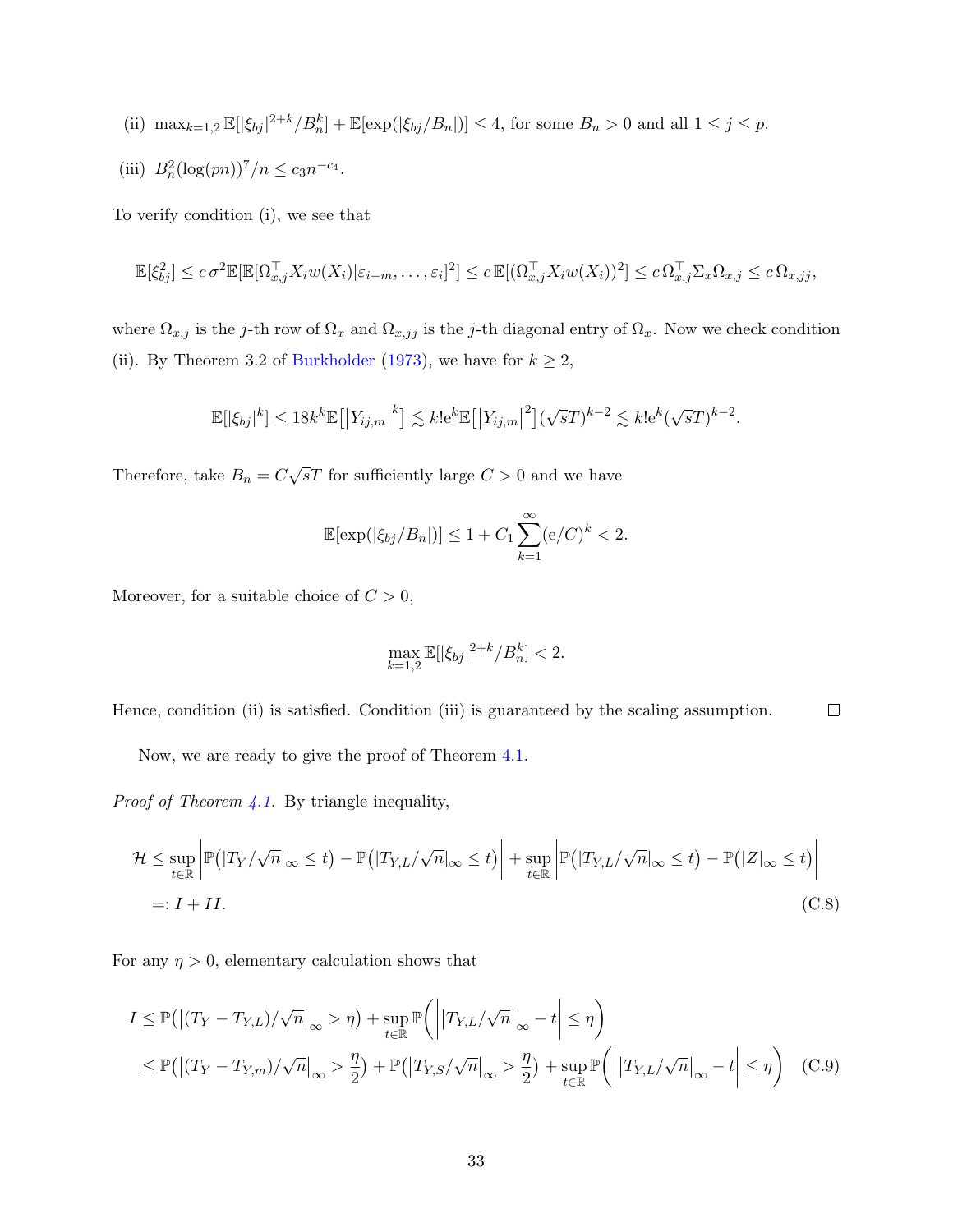(ii) 
$$
\max_{k=1,2} \mathbb{E}[|\xi_{bj}|^{2+k} / B_n^k] + \mathbb{E}[\exp(|\xi_{bj} / B_n|)] \le 4
$$
, for some  $B_n > 0$  and all  $1 \le j \le p$ .

(iii)  $B_n^2(\log(pn))^7/n \le c_3 n^{-c_4}.$ 

To verify condition (i), we see that

$$
\mathbb{E}[\xi_{bj}^2] \leq c \sigma^2 \mathbb{E}[\mathbb{E}[\Omega_{x,j}^\top X_i w(X_i)|\varepsilon_{i-m}, \dots, \varepsilon_i]^2] \leq c \mathbb{E}[(\Omega_{x,j}^\top X_i w(X_i))^2] \leq c \Omega_{x,j}^\top \Sigma_x \Omega_{x,j} \leq c \Omega_{x,jj},
$$

where  $\Omega_{x,j}$  is the j-th row of  $\Omega_x$  and  $\Omega_{x,jj}$  is the j-th diagonal entry of  $\Omega_x$ . Now we check condition (ii). By Theorem 3.2 of [Burkholder](#page-33-6) [\(1973\)](#page-33-6), we have for  $k \geq 2$ ,

$$
\mathbb{E}[|\xi_{bj}|^{k}] \leq 18k^{k} \mathbb{E}[|Y_{ij,m}|^{k}] \lesssim k!e^{k} \mathbb{E}[|Y_{ij,m}|^{2}] (\sqrt{s}T)^{k-2} \lesssim k!e^{k} (\sqrt{s}T)^{k-2}.
$$

Therefore, take  $B_n = C\sqrt{s}T$  for sufficiently large  $C > 0$  and we have

$$
\mathbb{E}[\exp(|\xi_{bj}/B_n|)] \le 1 + C_1 \sum_{k=1}^{\infty} (e/C)^k < 2.
$$

Moreover, for a suitable choice of  $C > 0$ ,

<span id="page-32-0"></span>
$$
\max_{k=1,2} \mathbb{E}[|\xi_{bj}|^{2+k} / B_n^k] < 2.
$$

Hence, condition (ii) is satisfied. Condition (iii) is guaranteed by the scaling assumption.  $\Box$ 

Now, we are ready to give the proof of Theorem [4.1.](#page-17-1)

*Proof of Theorem [4.1.](#page-17-1)* By triangle inequality,

$$
\mathcal{H} \le \sup_{t \in \mathbb{R}} \left| \mathbb{P}(|T_Y/\sqrt{n}|_{\infty} \le t) - \mathbb{P}(|T_{Y,L}/\sqrt{n}|_{\infty} \le t) \right| + \sup_{t \in \mathbb{R}} \left| \mathbb{P}(|T_{Y,L}/\sqrt{n}|_{\infty} \le t) - \mathbb{P}(|Z|_{\infty} \le t) \right|
$$
  
=:  $I + II$ . (C.8)

For any  $\eta > 0$ , elementary calculation shows that

$$
I \leq \mathbb{P}(|(T_Y - T_{Y,L})/\sqrt{n}|_{\infty} > \eta) + \sup_{t \in \mathbb{R}} \mathbb{P}(|T_{Y,L}/\sqrt{n}|_{\infty} - t \leq \eta)
$$
  

$$
\leq \mathbb{P}(|(T_Y - T_{Y,m})/\sqrt{n}|_{\infty} > \frac{\eta}{2}) + \mathbb{P}(|T_{Y,S}/\sqrt{n}|_{\infty} > \frac{\eta}{2}) + \sup_{t \in \mathbb{R}} \mathbb{P}(|T_{Y,L}/\sqrt{n}|_{\infty} - t \leq \eta) \quad (C.9)
$$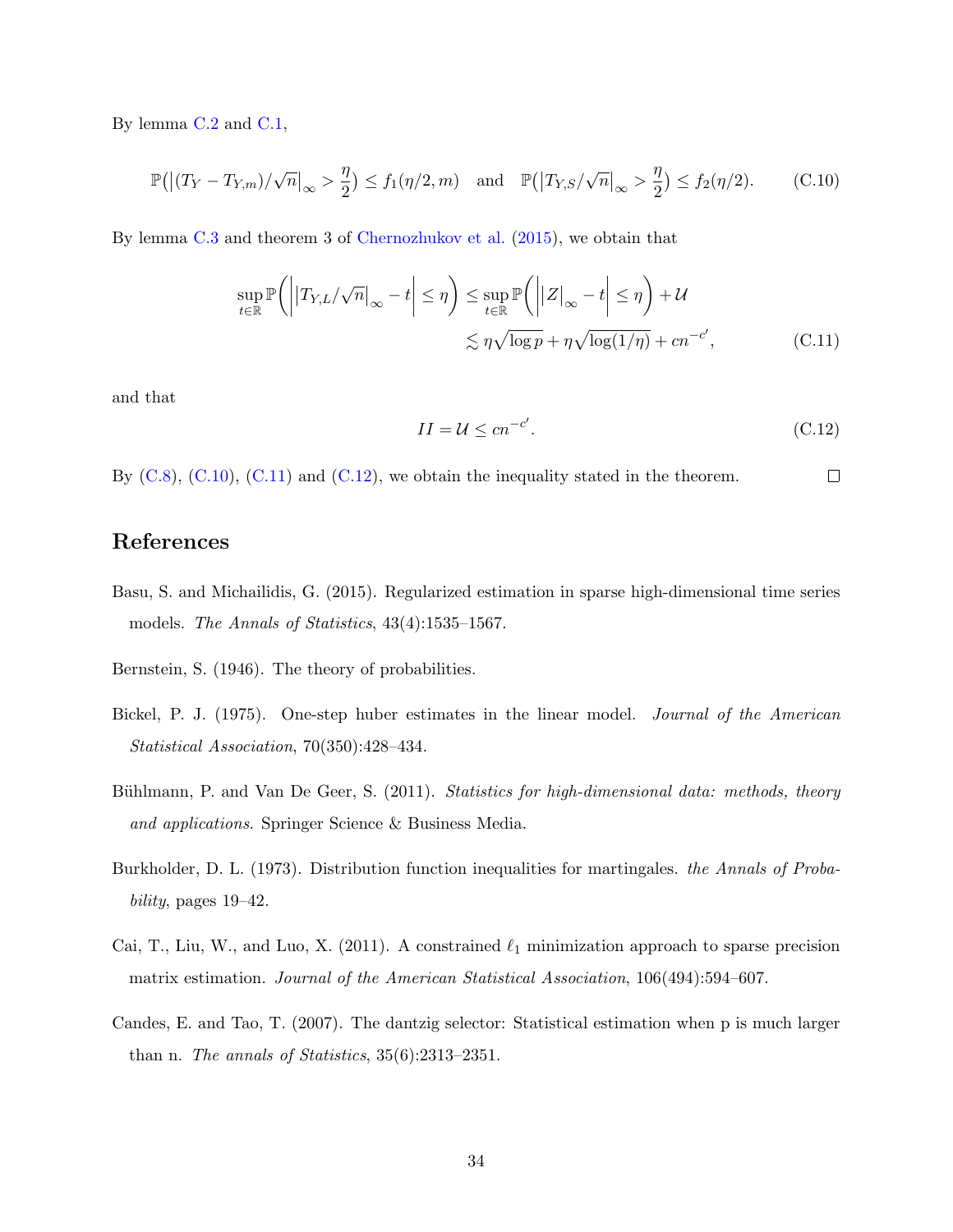By lemma [C.2](#page-30-0) and [C.1,](#page-29-0)

$$
\mathbb{P}\big(\big|\big(T_Y - T_{Y,m}\big)/\sqrt{n}\big|_{\infty} > \frac{\eta}{2}\big) \le f_1(\eta/2, m) \quad \text{and} \quad \mathbb{P}\big(\big|T_{Y,S}/\sqrt{n}\big|_{\infty} > \frac{\eta}{2}\big) \le f_2(\eta/2). \tag{C.10}
$$

By lemma [C.3](#page-31-1) and theorem 3 of [Chernozhukov et al.](#page-34-11) [\(2015\)](#page-34-11), we obtain that

$$
\sup_{t \in \mathbb{R}} \mathbb{P}\left(\left|\left|T_{Y,L}/\sqrt{n}\right|_{\infty} - t\right| \leq \eta\right) \leq \sup_{t \in \mathbb{R}} \mathbb{P}\left(\left|\left|Z\right|_{\infty} - t\right| \leq \eta\right) + \mathcal{U}
$$

$$
\lesssim \eta \sqrt{\log p} + \eta \sqrt{\log(1/\eta)} + cn^{-c'},\tag{C.11}
$$

and that

<span id="page-33-9"></span><span id="page-33-8"></span><span id="page-33-7"></span>
$$
II = \mathcal{U} \le cn^{-c'}.
$$
\n(C.12)

By  $(C.8)$ ,  $(C.10)$ ,  $(C.11)$  and  $(C.12)$ , we obtain the inequality stated in the theorem.  $\Box$ 

# References

<span id="page-33-1"></span>Basu, S. and Michailidis, G. (2015). Regularized estimation in sparse high-dimensional time series models. The Annals of Statistics, 43(4):1535–1567.

<span id="page-33-5"></span>Bernstein, S. (1946). The theory of probabilities.

- <span id="page-33-3"></span>Bickel, P. J. (1975). One-step huber estimates in the linear model. Journal of the American Statistical Association, 70(350):428–434.
- <span id="page-33-0"></span>Bühlmann, P. and Van De Geer, S. (2011). Statistics for high-dimensional data: methods, theory and applications. Springer Science & Business Media.
- <span id="page-33-6"></span>Burkholder, D. L. (1973). Distribution function inequalities for martingales. the Annals of Probability, pages 19–42.
- <span id="page-33-4"></span>Cai, T., Liu, W., and Luo, X. (2011). A constrained  $\ell_1$  minimization approach to sparse precision matrix estimation. Journal of the American Statistical Association, 106(494):594–607.
- <span id="page-33-2"></span>Candes, E. and Tao, T. (2007). The dantzig selector: Statistical estimation when p is much larger than n. The annals of Statistics, 35(6):2313–2351.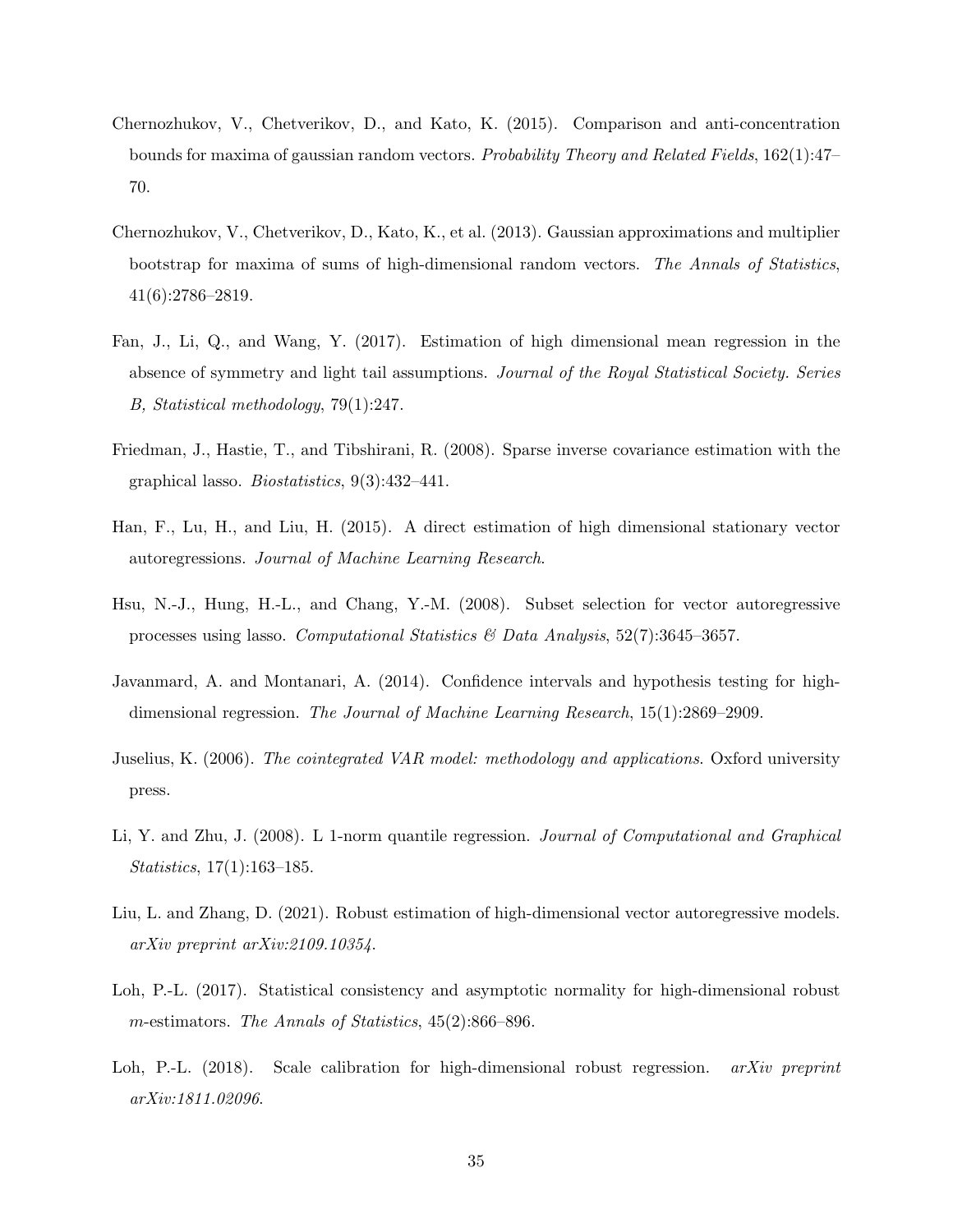- <span id="page-34-11"></span>Chernozhukov, V., Chetverikov, D., and Kato, K. (2015). Comparison and anti-concentration bounds for maxima of gaussian random vectors. Probability Theory and Related Fields, 162(1):47– 70.
- <span id="page-34-8"></span>Chernozhukov, V., Chetverikov, D., Kato, K., et al. (2013). Gaussian approximations and multiplier bootstrap for maxima of sums of high-dimensional random vectors. The Annals of Statistics, 41(6):2786–2819.
- <span id="page-34-4"></span>Fan, J., Li, Q., and Wang, Y. (2017). Estimation of high dimensional mean regression in the absence of symmetry and light tail assumptions. Journal of the Royal Statistical Society. Series B, Statistical methodology, 79(1):247.
- <span id="page-34-10"></span>Friedman, J., Hastie, T., and Tibshirani, R. (2008). Sparse inverse covariance estimation with the graphical lasso. Biostatistics, 9(3):432–441.
- <span id="page-34-2"></span>Han, F., Lu, H., and Liu, H. (2015). A direct estimation of high dimensional stationary vector autoregressions. Journal of Machine Learning Research.
- <span id="page-34-1"></span>Hsu, N.-J., Hung, H.-L., and Chang, Y.-M. (2008). Subset selection for vector autoregressive processes using lasso. Computational Statistics  $\mathcal{C}$  Data Analysis, 52(7):3645–3657.
- <span id="page-34-6"></span>Javanmard, A. and Montanari, A. (2014). Confidence intervals and hypothesis testing for highdimensional regression. The Journal of Machine Learning Research, 15(1):2869–2909.
- <span id="page-34-9"></span>Juselius, K. (2006). The cointegrated VAR model: methodology and applications. Oxford university press.
- <span id="page-34-3"></span>Li, Y. and Zhu, J. (2008). L 1-norm quantile regression. Journal of Computational and Graphical Statistics, 17(1):163–185.
- <span id="page-34-5"></span>Liu, L. and Zhang, D. (2021). Robust estimation of high-dimensional vector autoregressive models. arXiv preprint arXiv:2109.10354.
- <span id="page-34-0"></span>Loh, P.-L. (2017). Statistical consistency and asymptotic normality for high-dimensional robust m-estimators. The Annals of Statistics, 45(2):866–896.
- <span id="page-34-7"></span>Loh, P.-L. (2018). Scale calibration for high-dimensional robust regression. *arXiv preprint* arXiv:1811.02096.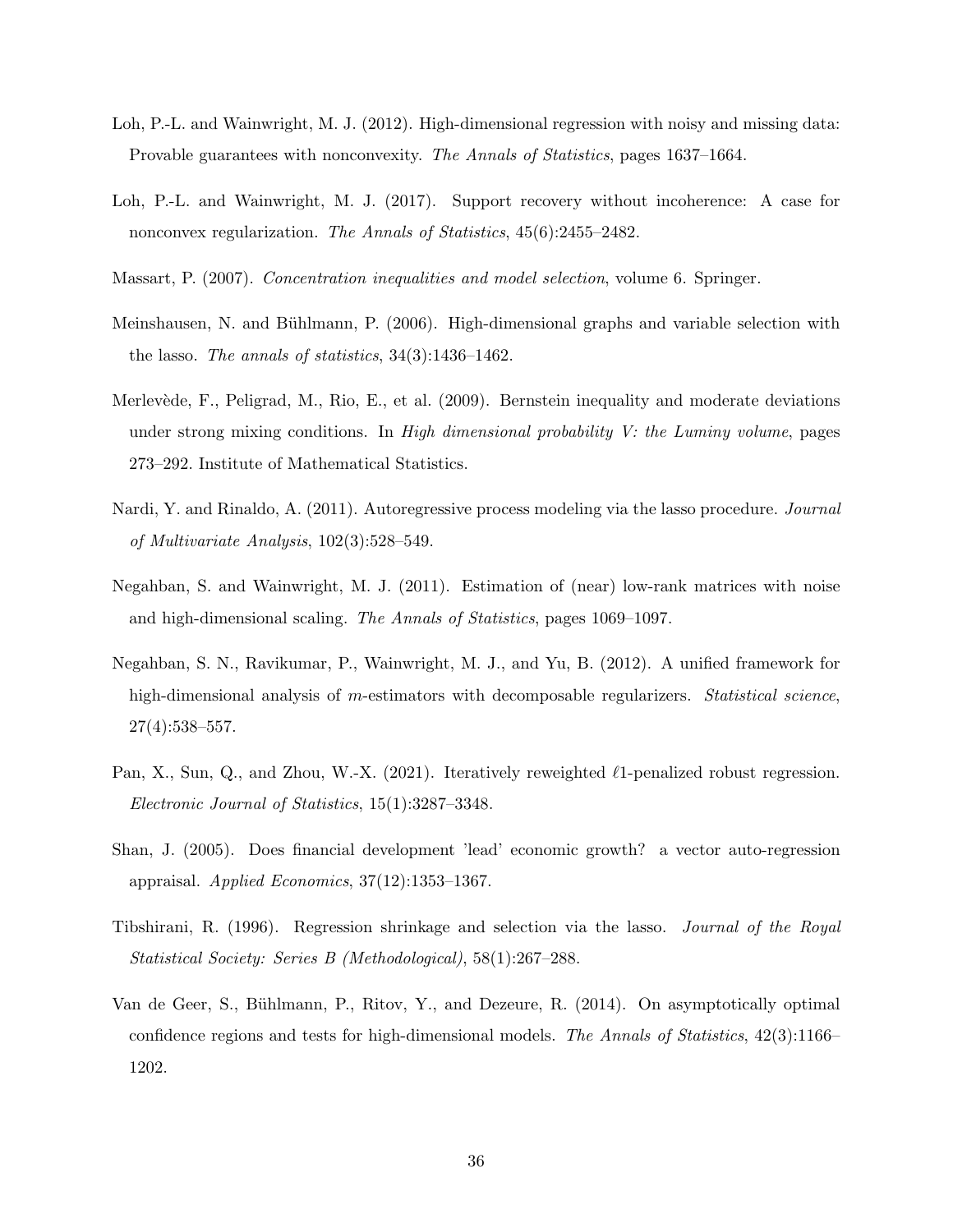- <span id="page-35-6"></span>Loh, P.-L. and Wainwright, M. J. (2012). High-dimensional regression with noisy and missing data: Provable guarantees with nonconvexity. The Annals of Statistics, pages 1637–1664.
- <span id="page-35-1"></span>Loh, P.-L. and Wainwright, M. J. (2017). Support recovery without incoherence: A case for nonconvex regularization. The Annals of Statistics, 45(6):2455–2482.
- <span id="page-35-10"></span>Massart, P. (2007). Concentration inequalities and model selection, volume 6. Springer.
- <span id="page-35-9"></span>Meinshausen, N. and Bühlmann, P. (2006). High-dimensional graphs and variable selection with the lasso. The annals of statistics, 34(3):1436–1462.
- <span id="page-35-11"></span>Merlevède, F., Peligrad, M., Rio, E., et al. (2009). Bernstein inequality and moderate deviations under strong mixing conditions. In High dimensional probability  $V$ : the Luminy volume, pages 273–292. Institute of Mathematical Statistics.
- <span id="page-35-3"></span>Nardi, Y. and Rinaldo, A. (2011). Autoregressive process modeling via the lasso procedure. Journal of Multivariate Analysis, 102(3):528–549.
- <span id="page-35-7"></span>Negahban, S. and Wainwright, M. J. (2011). Estimation of (near) low-rank matrices with noise and high-dimensional scaling. The Annals of Statistics, pages 1069–1097.
- <span id="page-35-0"></span>Negahban, S. N., Ravikumar, P., Wainwright, M. J., and Yu, B. (2012). A unified framework for high-dimensional analysis of m-estimators with decomposable regularizers. Statistical science, 27(4):538–557.
- <span id="page-35-8"></span>Pan, X., Sun, Q., and Zhou, W.-X. (2021). Iteratively reweighted  $\ell$ 1-penalized robust regression. Electronic Journal of Statistics, 15(1):3287–3348.
- <span id="page-35-5"></span>Shan, J. (2005). Does financial development 'lead' economic growth? a vector auto-regression appraisal. Applied Economics, 37(12):1353–1367.
- <span id="page-35-2"></span>Tibshirani, R. (1996). Regression shrinkage and selection via the lasso. Journal of the Royal Statistical Society: Series B (Methodological), 58(1):267–288.
- <span id="page-35-4"></span>Van de Geer, S., Bühlmann, P., Ritov, Y., and Dezeure, R. (2014). On asymptotically optimal confidence regions and tests for high-dimensional models. The Annals of Statistics, 42(3):1166– 1202.